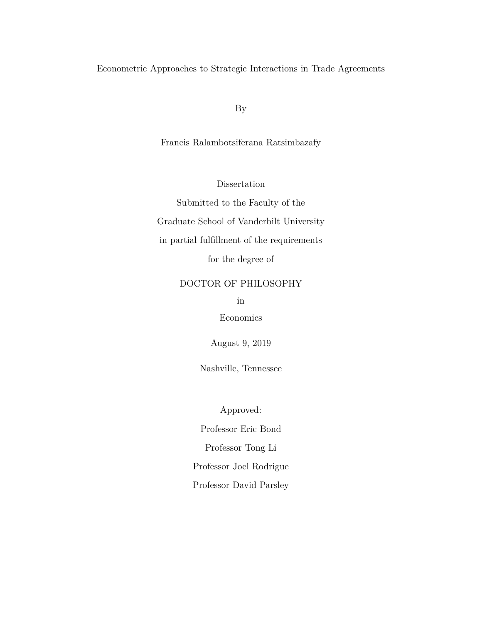<span id="page-0-0"></span>Econometric Approaches to Strategic Interactions in Trade Agreements

By

Francis Ralambotsiferana Ratsimbazafy

Dissertation

Submitted to the Faculty of the Graduate School of Vanderbilt University in partial fulfillment of the requirements for the degree of

# DOCTOR OF PHILOSOPHY

in

Economics

August 9, 2019

Nashville, Tennessee

Approved:

Professor Eric Bond Professor Tong Li

Professor Joel Rodrigue

Professor David Parsley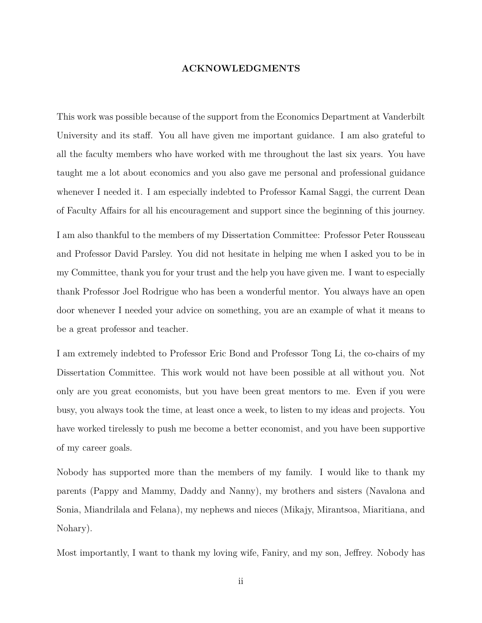# **ACKNOWLEDGMENTS**

This work was possible because of the support from the Economics Department at Vanderbilt University and its staff. You all have given me important guidance. I am also grateful to all the faculty members who have worked with me throughout the last six years. You have taught me a lot about economics and you also gave me personal and professional guidance whenever I needed it. I am especially indebted to Professor Kamal Saggi, the current Dean of Faculty Affairs for all his encouragement and support since the beginning of this journey.

I am also thankful to the members of my Dissertation Committee: Professor Peter Rousseau and Professor David Parsley. You did not hesitate in helping me when I asked you to be in my Committee, thank you for your trust and the help you have given me. I want to especially thank Professor Joel Rodrigue who has been a wonderful mentor. You always have an open door whenever I needed your advice on something, you are an example of what it means to be a great professor and teacher.

I am extremely indebted to Professor Eric Bond and Professor Tong Li, the co-chairs of my Dissertation Committee. This work would not have been possible at all without you. Not only are you great economists, but you have been great mentors to me. Even if you were busy, you always took the time, at least once a week, to listen to my ideas and projects. You have worked tirelessly to push me become a better economist, and you have been supportive of my career goals.

Nobody has supported more than the members of my family. I would like to thank my parents (Pappy and Mammy, Daddy and Nanny), my brothers and sisters (Navalona and Sonia, Miandrilala and Felana), my nephews and nieces (Mikajy, Mirantsoa, Miaritiana, and Nohary).

Most importantly, I want to thank my loving wife, Faniry, and my son, Jeffrey. Nobody has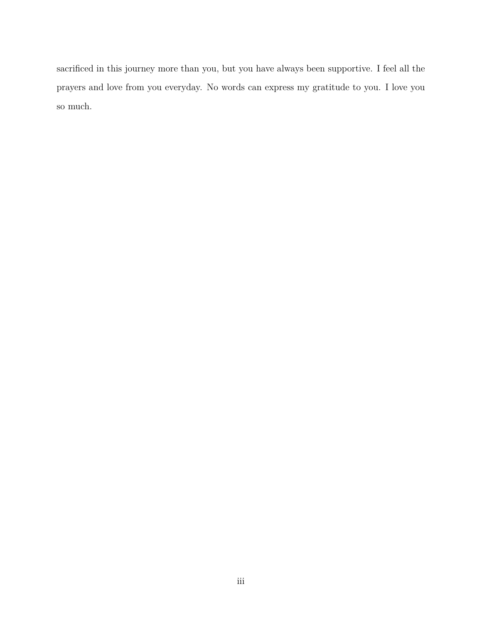sacrificed in this journey more than you, but you have always been supportive. I feel all the prayers and love from you everyday. No words can express my gratitude to you. I love you so much.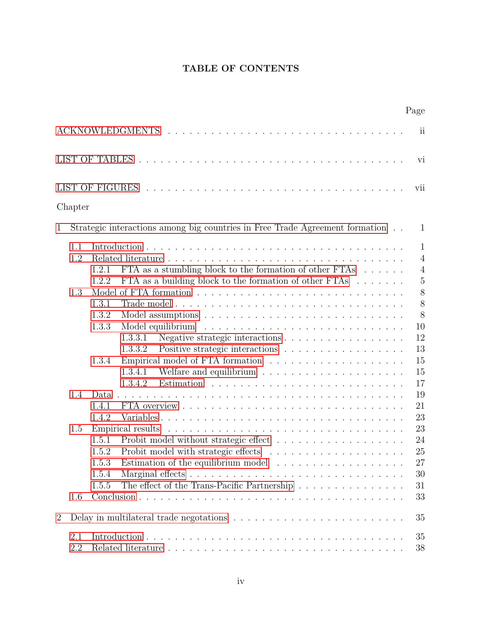# **TABLE OF CONTENTS**

|                |            |                                                                                                                                                                                           | Page                                             |
|----------------|------------|-------------------------------------------------------------------------------------------------------------------------------------------------------------------------------------------|--------------------------------------------------|
|                |            |                                                                                                                                                                                           | ii                                               |
|                |            |                                                                                                                                                                                           | vi                                               |
|                |            |                                                                                                                                                                                           | vii                                              |
|                | Chapter    |                                                                                                                                                                                           |                                                  |
| $\mathbf{1}$   |            | Strategic interactions among big countries in Free Trade Agreement formation                                                                                                              | $\mathbf{1}$                                     |
|                | 1.1<br>1.2 | FTA as a stumbling block to the formation of other FTAs $\dots \dots$<br>1.2.1                                                                                                            | $\mathbf{1}$<br>$\overline{4}$<br>$\overline{4}$ |
|                | 1.3        | FTA as a building block to the formation of other FTAs $\ldots \ldots$<br>1.2.2<br>1.3.1<br>1.3.2                                                                                         | $\mathbf 5$<br>8<br>8<br>8                       |
|                |            | 1.3.3<br>Model equilibrium<br>1.3.3.1<br>Positive strategic interactions<br>1.3.3.2                                                                                                       | 10<br>12<br>13                                   |
|                |            | 1.3.4<br>1.3.4.1<br>1.3.4.2                                                                                                                                                               | 15<br>15<br>17                                   |
|                | 1.4        | Data.<br>1.4.1<br>1.4.2                                                                                                                                                                   | 19<br>21<br>23                                   |
|                | 1.5        | Empirical results<br>1.5.1<br>1.5.2<br>1.5.3<br>Estimation of the equilibrium model $\ldots \ldots \ldots \ldots \ldots$<br>1.5.4<br>The effect of the Trans-Pacific Partnership<br>1.5.5 | 23<br>24<br>25<br>27<br>30<br>31                 |
|                | 1.6        |                                                                                                                                                                                           | 33                                               |
| $\overline{2}$ |            | Delay in multilateral trade negotations $\ldots \ldots \ldots \ldots \ldots \ldots \ldots \ldots$                                                                                         | 35                                               |
|                | 2.1<br>2.2 |                                                                                                                                                                                           | 35<br>38                                         |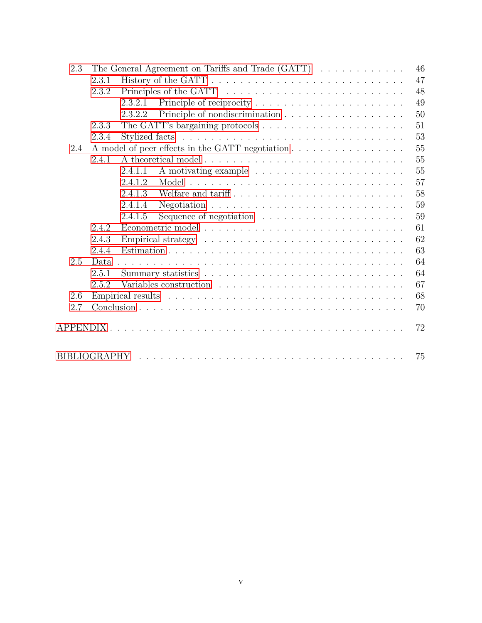| 2.3 | The General Agreement on Tariffs and Trade $(GATT) \dots \dots \dots \dots$ |         |                                                                     |  |  |  |  |  |  |  | 46 |
|-----|-----------------------------------------------------------------------------|---------|---------------------------------------------------------------------|--|--|--|--|--|--|--|----|
|     | 2.3.1                                                                       |         |                                                                     |  |  |  |  |  |  |  | 47 |
|     | 2.3.2                                                                       |         |                                                                     |  |  |  |  |  |  |  | 48 |
|     |                                                                             | 2.3.2.1 |                                                                     |  |  |  |  |  |  |  | 49 |
|     |                                                                             | 2.3.2.2 |                                                                     |  |  |  |  |  |  |  | 50 |
|     | 2.3.3                                                                       |         |                                                                     |  |  |  |  |  |  |  | 51 |
|     | 2.3.4                                                                       |         |                                                                     |  |  |  |  |  |  |  | 53 |
| 2.4 |                                                                             |         |                                                                     |  |  |  |  |  |  |  | 55 |
|     | 2.4.1                                                                       |         |                                                                     |  |  |  |  |  |  |  | 55 |
|     |                                                                             | 2.4.1.1 |                                                                     |  |  |  |  |  |  |  | 55 |
|     |                                                                             | 2.4.1.2 |                                                                     |  |  |  |  |  |  |  | 57 |
|     |                                                                             | 2.4.1.3 |                                                                     |  |  |  |  |  |  |  | 58 |
|     |                                                                             | 2.4.1.4 |                                                                     |  |  |  |  |  |  |  | 59 |
|     |                                                                             | 2.4.1.5 | Sequence of negotiation $\ldots \ldots \ldots \ldots \ldots \ldots$ |  |  |  |  |  |  |  | 59 |
|     | 2.4.2                                                                       |         |                                                                     |  |  |  |  |  |  |  | 61 |
|     | 2.4.3                                                                       |         |                                                                     |  |  |  |  |  |  |  | 62 |
|     | 2.4.4                                                                       |         |                                                                     |  |  |  |  |  |  |  | 63 |
| 2.5 | Data.                                                                       |         |                                                                     |  |  |  |  |  |  |  | 64 |
|     | 2.5.1                                                                       |         |                                                                     |  |  |  |  |  |  |  | 64 |
|     | 2.5.2                                                                       |         |                                                                     |  |  |  |  |  |  |  | 67 |
| 2.6 |                                                                             |         |                                                                     |  |  |  |  |  |  |  | 68 |
| 2.7 |                                                                             |         |                                                                     |  |  |  |  |  |  |  | 70 |
|     |                                                                             |         |                                                                     |  |  |  |  |  |  |  | 72 |
|     |                                                                             |         |                                                                     |  |  |  |  |  |  |  | 75 |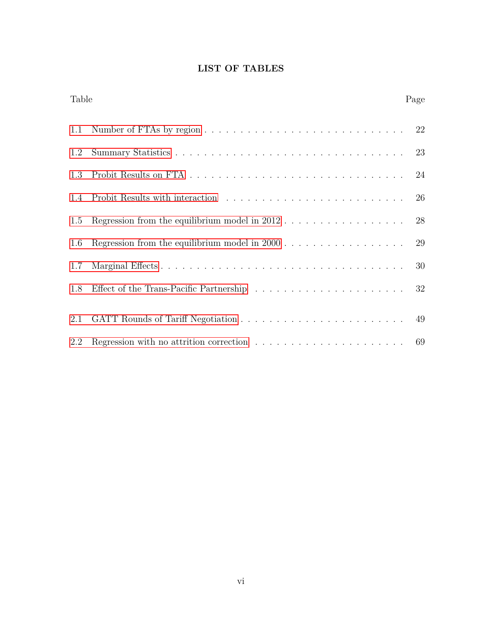# **LIST OF TABLES**

| Table |                                                                                               | Page |
|-------|-----------------------------------------------------------------------------------------------|------|
| 1.1   |                                                                                               | 22   |
| 1.2   |                                                                                               | 23   |
| 1.3   |                                                                                               | 24   |
| 1.4   |                                                                                               | 26   |
| 1.5   | Regression from the equilibrium model in $2012$                                               | 28   |
| 1.6   |                                                                                               | 29   |
| 1.7   |                                                                                               | 30   |
| 1.8   |                                                                                               | 32   |
| 2.1   |                                                                                               |      |
| 2.2   | Regression with no attrition correction $\ldots \ldots \ldots \ldots \ldots \ldots \ldots$ 69 |      |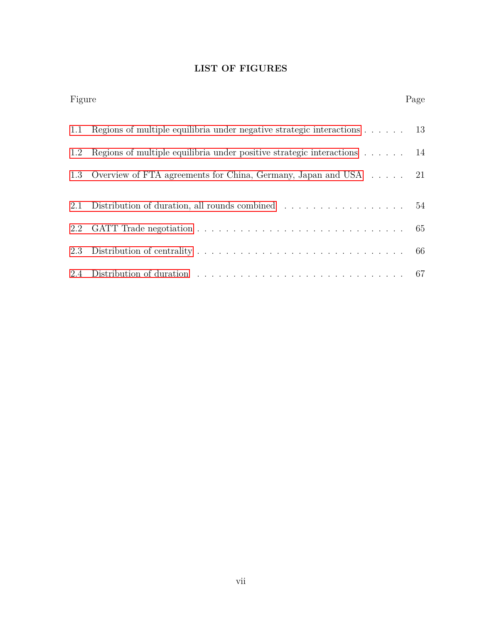# **LIST OF FIGURES**

| Figure |                                                                                         | Page |
|--------|-----------------------------------------------------------------------------------------|------|
| 1.1    | Regions of multiple equilibria under negative strategic interactions $\dots$ $\dots$ 13 |      |
| 1.2    | Regions of multiple equilibria under positive strategic interactions $\dots \dots$ 14   |      |
|        | 1.3 Overview of FTA agreements for China, Germany, Japan and USA 21                     |      |
| 2.1    | Distribution of duration, all rounds combined $\ldots \ldots \ldots \ldots \ldots 54$   |      |
| 2.2    |                                                                                         |      |
| 2.3    |                                                                                         |      |
|        |                                                                                         |      |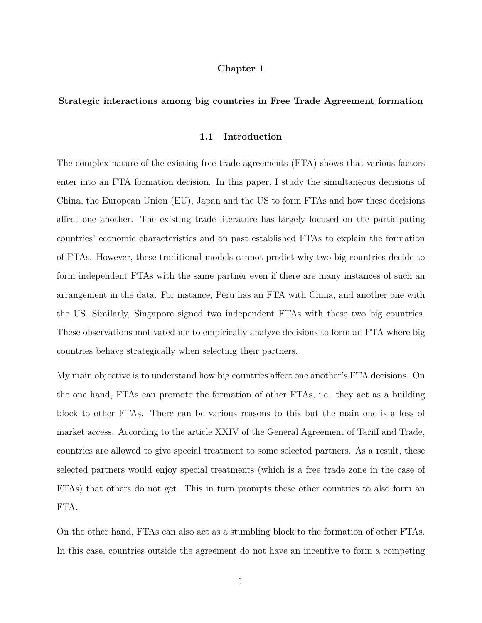# **Chapter 1**

## <span id="page-7-1"></span><span id="page-7-0"></span>**Strategic interactions among big countries in Free Trade Agreement formation**

## **1.1 Introduction**

The complex nature of the existing free trade agreements (FTA) shows that various factors enter into an FTA formation decision. In this paper, I study the simultaneous decisions of China, the European Union (EU), Japan and the US to form FTAs and how these decisions affect one another. The existing trade literature has largely focused on the participating countries' economic characteristics and on past established FTAs to explain the formation of FTAs. However, these traditional models cannot predict why two big countries decide to form independent FTAs with the same partner even if there are many instances of such an arrangement in the data. For instance, Peru has an FTA with China, and another one with the US. Similarly, Singapore signed two independent FTAs with these two big countries. These observations motivated me to empirically analyze decisions to form an FTA where big countries behave strategically when selecting their partners.

My main objective is to understand how big countries affect one another's FTA decisions. On the one hand, FTAs can promote the formation of other FTAs, i.e. they act as a building block to other FTAs. There can be various reasons to this but the main one is a loss of market access. According to the article XXIV of the General Agreement of Tariff and Trade, countries are allowed to give special treatment to some selected partners. As a result, these selected partners would enjoy special treatments (which is a free trade zone in the case of FTAs) that others do not get. This in turn prompts these other countries to also form an FTA.

On the other hand, FTAs can also act as a stumbling block to the formation of other FTAs. In this case, countries outside the agreement do not have an incentive to form a competing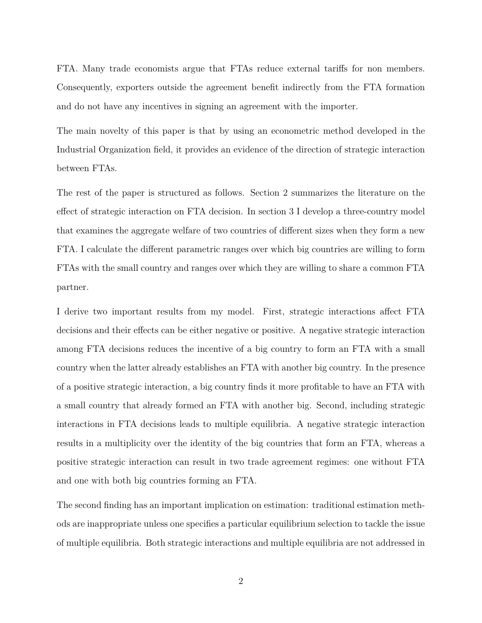FTA. Many trade economists argue that FTAs reduce external tariffs for non members. Consequently, exporters outside the agreement benefit indirectly from the FTA formation and do not have any incentives in signing an agreement with the importer.

The main novelty of this paper is that by using an econometric method developed in the Industrial Organization field, it provides an evidence of the direction of strategic interaction between FTAs.

The rest of the paper is structured as follows. Section 2 summarizes the literature on the effect of strategic interaction on FTA decision. In section 3 I develop a three-country model that examines the aggregate welfare of two countries of different sizes when they form a new FTA. I calculate the different parametric ranges over which big countries are willing to form FTAs with the small country and ranges over which they are willing to share a common FTA partner.

I derive two important results from my model. First, strategic interactions affect FTA decisions and their effects can be either negative or positive. A negative strategic interaction among FTA decisions reduces the incentive of a big country to form an FTA with a small country when the latter already establishes an FTA with another big country. In the presence of a positive strategic interaction, a big country finds it more profitable to have an FTA with a small country that already formed an FTA with another big. Second, including strategic interactions in FTA decisions leads to multiple equilibria. A negative strategic interaction results in a multiplicity over the identity of the big countries that form an FTA, whereas a positive strategic interaction can result in two trade agreement regimes: one without FTA and one with both big countries forming an FTA.

The second finding has an important implication on estimation: traditional estimation methods are inappropriate unless one specifies a particular equilibrium selection to tackle the issue of multiple equilibria. Both strategic interactions and multiple equilibria are not addressed in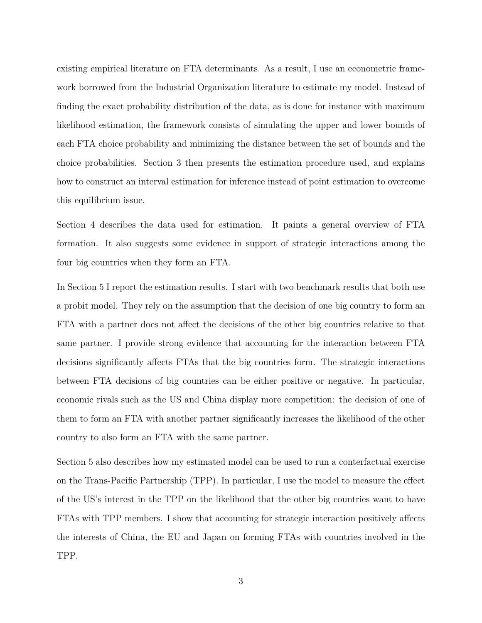existing empirical literature on FTA determinants. As a result, I use an econometric framework borrowed from the Industrial Organization literature to estimate my model. Instead of finding the exact probability distribution of the data, as is done for instance with maximum likelihood estimation, the framework consists of simulating the upper and lower bounds of each FTA choice probability and minimizing the distance between the set of bounds and the choice probabilities. Section 3 then presents the estimation procedure used, and explains how to construct an interval estimation for inference instead of point estimation to overcome this equilibrium issue.

Section 4 describes the data used for estimation. It paints a general overview of FTA formation. It also suggests some evidence in support of strategic interactions among the four big countries when they form an FTA.

In Section 5 I report the estimation results. I start with two benchmark results that both use a probit model. They rely on the assumption that the decision of one big country to form an FTA with a partner does not affect the decisions of the other big countries relative to that same partner. I provide strong evidence that accounting for the interaction between FTA decisions significantly affects FTAs that the big countries form. The strategic interactions between FTA decisions of big countries can be either positive or negative. In particular, economic rivals such as the US and China display more competition: the decision of one of them to form an FTA with another partner significantly increases the likelihood of the other country to also form an FTA with the same partner.

Section 5 also describes how my estimated model can be used to run a conterfactual exercise on the Trans-Pacific Partnership (TPP). In particular, I use the model to measure the effect of the US's interest in the TPP on the likelihood that the other big countries want to have FTAs with TPP members. I show that accounting for strategic interaction positively affects the interests of China, the EU and Japan on forming FTAs with countries involved in the TPP.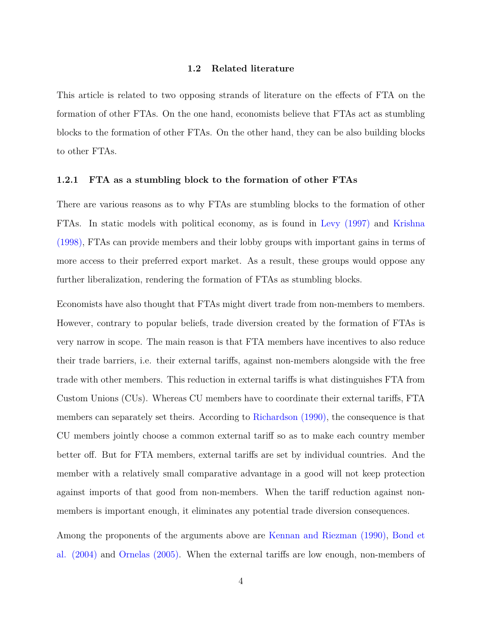# **1.2 Related literature**

<span id="page-10-0"></span>This article is related to two opposing strands of literature on the effects of FTA on the formation of other FTAs. On the one hand, economists believe that FTAs act as stumbling blocks to the formation of other FTAs. On the other hand, they can be also building blocks to other FTAs.

#### <span id="page-10-1"></span>**1.2.1 FTA as a stumbling block to the formation of other FTAs**

There are various reasons as to why FTAs are stumbling blocks to the formation of other FTAs. In static models with political economy, as is found in Levy (1997) and Krishna (1998), FTAs can provide members and their lobby groups with important gains in terms of more access to their preferred export market. As a result, these groups would oppose any further liberalization, rendering the formation of FTAs as stumbling blocks.

Economists have also thought that FTAs might divert trade from non-members to members. However, contrary to popular beliefs, trade diversion created by the formation of FTAs is very narrow in scope. The main reason is that FTA members have incentives to also reduce their trade barriers, i.e. their external tariffs, against non-members alongside with the free trade with other members. This reduction in external tariffs is what distinguishes FTA from Custom Unions (CUs). Whereas CU members have to coordinate their external tariffs, FTA members can separately set theirs. According to Richardson (1990), the consequence is that CU members jointly choose a common external tariff so as to make each country member better off. But for FTA members, external tariffs are set by individual countries. And the member with a relatively small comparative advantage in a good will not keep protection against imports of that good from non-members. When the tariff reduction against nonmembers is important enough, it eliminates any potential trade diversion consequences.

Among the proponents of the arguments above are Kennan and Riezman (1990), Bond et al. (2004) and Ornelas (2005). When the external tariffs are low enough, non-members of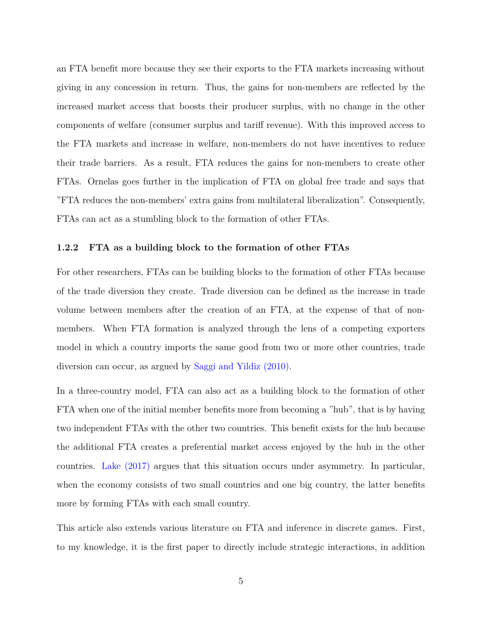an FTA benefit more because they see their exports to the FTA markets increasing without giving in any concession in return. Thus, the gains for non-members are reflected by the increased market access that boosts their producer surplus, with no change in the other components of welfare (consumer surplus and tariff revenue). With this improved access to the FTA markets and increase in welfare, non-members do not have incentives to reduce their trade barriers. As a result, FTA reduces the gains for non-members to create other FTAs. Ornelas goes further in the implication of FTA on global free trade and says that "FTA reduces the non-members' extra gains from multilateral liberalization". Consequently, FTAs can act as a stumbling block to the formation of other FTAs.

## <span id="page-11-0"></span>**1.2.2 FTA as a building block to the formation of other FTAs**

For other researchers, FTAs can be building blocks to the formation of other FTAs because of the trade diversion they create. Trade diversion can be defined as the increase in trade volume between members after the creation of an FTA, at the expense of that of nonmembers. When FTA formation is analyzed through the lens of a competing exporters model in which a country imports the same good from two or more other countries, trade diversion can occur, as argued by Saggi and Yildiz (2010).

In a three-country model, FTA can also act as a building block to the formation of other FTA when one of the initial member benefits more from becoming a "hub", that is by having two independent FTAs with the other two countries. This benefit exists for the hub because the additional FTA creates a preferential market access enjoyed by the hub in the other countries. Lake (2017) argues that this situation occurs under asymmetry. In particular, when the economy consists of two small countries and one big country, the latter benefits more by forming FTAs with each small country.

This article also extends various literature on FTA and inference in discrete games. First, to my knowledge, it is the first paper to directly include strategic interactions, in addition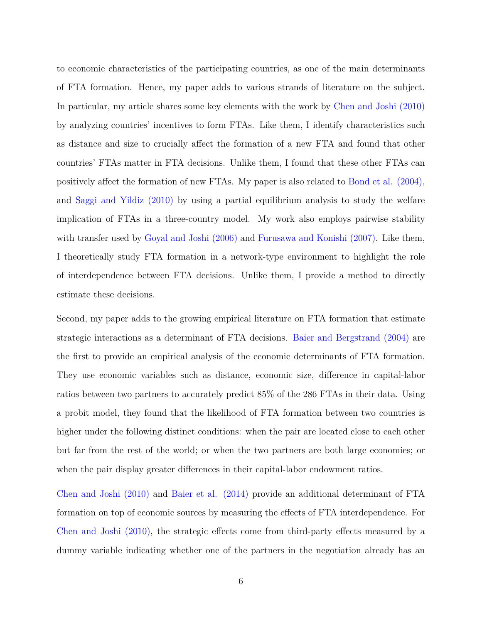to economic characteristics of the participating countries, as one of the main determinants of FTA formation. Hence, my paper adds to various strands of literature on the subject. In particular, my article shares some key elements with the work by Chen and Joshi (2010) by analyzing countries' incentives to form FTAs. Like them, I identify characteristics such as distance and size to crucially affect the formation of a new FTA and found that other countries' FTAs matter in FTA decisions. Unlike them, I found that these other FTAs can positively affect the formation of new FTAs. My paper is also related to Bond et al. (2004), and Saggi and Yildiz (2010) by using a partial equilibrium analysis to study the welfare implication of FTAs in a three-country model. My work also employs pairwise stability with transfer used by Goyal and Joshi (2006) and Furusawa and Konishi (2007). Like them, I theoretically study FTA formation in a network-type environment to highlight the role of interdependence between FTA decisions. Unlike them, I provide a method to directly estimate these decisions.

Second, my paper adds to the growing empirical literature on FTA formation that estimate strategic interactions as a determinant of FTA decisions. Baier and Bergstrand (2004) are the first to provide an empirical analysis of the economic determinants of FTA formation. They use economic variables such as distance, economic size, difference in capital-labor ratios between two partners to accurately predict 85% of the 286 FTAs in their data. Using a probit model, they found that the likelihood of FTA formation between two countries is higher under the following distinct conditions: when the pair are located close to each other but far from the rest of the world; or when the two partners are both large economies; or when the pair display greater differences in their capital-labor endowment ratios.

Chen and Joshi (2010) and Baier et al. (2014) provide an additional determinant of FTA formation on top of economic sources by measuring the effects of FTA interdependence. For Chen and Joshi (2010), the strategic effects come from third-party effects measured by a dummy variable indicating whether one of the partners in the negotiation already has an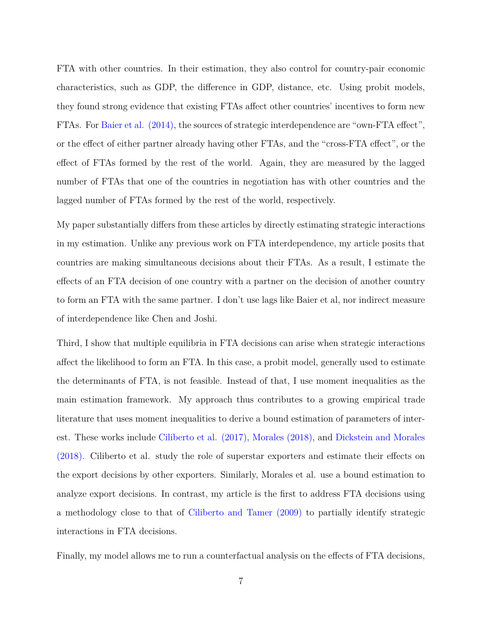FTA with other countries. In their estimation, they also control for country-pair economic characteristics, such as GDP, the difference in GDP, distance, etc. Using probit models, they found strong evidence that existing FTAs affect other countries' incentives to form new FTAs. For Baier et al. (2014), the sources of strategic interdependence are "own-FTA effect", or the effect of either partner already having other FTAs, and the "cross-FTA effect", or the effect of FTAs formed by the rest of the world. Again, they are measured by the lagged number of FTAs that one of the countries in negotiation has with other countries and the lagged number of FTAs formed by the rest of the world, respectively.

My paper substantially differs from these articles by directly estimating strategic interactions in my estimation. Unlike any previous work on FTA interdependence, my article posits that countries are making simultaneous decisions about their FTAs. As a result, I estimate the effects of an FTA decision of one country with a partner on the decision of another country to form an FTA with the same partner. I don't use lags like Baier et al, nor indirect measure of interdependence like Chen and Joshi.

Third, I show that multiple equilibria in FTA decisions can arise when strategic interactions affect the likelihood to form an FTA. In this case, a probit model, generally used to estimate the determinants of FTA, is not feasible. Instead of that, I use moment inequalities as the main estimation framework. My approach thus contributes to a growing empirical trade literature that uses moment inequalities to derive a bound estimation of parameters of interest. These works include Ciliberto et al. (2017), Morales (2018), and Dickstein and Morales (2018). Ciliberto et al. study the role of superstar exporters and estimate their effects on the export decisions by other exporters. Similarly, Morales et al. use a bound estimation to analyze export decisions. In contrast, my article is the first to address FTA decisions using a methodology close to that of Ciliberto and Tamer (2009) to partially identify strategic interactions in FTA decisions.

Finally, my model allows me to run a counterfactual analysis on the effects of FTA decisions,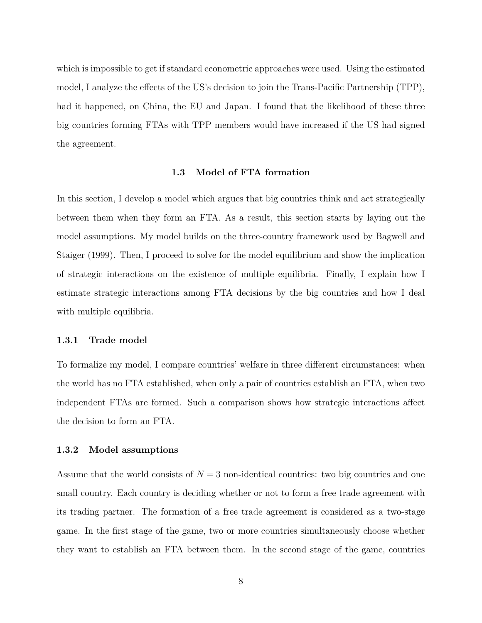which is impossible to get if standard econometric approaches were used. Using the estimated model, I analyze the effects of the US's decision to join the Trans-Pacific Partnership (TPP), had it happened, on China, the EU and Japan. I found that the likelihood of these three big countries forming FTAs with TPP members would have increased if the US had signed the agreement.

#### **1.3 Model of FTA formation**

<span id="page-14-0"></span>In this section, I develop a model which argues that big countries think and act strategically between them when they form an FTA. As a result, this section starts by laying out the model assumptions. My model builds on the three-country framework used by Bagwell and Staiger (1999). Then, I proceed to solve for the model equilibrium and show the implication of strategic interactions on the existence of multiple equilibria. Finally, I explain how I estimate strategic interactions among FTA decisions by the big countries and how I deal with multiple equilibria.

#### <span id="page-14-1"></span>**1.3.1 Trade model**

To formalize my model, I compare countries' welfare in three different circumstances: when the world has no FTA established, when only a pair of countries establish an FTA, when two independent FTAs are formed. Such a comparison shows how strategic interactions affect the decision to form an FTA.

# <span id="page-14-2"></span>**1.3.2 Model assumptions**

Assume that the world consists of  $N=3$  non-identical countries: two big countries and one small country. Each country is deciding whether or not to form a free trade agreement with its trading partner. The formation of a free trade agreement is considered as a two-stage game. In the first stage of the game, two or more countries simultaneously choose whether they want to establish an FTA between them. In the second stage of the game, countries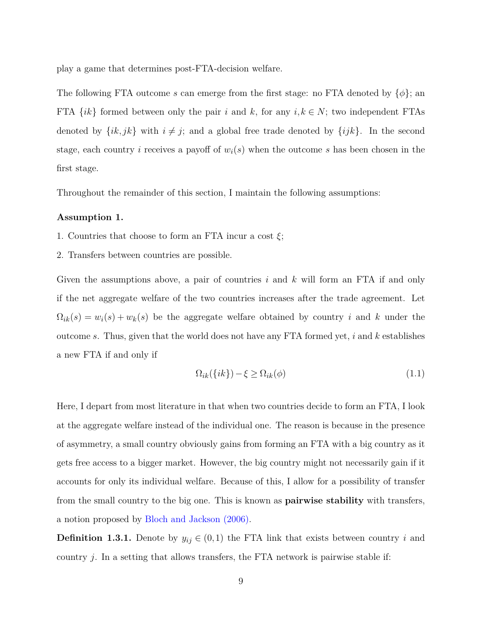play a game that determines post-FTA-decision welfare.

The following FTA outcome *s* can emerge from the first stage: no FTA denoted by {*φ*}; an FTA  $\{ik\}$  formed between only the pair *i* and *k*, for any  $i, k \in N$ ; two independent FTAs denoted by  $\{ik, jk\}$  with  $i \neq j$ ; and a global free trade denoted by  $\{ijk\}$ . In the second stage, each country *i* receives a payoff of *wi*(*s*) when the outcome *s* has been chosen in the first stage.

Throughout the remainder of this section, I maintain the following assumptions:

#### **Assumption 1.**

- 1. Countries that choose to form an FTA incur a cost *ξ*;
- 2. Transfers between countries are possible.

Given the assumptions above, a pair of countries *i* and *k* will form an FTA if and only if the net aggregate welfare of the two countries increases after the trade agreement. Let  $\Omega_{ik}(s) = w_i(s) + w_k(s)$  be the aggregate welfare obtained by country *i* and *k* under the outcome *s*. Thus, given that the world does not have any FTA formed yet, *i* and *k* establishes a new FTA if and only if

<span id="page-15-0"></span>
$$
\Omega_{ik}(\{ik\}) - \xi \ge \Omega_{ik}(\phi) \tag{1.1}
$$

Here, I depart from most literature in that when two countries decide to form an FTA, I look at the aggregate welfare instead of the individual one. The reason is because in the presence of asymmetry, a small country obviously gains from forming an FTA with a big country as it gets free access to a bigger market. However, the big country might not necessarily gain if it accounts for only its individual welfare. Because of this, I allow for a possibility of transfer from the small country to the big one. This is known as **pairwise stability** with transfers, a notion proposed by Bloch and Jackson (2006).

<span id="page-15-1"></span>**Definition 1.3.1.** Denote by  $y_{ij} \in (0,1)$  the FTA link that exists between country *i* and country *j*. In a setting that allows transfers, the FTA network is pairwise stable if: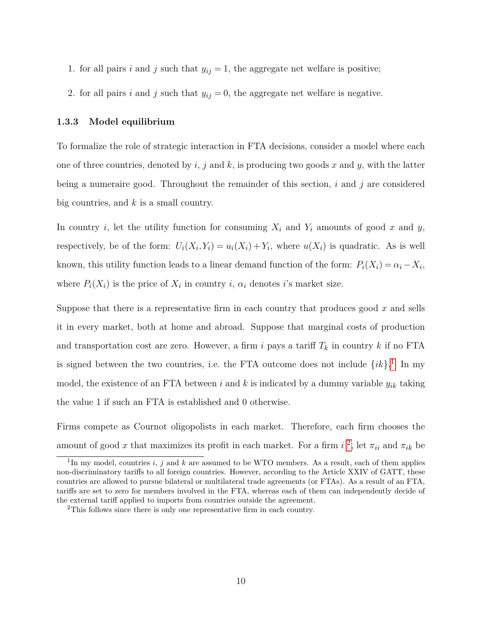- 1. for all pairs *i* and *j* such that  $y_{ij} = 1$ , the aggregate net welfare is positive;
- 2. for all pairs *i* and *j* such that  $y_{ij} = 0$ , the aggregate net welfare is negative.

# <span id="page-16-0"></span>**1.3.3 Model equilibrium**

To formalize the role of strategic interaction in FTA decisions, consider a model where each one of three countries, denoted by *i*, *j* and *k*, is producing two goods *x* and *y*, with the latter being a numeraire good. Throughout the remainder of this section, *i* and *j* are considered big countries, and *k* is a small country.

In country *i*, let the utility function for consuming  $X_i$  and  $Y_i$  amounts of good  $x$  and  $y$ , respectively, be of the form:  $U_i(X_i, Y_i) = u_i(X_i) + Y_i$ , where  $u(X_i)$  is quadratic. As is well known, this utility function leads to a linear demand function of the form:  $P_i(X_i) = \alpha_i - X_i$ , where  $P_i(X_i)$  is the price of  $X_i$  in country  $i$ ,  $\alpha_i$  denotes *i*'s market size.

Suppose that there is a representative firm in each country that produces good *x* and sells it in every market, both at home and abroad. Suppose that marginal costs of production and transportation cost are zero. However, a firm *i* pays a tariff  $T_k$  in country k if no FTA is signed between the two countries, i.e. the FTA outcome does not include  $\{ik\}$ <sup>[1](#page-16-1)</sup>. In my model, the existence of an FTA between  $i$  and  $k$  is indicated by a dummy variable  $y_{ik}$  taking the value 1 if such an FTA is established and 0 otherwise.

Firms compete as Cournot oligopolists in each market. Therefore, each firm chooses the amount of good *x* that maximizes its profit in each market. For a firm  $i^2$  $i^2$ , let  $\pi_{ii}$  and  $\pi_{ik}$  be

<span id="page-16-1"></span><sup>&</sup>lt;sup>1</sup>In my model, countries *i*, *j* and *k* are assumed to be WTO members. As a result, each of them applies non-discriminatory tariffs to all foreign countries. However, according to the Article XXIV of GATT, these countries are allowed to pursue bilateral or multilateral trade agreements (or FTAs). As a result of an FTA, tariffs are set to zero for members involved in the FTA, whereas each of them can independently decide of the external tariff applied to imports from countries outside the agreement.

<span id="page-16-2"></span><sup>&</sup>lt;sup>2</sup>This follows since there is only one representative firm in each country.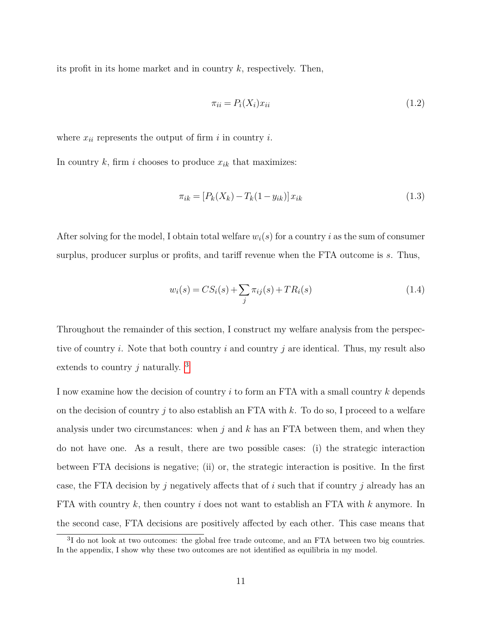its profit in its home market and in country *k*, respectively. Then,

$$
\pi_{ii} = P_i(X_i)x_{ii} \tag{1.2}
$$

where  $x_{ii}$  represents the output of firm  $i$  in country  $i$ .

In country  $k$ , firm  $i$  chooses to produce  $x_{ik}$  that maximizes:

$$
\pi_{ik} = [P_k(X_k) - T_k(1 - y_{ik})]x_{ik}
$$
\n(1.3)

After solving for the model, I obtain total welfare  $w_i(s)$  for a country *i* as the sum of consumer surplus, producer surplus or profits, and tariff revenue when the FTA outcome is *s*. Thus,

$$
w_i(s) = CS_i(s) + \sum_j \pi_{ij}(s) + TR_i(s)
$$
\n(1.4)

Throughout the remainder of this section, I construct my welfare analysis from the perspective of country *i*. Note that both country *i* and country *j* are identical. Thus, my result also extends to country *j* naturally. [3](#page-17-0)

I now examine how the decision of country *i* to form an FTA with a small country *k* depends on the decision of country *j* to also establish an FTA with *k*. To do so, I proceed to a welfare analysis under two circumstances: when *j* and *k* has an FTA between them, and when they do not have one. As a result, there are two possible cases: (i) the strategic interaction between FTA decisions is negative; (ii) or, the strategic interaction is positive. In the first case, the FTA decision by *j* negatively affects that of *i* such that if country *j* already has an FTA with country *k*, then country *i* does not want to establish an FTA with *k* anymore. In the second case, FTA decisions are positively affected by each other. This case means that

<span id="page-17-0"></span><sup>&</sup>lt;sup>3</sup>I do not look at two outcomes: the global free trade outcome, and an FTA between two big countries. In the appendix, I show why these two outcomes are not identified as equilibria in my model.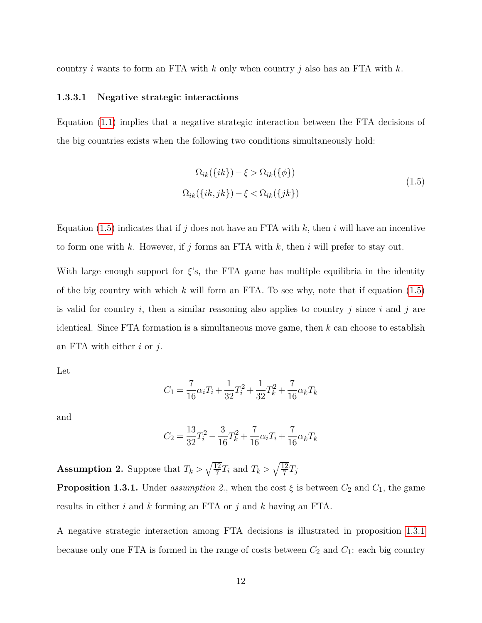<span id="page-18-0"></span>country *i* wants to form an FTA with *k* only when country *j* also has an FTA with *k*.

# **1.3.3.1 Negative strategic interactions**

Equation [\(1.1\)](#page-15-0) implies that a negative strategic interaction between the FTA decisions of the big countries exists when the following two conditions simultaneously hold:

<span id="page-18-1"></span>
$$
\Omega_{ik}(\{ik\}) - \xi > \Omega_{ik}(\{\phi\})
$$
\n
$$
\Omega_{ik}(\{ik, jk\}) - \xi < \Omega_{ik}(\{jk\})
$$
\n(1.5)

Equation  $(1.5)$  indicates that if *j* does not have an FTA with *k*, then *i* will have an incentive to form one with *k*. However, if *j* forms an FTA with *k*, then *i* will prefer to stay out.

With large enough support for  $\xi$ 's, the FTA game has multiple equilibria in the identity of the big country with which *k* will form an FTA. To see why, note that if equation [\(1.5\)](#page-18-1) is valid for country *i*, then a similar reasoning also applies to country *j* since *i* and *j* are identical. Since FTA formation is a simultaneous move game, then *k* can choose to establish an FTA with either *i* or *j*.

Let

$$
C_1 = \frac{7}{16}\alpha_i T_i + \frac{1}{32}T_i^2 + \frac{1}{32}T_k^2 + \frac{7}{16}\alpha_k T_k
$$

and

$$
C_2 = \frac{13}{32}T_i^2 - \frac{3}{16}T_k^2 + \frac{7}{16}\alpha_i T_i + \frac{7}{16}\alpha_k T_k
$$

<span id="page-18-2"></span>**Assumption 2.** Suppose that  $T_k > \sqrt{\frac{12}{7}}$  $\sqrt{\frac{12}{7}}T_i$  and  $T_k > \sqrt{\frac{12}{7}}$  $\frac{12}{7}T_j$ 

**Proposition 1.3.1.** Under *assumption 2.*, when the cost  $\xi$  is between  $C_2$  and  $C_1$ , the game results in either *i* and *k* forming an FTA or *j* and *k* having an FTA.

A negative strategic interaction among FTA decisions is illustrated in proposition [1.3.1](#page-18-2) because only one FTA is formed in the range of costs between  $C_2$  and  $C_1$ : each big country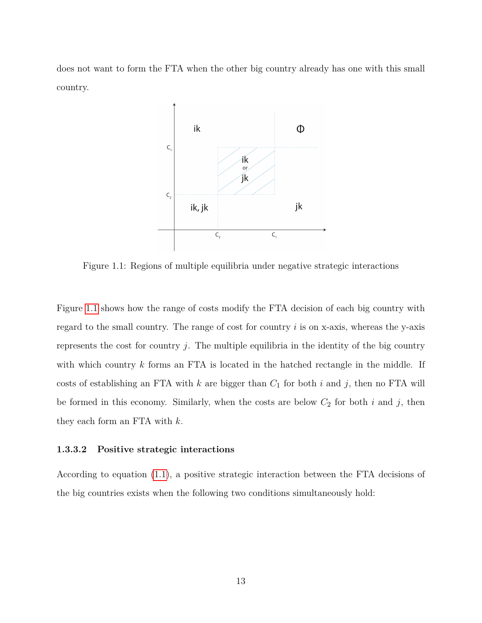<span id="page-19-1"></span>does not want to form the FTA when the other big country already has one with this small country.



Figure 1.1: Regions of multiple equilibria under negative strategic interactions

Figure [1.1](#page-19-1) shows how the range of costs modify the FTA decision of each big country with regard to the small country. The range of cost for country *i* is on x-axis, whereas the y-axis represents the cost for country *j*. The multiple equilibria in the identity of the big country with which country *k* forms an FTA is located in the hatched rectangle in the middle. If costs of establishing an FTA with  $k$  are bigger than  $C_1$  for both  $i$  and  $j$ , then no FTA will be formed in this economy. Similarly, when the costs are below  $C_2$  for both  $i$  and  $j$ , then they each form an FTA with *k*.

# <span id="page-19-0"></span>**1.3.3.2 Positive strategic interactions**

According to equation [\(1.1\)](#page-15-0), a positive strategic interaction between the FTA decisions of the big countries exists when the following two conditions simultaneously hold: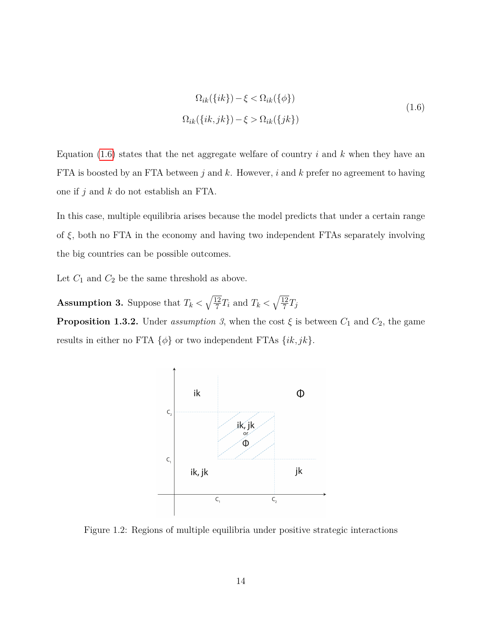<span id="page-20-1"></span>
$$
\Omega_{ik}(\{ik\}) - \xi < \Omega_{ik}(\{\phi\})
$$
\n
$$
\Omega_{ik}(\{ik, jk\}) - \xi > \Omega_{ik}(\{jk\})
$$
\n
$$
(1.6)
$$

Equation [\(1.6\)](#page-20-1) states that the net aggregate welfare of country *i* and *k* when they have an FTA is boosted by an FTA between *j* and *k*. However, *i* and *k* prefer no agreement to having one if *j* and *k* do not establish an FTA.

In this case, multiple equilibria arises because the model predicts that under a certain range of *ξ*, both no FTA in the economy and having two independent FTAs separately involving the big countries can be possible outcomes.

Let  $C_1$  and  $C_2$  be the same threshold as above.

**Assumption 3.** Suppose that  $T_k < \sqrt{\frac{12}{7}}$  $\sqrt{\frac{12}{7}}T_i$  and  $T_k < \sqrt{\frac{12}{7}}$  $\frac{12}{7}T_j$ 

<span id="page-20-2"></span><span id="page-20-0"></span>**Proposition 1.3.2.** Under *assumption 3*, when the cost  $\xi$  is between  $C_1$  and  $C_2$ , the game results in either no FTA  $\{\phi\}$  or two independent FTAs  $\{ik, jk\}$ .



Figure 1.2: Regions of multiple equilibria under positive strategic interactions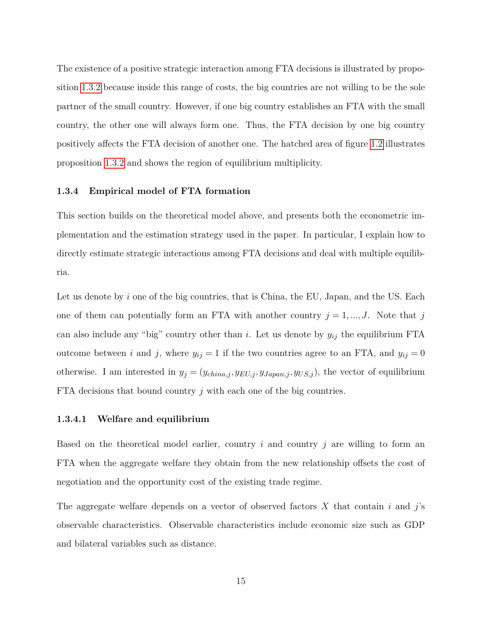The existence of a positive strategic interaction among FTA decisions is illustrated by proposition [1.3.2](#page-20-2) because inside this range of costs, the big countries are not willing to be the sole partner of the small country. However, if one big country establishes an FTA with the small country, the other one will always form one. Thus, the FTA decision by one big country positively affects the FTA decision of another one. The hatched area of figure [1.2](#page-20-0) illustrates proposition [1.3.2](#page-20-2) and shows the region of equilibrium multiplicity.

# <span id="page-21-0"></span>**1.3.4 Empirical model of FTA formation**

This section builds on the theoretical model above, and presents both the econometric implementation and the estimation strategy used in the paper. In particular, I explain how to directly estimate strategic interactions among FTA decisions and deal with multiple equilibria.

Let us denote by *i* one of the big countries, that is China, the EU, Japan, and the US. Each one of them can potentially form an FTA with another country  $j = 1, ..., J$ . Note that *j* can also include any "big" country other than *i*. Let us denote by *yij* the equilibrium FTA outcome between *i* and *j*, where  $y_{ij} = 1$  if the two countries agree to an FTA, and  $y_{ij} = 0$ otherwise. I am interested in  $y_j = (y_{china,j}, y_{EU,j}, y_{Japan,j}, y_{US,j})$ , the vector of equilibrium FTA decisions that bound country *j* with each one of the big countries.

# <span id="page-21-1"></span>**1.3.4.1 Welfare and equilibrium**

Based on the theoretical model earlier, country *i* and country *j* are willing to form an FTA when the aggregate welfare they obtain from the new relationship offsets the cost of negotiation and the opportunity cost of the existing trade regime.

The aggregate welfare depends on a vector of observed factors *X* that contain *i* and *j*'s observable characteristics. Observable characteristics include economic size such as GDP and bilateral variables such as distance.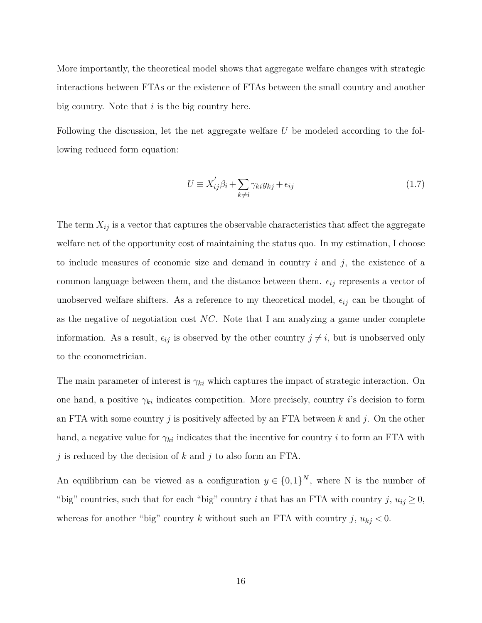More importantly, the theoretical model shows that aggregate welfare changes with strategic interactions between FTAs or the existence of FTAs between the small country and another big country. Note that *i* is the big country here.

Following the discussion, let the net aggregate welfare *U* be modeled according to the following reduced form equation:

$$
U \equiv X'_{ij}\beta_i + \sum_{k \neq i} \gamma_{ki} y_{kj} + \epsilon_{ij}
$$
\n(1.7)

The term *Xij* is a vector that captures the observable characteristics that affect the aggregate welfare net of the opportunity cost of maintaining the status quo. In my estimation, I choose to include measures of economic size and demand in country *i* and *j*, the existence of a common language between them, and the distance between them.  $\epsilon_{ij}$  represents a vector of unobserved welfare shifters. As a reference to my theoretical model,  $\epsilon_{ij}$  can be thought of as the negative of negotiation cost *NC*. Note that I am analyzing a game under complete information. As a result,  $\epsilon_{ij}$  is observed by the other country  $j \neq i$ , but is unobserved only to the econometrician.

The main parameter of interest is  $\gamma_{ki}$  which captures the impact of strategic interaction. On one hand, a positive  $\gamma_{ki}$  indicates competition. More precisely, country *i*'s decision to form an FTA with some country *j* is positively affected by an FTA between *k* and *j*. On the other hand, a negative value for  $\gamma_{ki}$  indicates that the incentive for country *i* to form an FTA with *j* is reduced by the decision of *k* and *j* to also form an FTA.

An equilibrium can be viewed as a configuration  $y \in \{0,1\}^N$ , where N is the number of "big" countries, such that for each "big" country *i* that has an FTA with country *j*,  $u_{ij} \geq 0$ , whereas for another "big" country *k* without such an FTA with country  $j, u_{kj} < 0$ .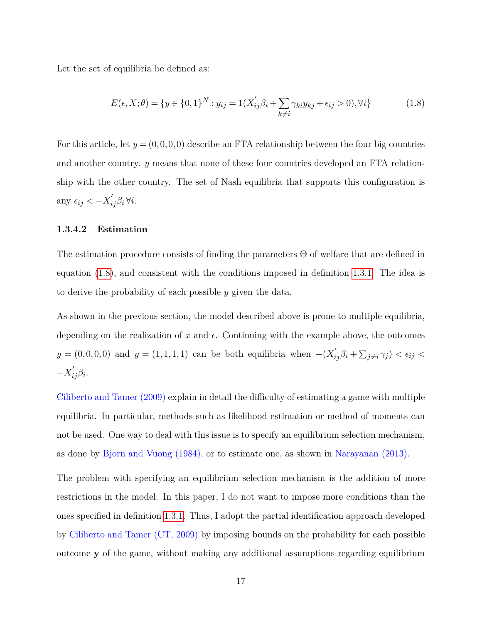Let the set of equilibria be defined as:

<span id="page-23-1"></span>
$$
E(\epsilon, X; \theta) = \{ y \in \{0, 1\}^N : y_{ij} = 1(X'_{ij}\beta_i + \sum_{k \neq i} \gamma_{ki} y_{kj} + \epsilon_{ij} > 0), \forall i \}
$$
(1.8)

For this article, let  $y = (0,0,0,0)$  describe an FTA relationship between the four big countries and another country. *y* means that none of these four countries developed an FTA relationship with the other country. The set of Nash equilibria that supports this configuration is any  $\epsilon_{ij} < -X'_{ij}\beta_i \forall i$ .

# <span id="page-23-0"></span>**1.3.4.2 Estimation**

The estimation procedure consists of finding the parameters Θ of welfare that are defined in equation [\(1.8\)](#page-23-1), and consistent with the conditions imposed in definition [1.3.1.](#page-15-1) The idea is to derive the probability of each possible *y* given the data.

As shown in the previous section, the model described above is prone to multiple equilibria, depending on the realization of x and  $\epsilon$ . Continuing with the example above, the outcomes  $y = (0, 0, 0, 0)$  and  $y = (1, 1, 1, 1)$  can be both equilibria when  $-(X'_{ij}\beta_i + \sum_{j\neq i}\gamma_j) < \epsilon_{ij}$  $-X'_{ij}\beta_i$ .

Ciliberto and Tamer (2009) explain in detail the difficulty of estimating a game with multiple equilibria. In particular, methods such as likelihood estimation or method of moments can not be used. One way to deal with this issue is to specify an equilibrium selection mechanism, as done by Bjorn and Vuong (1984), or to estimate one, as shown in Narayanan (2013).

The problem with specifying an equilibrium selection mechanism is the addition of more restrictions in the model. In this paper, I do not want to impose more conditions than the ones specified in definition [1.3.1.](#page-15-1) Thus, I adopt the partial identification approach developed by Ciliberto and Tamer (CT, 2009) by imposing bounds on the probability for each possible outcome **y** of the game, without making any additional assumptions regarding equilibrium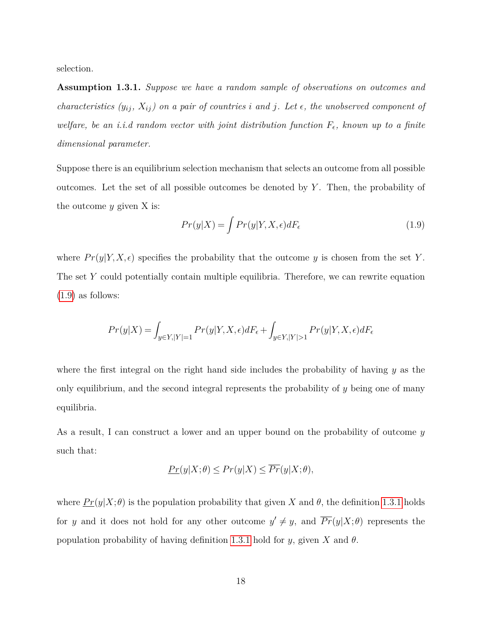selection.

**Assumption 1.3.1.** *Suppose we have a random sample of observations on outcomes and characteristics*  $(y_{ij}, X_{ij})$  on a pair of countries *i* and *j*. Let  $\epsilon$ , the unobserved component of *welfare, be an i.i.d random vector with joint distribution function*  $F_{\epsilon}$ , known up to a finite *dimensional parameter.*

Suppose there is an equilibrium selection mechanism that selects an outcome from all possible outcomes. Let the set of all possible outcomes be denoted by *Y* . Then, the probability of the outcome *y* given X is:

<span id="page-24-0"></span>
$$
Pr(y|X) = \int Pr(y|Y, X, \epsilon) dF_{\epsilon}
$$
\n(1.9)

where  $Pr(y|Y, X, \epsilon)$  specifies the probability that the outcome *y* is chosen from the set *Y*. The set Y could potentially contain multiple equilibria. Therefore, we can rewrite equation [\(1.9\)](#page-24-0) as follows:

$$
Pr(y|X) = \int_{y \in Y, |Y| = 1} Pr(y|Y, X, \epsilon) dF_{\epsilon} + \int_{y \in Y, |Y| > 1} Pr(y|Y, X, \epsilon) dF_{\epsilon}
$$

where the first integral on the right hand side includes the probability of having *y* as the only equilibrium, and the second integral represents the probability of *y* being one of many equilibria.

As a result, I can construct a lower and an upper bound on the probability of outcome *y* such that:

$$
\underline{Pr}(y|X;\theta) \le \overline{Pr}(y|X) \le \overline{Pr}(y|X;\theta),
$$

where  $\Pr(y|X;\theta)$  is the population probability that given X and  $\theta$ , the definition [1.3.1](#page-15-1) holds for *y* and it does not hold for any other outcome  $y' \neq y$ , and  $\overline{Pr}(y|X;\theta)$  represents the population probability of having definition [1.3.1](#page-15-1) hold for  $y$ , given  $X$  and  $\theta$ .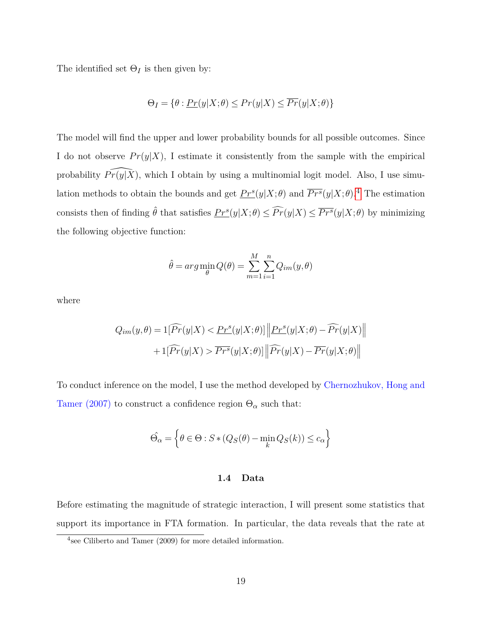The identified set  $\Theta_I$  is then given by:

$$
\Theta_I = \{ \theta : \underline{Pr}(y|X;\theta) \le \overline{Pr}(y|X) \le \overline{Pr}(y|X;\theta) \}
$$

The model will find the upper and lower probability bounds for all possible outcomes. Since I do not observe  $Pr(y|X)$ , I estimate it consistently from the sample with the empirical probability  $\widehat{Pr(y|X)}$ , which I obtain by using a multinomial logit model. Also, I use simulation methods to obtain the bounds and get  $\frac{Pr^{s}(y|X;\theta)}{P r^{s}(y|X;\theta)}$  and  $\frac{Pr^{s}(y|X;\theta)}{P r^{s}(y|X;\theta)}$ .<sup>[4](#page-25-1)</sup> The estimation consists then of finding  $\hat{\theta}$  that satisfies  $\overline{Pr^s}(y|X;\theta) \leq \overline{Pr^s}(y|X;\theta)$  by minimizing the following objective function:

$$
\hat{\theta} = arg \min_{\theta} Q(\theta) = \sum_{m=1}^{M} \sum_{i=1}^{n} Q_{im}(y, \theta)
$$

where

$$
Q_{im}(y,\theta) = 1[\widehat{Pr}(y|X) < \underline{Pr^s}(y|X;\theta)] \left\| \underline{Pr^s}(y|X;\theta) - \widehat{Pr}(y|X) \right\|
$$

$$
+ 1[\widehat{Pr}(y|X) > \overline{Pr^s}(y|X;\theta)] \left\| \widehat{Pr}(y|X) - \overline{Pr}(y|X;\theta) \right\|
$$

To conduct inference on the model, I use the method developed by Chernozhukov, Hong and Tamer (2007) to construct a confidence region  $\Theta_{\alpha}$  such that:

$$
\widehat{\Theta}_{\alpha} = \left\{ \theta \in \Theta : S * (Q_S(\theta) - \min_k Q_S(k)) \le c_{\alpha} \right\}
$$

### **1.4 Data**

<span id="page-25-0"></span>Before estimating the magnitude of strategic interaction, I will present some statistics that support its importance in FTA formation. In particular, the data reveals that the rate at

<span id="page-25-1"></span><sup>4</sup> see Ciliberto and Tamer (2009) for more detailed information.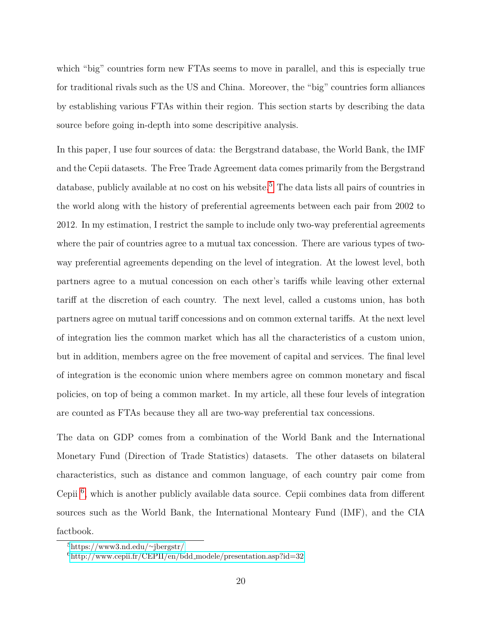which "big" countries form new FTAs seems to move in parallel, and this is especially true for traditional rivals such as the US and China. Moreover, the "big" countries form alliances by establishing various FTAs within their region. This section starts by describing the data source before going in-depth into some descripitive analysis.

In this paper, I use four sources of data: the Bergstrand database, the World Bank, the IMF and the Cepii datasets. The Free Trade Agreement data comes primarily from the Bergstrand database, publicly available at no cost on his website.<sup>[5](#page-26-0)</sup> The data lists all pairs of countries in the world along with the history of preferential agreements between each pair from 2002 to 2012. In my estimation, I restrict the sample to include only two-way preferential agreements where the pair of countries agree to a mutual tax concession. There are various types of twoway preferential agreements depending on the level of integration. At the lowest level, both partners agree to a mutual concession on each other's tariffs while leaving other external tariff at the discretion of each country. The next level, called a customs union, has both partners agree on mutual tariff concessions and on common external tariffs. At the next level of integration lies the common market which has all the characteristics of a custom union, but in addition, members agree on the free movement of capital and services. The final level of integration is the economic union where members agree on common monetary and fiscal policies, on top of being a common market. In my article, all these four levels of integration are counted as FTAs because they all are two-way preferential tax concessions.

The data on GDP comes from a combination of the World Bank and the International Monetary Fund (Direction of Trade Statistics) datasets. The other datasets on bilateral characteristics, such as distance and common language, of each country pair come from Cepii [6](#page-26-1) , which is another publicly available data source. Cepii combines data from different sources such as the World Bank, the International Monteary Fund (IMF), and the CIA factbook.

<span id="page-26-0"></span><sup>5</sup>[https://www3.nd.edu/](https://www3.nd.edu/~jbergstr/)∼jbergstr/

<span id="page-26-1"></span> $^{6}$ [http://www.cepii.fr/CEPII/en/bdd](http://www.cepii.fr/CEPII/en/bdd_modele/presentation.asp?id=32)\_modele/presentation.asp?id=32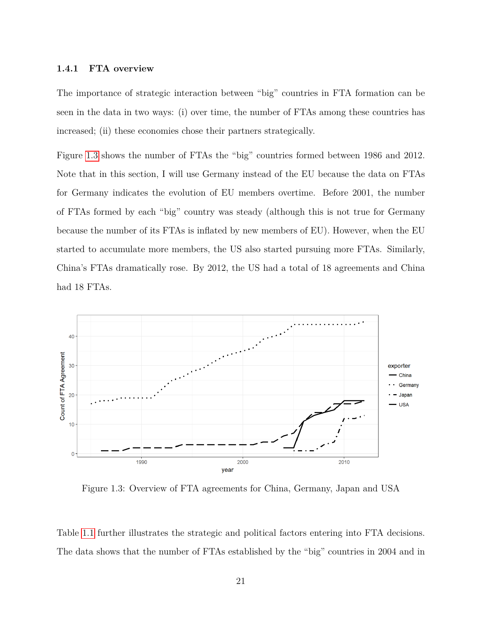# <span id="page-27-0"></span>**1.4.1 FTA overview**

The importance of strategic interaction between "big" countries in FTA formation can be seen in the data in two ways: (i) over time, the number of FTAs among these countries has increased; (ii) these economies chose their partners strategically.

Figure [1.3](#page-27-1) shows the number of FTAs the "big" countries formed between 1986 and 2012. Note that in this section, I will use Germany instead of the EU because the data on FTAs for Germany indicates the evolution of EU members overtime. Before 2001, the number of FTAs formed by each "big" country was steady (although this is not true for Germany because the number of its FTAs is inflated by new members of EU). However, when the EU started to accumulate more members, the US also started pursuing more FTAs. Similarly, China's FTAs dramatically rose. By 2012, the US had a total of 18 agreements and China had 18 FTAs.

<span id="page-27-1"></span>

Figure 1.3: Overview of FTA agreements for China, Germany, Japan and USA

Table [1.1](#page-28-0) further illustrates the strategic and political factors entering into FTA decisions. The data shows that the number of FTAs established by the "big" countries in 2004 and in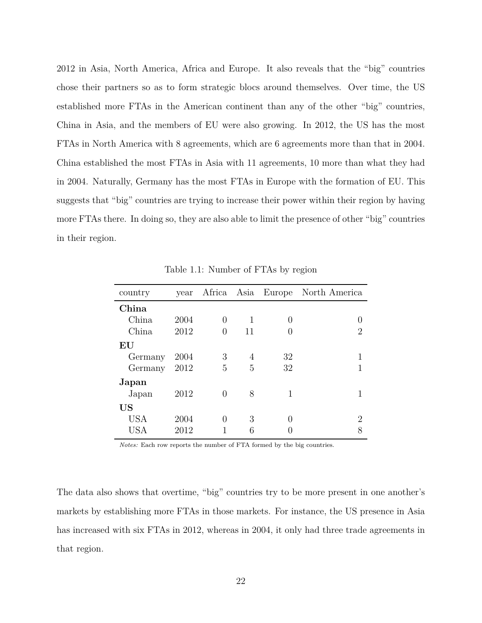2012 in Asia, North America, Africa and Europe. It also reveals that the "big" countries chose their partners so as to form strategic blocs around themselves. Over time, the US established more FTAs in the American continent than any of the other "big" countries, China in Asia, and the members of EU were also growing. In 2012, the US has the most FTAs in North America with 8 agreements, which are 6 agreements more than that in 2004. China established the most FTAs in Asia with 11 agreements, 10 more than what they had in 2004. Naturally, Germany has the most FTAs in Europe with the formation of EU. This suggests that "big" countries are trying to increase their power within their region by having more FTAs there. In doing so, they are also able to limit the presence of other "big" countries in their region.

<span id="page-28-0"></span>

| country                |      |   |    |                  | year Africa Asia Europe North America |
|------------------------|------|---|----|------------------|---------------------------------------|
| China                  |      |   |    |                  |                                       |
| China                  | 2004 | 0 | 1  | $\left( \right)$ |                                       |
| China                  | 2012 | 0 | 11 |                  | 2                                     |
| $\mathbf{E}\mathbf{U}$ |      |   |    |                  |                                       |
| Germany                | 2004 | 3 | 4  | 32               |                                       |
| Germany                | 2012 | 5 | 5  | 32               |                                       |
| Japan                  |      |   |    |                  |                                       |
| Japan                  | 2012 | 0 | 8  | 1                |                                       |
| US                     |      |   |    |                  |                                       |
| <b>USA</b>             | 2004 | 0 | 3  |                  | 2                                     |
| USA                    | 2012 |   | 6  |                  | 8                                     |

Table 1.1: Number of FTAs by region

*Notes:* Each row reports the number of FTA formed by the big countries.

The data also shows that overtime, "big" countries try to be more present in one another's markets by establishing more FTAs in those markets. For instance, the US presence in Asia has increased with six FTAs in 2012, whereas in 2004, it only had three trade agreements in that region.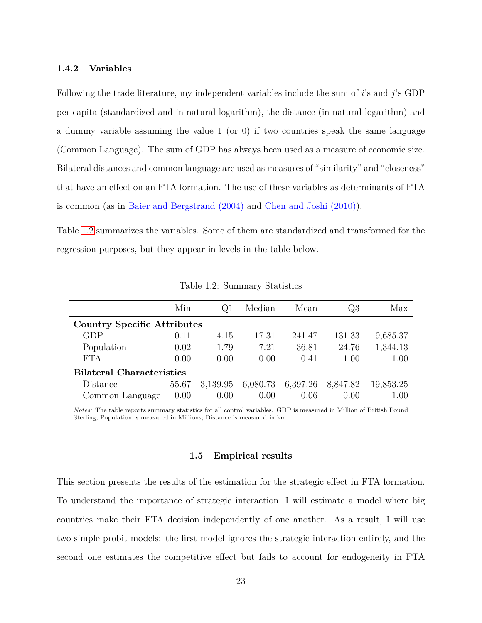# <span id="page-29-0"></span>**1.4.2 Variables**

Following the trade literature, my independent variables include the sum of *i*'s and *j*'s GDP per capita (standardized and in natural logarithm), the distance (in natural logarithm) and a dummy variable assuming the value  $1$  (or 0) if two countries speak the same language (Common Language). The sum of GDP has always been used as a measure of economic size. Bilateral distances and common language are used as measures of "similarity" and "closeness" that have an effect on an FTA formation. The use of these variables as determinants of FTA is common (as in Baier and Bergstrand (2004) and Chen and Joshi (2010)).

Table [1.2](#page-29-2) summarizes the variables. Some of them are standardized and transformed for the regression purposes, but they appear in levels in the table below.

<span id="page-29-2"></span>

|                                    | Min   | Q1       | Median   | Mean     | Q3       | Max       |  |  |  |
|------------------------------------|-------|----------|----------|----------|----------|-----------|--|--|--|
| <b>Country Specific Attributes</b> |       |          |          |          |          |           |  |  |  |
| GDP                                | 0.11  | 4.15     | 17.31    | 241.47   | 131.33   | 9,685.37  |  |  |  |
| Population                         | 0.02  | 1.79     | 7.21     | 36.81    | 24.76    | 1,344.13  |  |  |  |
| <b>FTA</b>                         | 0.00  | 0.00     | 0.00     | 0.41     | 1.00     | 1.00      |  |  |  |
| <b>Bilateral Characteristics</b>   |       |          |          |          |          |           |  |  |  |
| Distance                           | 55.67 | 3,139.95 | 6,080.73 | 6,397.26 | 8,847.82 | 19,853.25 |  |  |  |
| Common Language                    | 0.00  | 0.00     | 0.00     | 0.06     | (0.00)   | $1.00\,$  |  |  |  |

Table 1.2: Summary Statistics

<span id="page-29-1"></span>*Notes:* The table reports summary statistics for all control variables. GDP is measured in Million of British Pound Sterling; Population is measured in Millions; Distance is measured in km.

# **1.5 Empirical results**

This section presents the results of the estimation for the strategic effect in FTA formation. To understand the importance of strategic interaction, I will estimate a model where big countries make their FTA decision independently of one another. As a result, I will use two simple probit models: the first model ignores the strategic interaction entirely, and the second one estimates the competitive effect but fails to account for endogeneity in FTA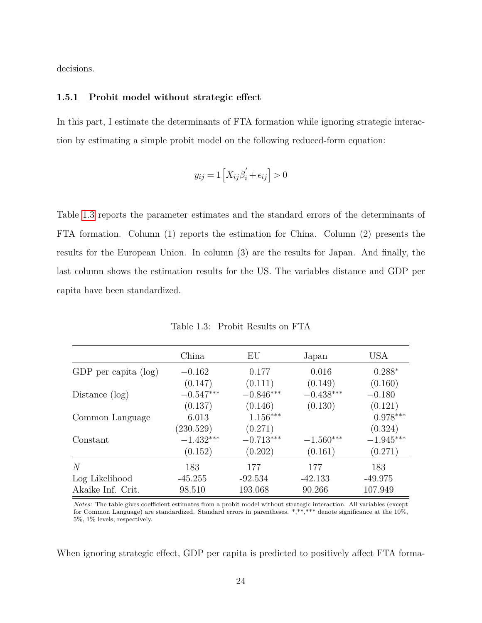<span id="page-30-0"></span>decisions.

# **1.5.1 Probit model without strategic effect**

In this part, I estimate the determinants of FTA formation while ignoring strategic interaction by estimating a simple probit model on the following reduced-form equation:

$$
y_{ij} = 1\left[X_{ij}\beta_i' + \epsilon_{ij}\right] > 0
$$

Table [1.3](#page-30-1) reports the parameter estimates and the standard errors of the determinants of FTA formation. Column (1) reports the estimation for China. Column (2) presents the results for the European Union. In column (3) are the results for Japan. And finally, the last column shows the estimation results for the US. The variables distance and GDP per capita have been standardized.

Table 1.3: Probit Results on FTA

<span id="page-30-1"></span>

|                         | China       | EU          | Japan       | <b>USA</b>  |
|-------------------------|-------------|-------------|-------------|-------------|
| GDP per capita $(\log)$ | $-0.162$    | 0.177       | 0.016       | $0.288*$    |
|                         | (0.147)     | (0.111)     | (0.149)     | (0.160)     |
| Distance $(\log)$       | $-0.547***$ | $-0.846***$ | $-0.438***$ | $-0.180$    |
|                         | (0.137)     | (0.146)     | (0.130)     | (0.121)     |
| Common Language         | 6.013       | $1.156***$  |             | $0.978***$  |
|                         | (230.529)   | (0.271)     |             | (0.324)     |
| Constant                | $-1.432***$ | $-0.713***$ | $-1.560***$ | $-1.945***$ |
|                         | (0.152)     | (0.202)     | (0.161)     | (0.271)     |
| $\overline{N}$          | 183         | 177         | 177         | 183         |
| Log Likelihood          | $-45.255$   | $-92.534$   | $-42.133$   | $-49.975$   |
| Akaike Inf. Crit.       | 98.510      | 193.068     | 90.266      | 107.949     |

*Notes:* The table gives coefficient estimates from a probit model without strategic interaction. All variables (except for Common Language) are standardized. Standard errors in parentheses. \*,\*\*,\*\*\* denote significance at the 10%, 5%, 1% levels, respectively.

When ignoring strategic effect, GDP per capita is predicted to positively affect FTA forma-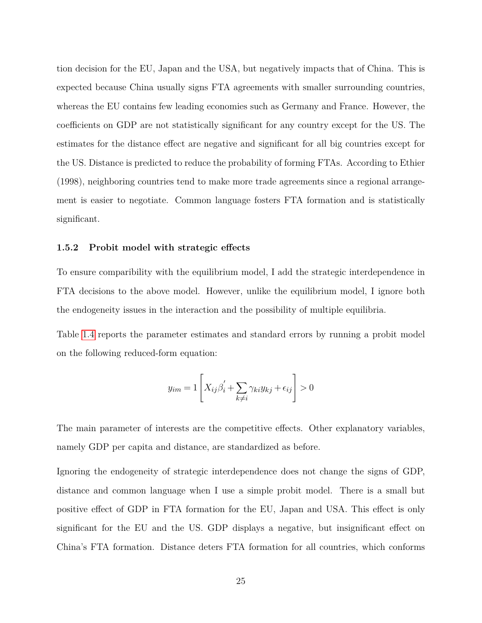tion decision for the EU, Japan and the USA, but negatively impacts that of China. This is expected because China usually signs FTA agreements with smaller surrounding countries, whereas the EU contains few leading economies such as Germany and France. However, the coefficients on GDP are not statistically significant for any country except for the US. The estimates for the distance effect are negative and significant for all big countries except for the US. Distance is predicted to reduce the probability of forming FTAs. According to Ethier (1998), neighboring countries tend to make more trade agreements since a regional arrangement is easier to negotiate. Common language fosters FTA formation and is statistically significant.

## <span id="page-31-0"></span>**1.5.2 Probit model with strategic effects**

To ensure comparibility with the equilibrium model, I add the strategic interdependence in FTA decisions to the above model. However, unlike the equilibrium model, I ignore both the endogeneity issues in the interaction and the possibility of multiple equilibria.

Table [1.4](#page-32-0) reports the parameter estimates and standard errors by running a probit model on the following reduced-form equation:

$$
y_{im} = 1\left[X_{ij}\beta'_i + \sum_{k \neq i} \gamma_{ki} y_{kj} + \epsilon_{ij}\right] > 0
$$

The main parameter of interests are the competitive effects. Other explanatory variables, namely GDP per capita and distance, are standardized as before.

Ignoring the endogeneity of strategic interdependence does not change the signs of GDP, distance and common language when I use a simple probit model. There is a small but positive effect of GDP in FTA formation for the EU, Japan and USA. This effect is only significant for the EU and the US. GDP displays a negative, but insignificant effect on China's FTA formation. Distance deters FTA formation for all countries, which conforms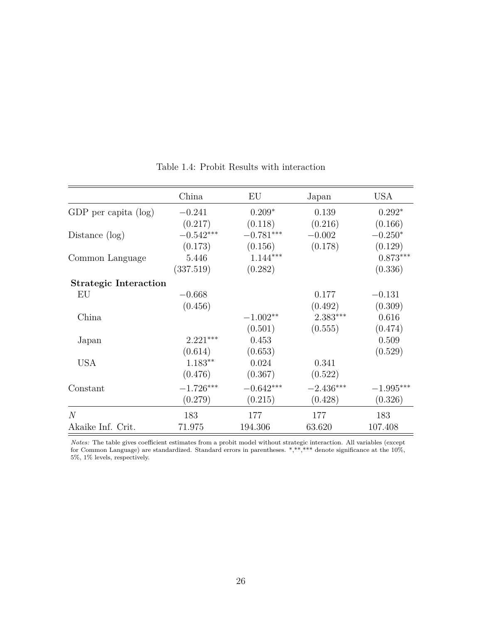<span id="page-32-0"></span>

|                              | China       | EU             | Japan       | <b>USA</b>  |
|------------------------------|-------------|----------------|-------------|-------------|
|                              |             |                |             |             |
| GDP per capita (log)         | $-0.241$    | $0.209*$       | 0.139       | $0.292*$    |
|                              | (0.217)     | (0.118)        | (0.216)     | (0.166)     |
| Distance $(\log)$            | $-0.542***$ | $-0.781^{***}$ | $-0.002$    | $-0.250*$   |
|                              | (0.173)     | (0.156)        | (0.178)     | (0.129)     |
| Common Language              | 5.446       | $1.144***$     |             | $0.873***$  |
|                              | (337.519)   | (0.282)        |             | (0.336)     |
| <b>Strategic Interaction</b> |             |                |             |             |
| EU                           | $-0.668$    |                | 0.177       | $-0.131$    |
|                              | (0.456)     |                | (0.492)     | (0.309)     |
| China                        |             | $-1.002**$     | $2.383***$  | 0.616       |
|                              |             | (0.501)        | (0.555)     | (0.474)     |
| Japan                        | $2.221***$  | 0.453          |             | 0.509       |
|                              | (0.614)     | (0.653)        |             | (0.529)     |
| <b>USA</b>                   | $1.183**$   | 0.024          | 0.341       |             |
|                              | (0.476)     | (0.367)        | (0.522)     |             |
| Constant                     | $-1.726***$ | $-0.642***$    | $-2.436***$ | $-1.995***$ |
|                              | (0.279)     | (0.215)        | (0.428)     | (0.326)     |
| N                            | 183         | 177            | 177         | 183         |
| Akaike Inf. Crit.            | 71.975      | 194.306        | 63.620      | 107.408     |

Table 1.4: Probit Results with interaction

*Notes:* The table gives coefficient estimates from a probit model without strategic interaction. All variables (except for Common Language) are standardized. Standard errors in parentheses. \*,\*\*,\*\*\* denote significance at the 10%,  $5\%,\,1\%$  levels, respectively.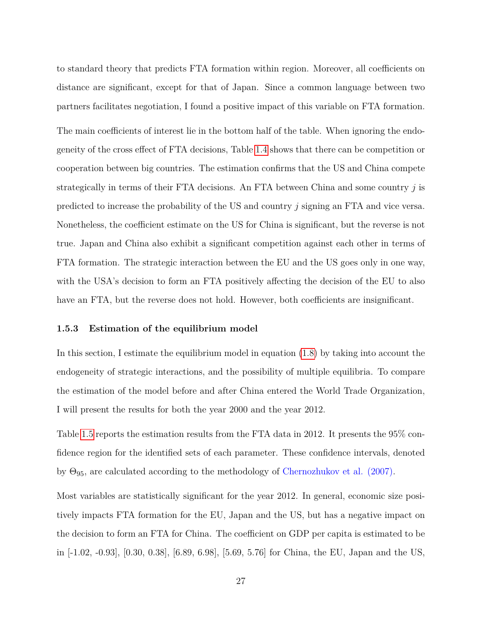to standard theory that predicts FTA formation within region. Moreover, all coefficients on distance are significant, except for that of Japan. Since a common language between two partners facilitates negotiation, I found a positive impact of this variable on FTA formation.

The main coefficients of interest lie in the bottom half of the table. When ignoring the endogeneity of the cross effect of FTA decisions, Table [1.4](#page-32-0) shows that there can be competition or cooperation between big countries. The estimation confirms that the US and China compete strategically in terms of their FTA decisions. An FTA between China and some country *j* is predicted to increase the probability of the US and country *j* signing an FTA and vice versa. Nonetheless, the coefficient estimate on the US for China is significant, but the reverse is not true. Japan and China also exhibit a significant competition against each other in terms of FTA formation. The strategic interaction between the EU and the US goes only in one way, with the USA's decision to form an FTA positively affecting the decision of the EU to also have an FTA, but the reverse does not hold. However, both coefficients are insignificant.

# <span id="page-33-0"></span>**1.5.3 Estimation of the equilibrium model**

In this section, I estimate the equilibrium model in equation [\(1.8\)](#page-23-1) by taking into account the endogeneity of strategic interactions, and the possibility of multiple equilibria. To compare the estimation of the model before and after China entered the World Trade Organization, I will present the results for both the year 2000 and the year 2012.

Table [1.5](#page-34-0) reports the estimation results from the FTA data in 2012. It presents the 95% confidence region for the identified sets of each parameter. These confidence intervals, denoted by  $\Theta_{95}$ , are calculated according to the methodology of Chernozhukov et al. (2007).

Most variables are statistically significant for the year 2012. In general, economic size positively impacts FTA formation for the EU, Japan and the US, but has a negative impact on the decision to form an FTA for China. The coefficient on GDP per capita is estimated to be in [-1.02, -0.93], [0.30, 0.38], [6.89, 6.98], [5.69, 5.76] for China, the EU, Japan and the US,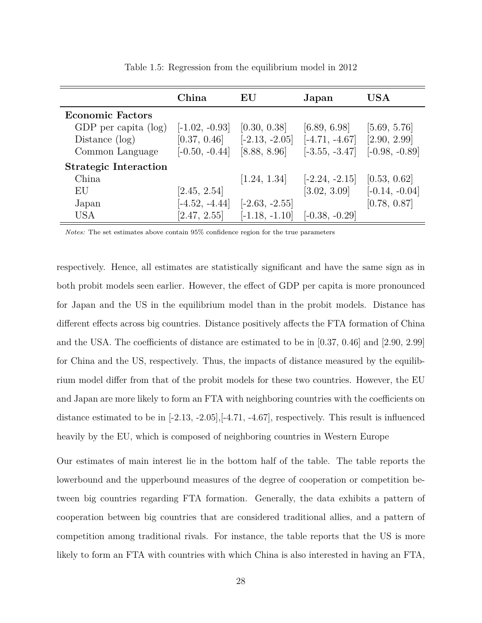<span id="page-34-0"></span>

|                              | China            | EU               | Japan            | $_{\mathrm{USA}}$ |
|------------------------------|------------------|------------------|------------------|-------------------|
| <b>Economic Factors</b>      |                  |                  |                  |                   |
| GDP per capita $(\log)$      | $[-1.02, -0.93]$ | [0.30, 0.38]     | [6.89, 6.98]     | [5.69, 5.76]      |
| Distance $(\log)$            | [0.37, 0.46]     | $[-2.13, -2.05]$ | $[-4.71, -4.67]$ | [2.90, 2.99]      |
| Common Language              | $[-0.50, -0.44]$ | [8.88, 8.96]     | $[-3.55, -3.47]$ | $[-0.98, -0.89]$  |
| <b>Strategic Interaction</b> |                  |                  |                  |                   |
| China                        |                  | [1.24, 1.34]     | $[-2.24, -2.15]$ | [0.53, 0.62]      |
| EU                           | [2.45, 2.54]     |                  | [3.02, 3.09]     | $[-0.14, -0.04]$  |
| Japan                        | $[-4.52, -4.44]$ | $[-2.63, -2.55]$ |                  | [0.78, 0.87]      |
| <b>USA</b>                   | [2.47, 2.55]     | $[-1.18, -1.10]$ | $[-0.38, -0.29]$ |                   |

Table 1.5: Regression from the equilibrium model in 2012

*Notes:* The set estimates above contain 95% confidence region for the true parameters

respectively. Hence, all estimates are statistically significant and have the same sign as in both probit models seen earlier. However, the effect of GDP per capita is more pronounced for Japan and the US in the equilibrium model than in the probit models. Distance has different effects across big countries. Distance positively affects the FTA formation of China and the USA. The coefficients of distance are estimated to be in [0.37, 0.46] and [2.90, 2.99] for China and the US, respectively. Thus, the impacts of distance measured by the equilibrium model differ from that of the probit models for these two countries. However, the EU and Japan are more likely to form an FTA with neighboring countries with the coefficients on distance estimated to be in [-2.13, -2.05],[-4.71, -4.67], respectively. This result is influenced heavily by the EU, which is composed of neighboring countries in Western Europe

Our estimates of main interest lie in the bottom half of the table. The table reports the lowerbound and the upperbound measures of the degree of cooperation or competition between big countries regarding FTA formation. Generally, the data exhibits a pattern of cooperation between big countries that are considered traditional allies, and a pattern of competition among traditional rivals. For instance, the table reports that the US is more likely to form an FTA with countries with which China is also interested in having an FTA,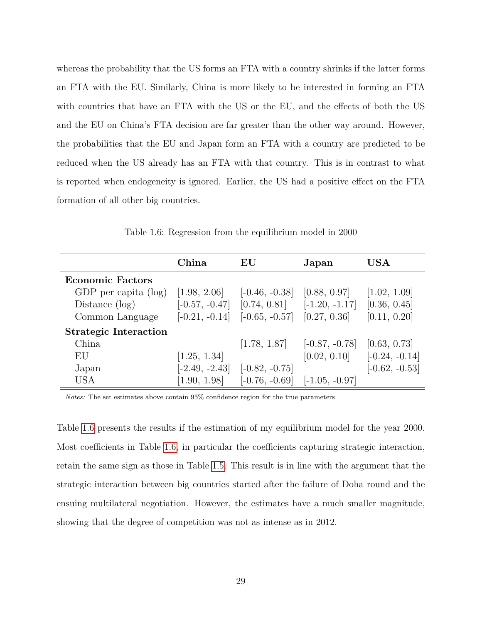whereas the probability that the US forms an FTA with a country shrinks if the latter forms an FTA with the EU. Similarly, China is more likely to be interested in forming an FTA with countries that have an FTA with the US or the EU, and the effects of both the US and the EU on China's FTA decision are far greater than the other way around. However, the probabilities that the EU and Japan form an FTA with a country are predicted to be reduced when the US already has an FTA with that country. This is in contrast to what is reported when endogeneity is ignored. Earlier, the US had a positive effect on the FTA formation of all other big countries.

<span id="page-35-0"></span>

|                              | China            | $\mathbf{E}\mathbf{U}$ | Japan            | $_{\mathrm{USA}}$ |
|------------------------------|------------------|------------------------|------------------|-------------------|
| <b>Economic Factors</b>      |                  |                        |                  |                   |
| GDP per capita (log)         | [1.98, 2.06]     | $[-0.46, -0.38]$       | [0.88, 0.97]     | [1.02, 1.09]      |
| Distance $(\log)$            | $[-0.57, -0.47]$ | [0.74, 0.81]           | $[-1.20, -1.17]$ | [0.36, 0.45]      |
| Common Language              | $[-0.21, -0.14]$ | $[-0.65, -0.57]$       | [0.27, 0.36]     | [0.11, 0.20]      |
| <b>Strategic Interaction</b> |                  |                        |                  |                   |
| China                        |                  | [1.78, 1.87]           | $[-0.87, -0.78]$ | [0.63, 0.73]      |
| EU                           | [1.25, 1.34]     |                        | [0.02, 0.10]     | $[-0.24, -0.14]$  |
| Japan                        | $[-2.49, -2.43]$ | $[-0.82, -0.75]$       |                  | $[-0.62, -0.53]$  |
| <b>USA</b>                   | [1.90, 1.98]     | $[-0.76, -0.69]$       | $[-1.05, -0.97]$ |                   |

Table 1.6: Regression from the equilibrium model in 2000

*Notes:* The set estimates above contain 95% confidence region for the true parameters

Table [1.6](#page-35-0) presents the results if the estimation of my equilibrium model for the year 2000. Most coefficients in Table [1.6,](#page-35-0) in particular the coefficients capturing strategic interaction, retain the same sign as those in Table [1.5.](#page-34-0) This result is in line with the argument that the strategic interaction between big countries started after the failure of Doha round and the ensuing multilateral negotiation. However, the estimates have a much smaller magnitude, showing that the degree of competition was not as intense as in 2012.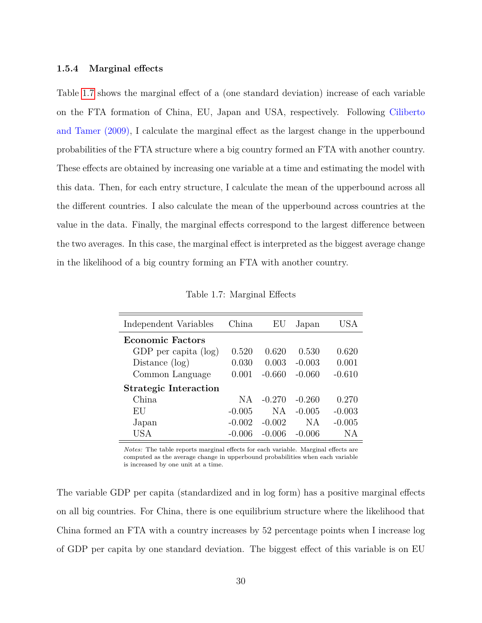#### **1.5.4 Marginal effects**

Table [1.7](#page-36-0) shows the marginal effect of a (one standard deviation) increase of each variable on the FTA formation of China, EU, Japan and USA, respectively. Following Ciliberto and Tamer (2009), I calculate the marginal effect as the largest change in the upperbound probabilities of the FTA structure where a big country formed an FTA with another country. These effects are obtained by increasing one variable at a time and estimating the model with this data. Then, for each entry structure, I calculate the mean of the upperbound across all the different countries. I also calculate the mean of the upperbound across countries at the value in the data. Finally, the marginal effects correspond to the largest difference between the two averages. In this case, the marginal effect is interpreted as the biggest average change in the likelihood of a big country forming an FTA with another country.

<span id="page-36-0"></span>

| China    | EU       | Japan     | USA      |
|----------|----------|-----------|----------|
|          |          |           |          |
| 0.520    | 0.620    | 0.530     | 0.620    |
| 0.030    | 0.003    | $-0.003$  | 0.001    |
| 0.001    | $-0.660$ | $-0.060$  | $-0.610$ |
|          |          |           |          |
| NA       | $-0.270$ | $-0.260$  | 0.270    |
| $-0.005$ | N A      | $-0.005$  | $-0.003$ |
| $-0.002$ | $-0.002$ | <b>NA</b> | $-0.005$ |
| -0.006   | -0.006   | $-0.006$  | ΝA       |
|          |          |           |          |

Table 1.7: Marginal Effects

*Notes:* The table reports marginal effects for each variable. Marginal effects are computed as the average change in upperbound probabilities when each variable is increased by one unit at a time.

The variable GDP per capita (standardized and in log form) has a positive marginal effects on all big countries. For China, there is one equilibrium structure where the likelihood that China formed an FTA with a country increases by 52 percentage points when I increase log of GDP per capita by one standard deviation. The biggest effect of this variable is on EU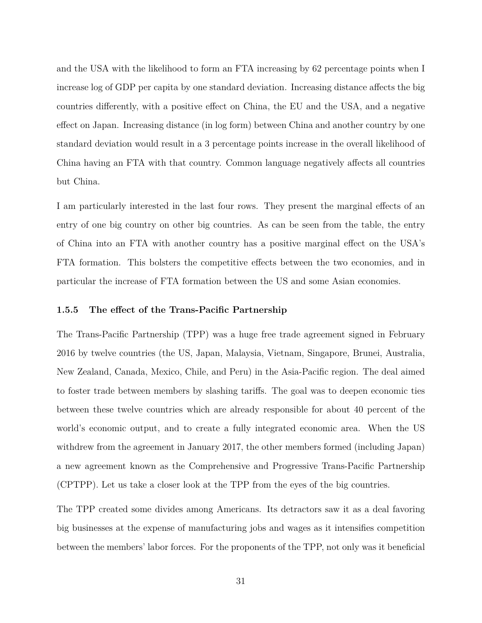and the USA with the likelihood to form an FTA increasing by 62 percentage points when I increase log of GDP per capita by one standard deviation. Increasing distance affects the big countries differently, with a positive effect on China, the EU and the USA, and a negative effect on Japan. Increasing distance (in log form) between China and another country by one standard deviation would result in a 3 percentage points increase in the overall likelihood of China having an FTA with that country. Common language negatively affects all countries but China.

I am particularly interested in the last four rows. They present the marginal effects of an entry of one big country on other big countries. As can be seen from the table, the entry of China into an FTA with another country has a positive marginal effect on the USA's FTA formation. This bolsters the competitive effects between the two economies, and in particular the increase of FTA formation between the US and some Asian economies.

#### **1.5.5 The effect of the Trans-Pacific Partnership**

The Trans-Pacific Partnership (TPP) was a huge free trade agreement signed in February 2016 by twelve countries (the US, Japan, Malaysia, Vietnam, Singapore, Brunei, Australia, New Zealand, Canada, Mexico, Chile, and Peru) in the Asia-Pacific region. The deal aimed to foster trade between members by slashing tariffs. The goal was to deepen economic ties between these twelve countries which are already responsible for about 40 percent of the world's economic output, and to create a fully integrated economic area. When the US withdrew from the agreement in January 2017, the other members formed (including Japan) a new agreement known as the Comprehensive and Progressive Trans-Pacific Partnership (CPTPP). Let us take a closer look at the TPP from the eyes of the big countries.

The TPP created some divides among Americans. Its detractors saw it as a deal favoring big businesses at the expense of manufacturing jobs and wages as it intensifies competition between the members' labor forces. For the proponents of the TPP, not only was it beneficial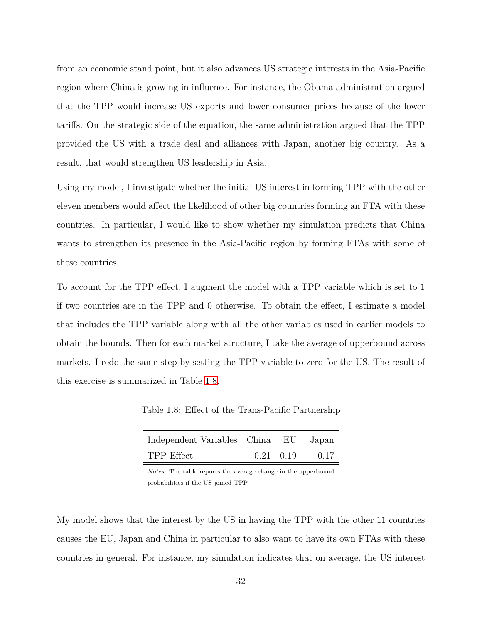from an economic stand point, but it also advances US strategic interests in the Asia-Pacific region where China is growing in influence. For instance, the Obama administration argued that the TPP would increase US exports and lower consumer prices because of the lower tariffs. On the strategic side of the equation, the same administration argued that the TPP provided the US with a trade deal and alliances with Japan, another big country. As a result, that would strengthen US leadership in Asia.

Using my model, I investigate whether the initial US interest in forming TPP with the other eleven members would affect the likelihood of other big countries forming an FTA with these countries. In particular, I would like to show whether my simulation predicts that China wants to strengthen its presence in the Asia-Pacific region by forming FTAs with some of these countries.

To account for the TPP effect, I augment the model with a TPP variable which is set to 1 if two countries are in the TPP and 0 otherwise. To obtain the effect, I estimate a model that includes the TPP variable along with all the other variables used in earlier models to obtain the bounds. Then for each market structure, I take the average of upperbound across markets. I redo the same step by setting the TPP variable to zero for the US. The result of this exercise is summarized in Table [1.8.](#page-38-0)

<span id="page-38-0"></span>Table 1.8: Effect of the Trans-Pacific Partnership

| Independent Variables China EU Japan |                   |      |
|--------------------------------------|-------------------|------|
| TPP Effect                           | $0.21 \quad 0.19$ | 0.17 |

*Notes:* The table reports the average change in the upperbound probabilities if the US joined TPP

My model shows that the interest by the US in having the TPP with the other 11 countries causes the EU, Japan and China in particular to also want to have its own FTAs with these countries in general. For instance, my simulation indicates that on average, the US interest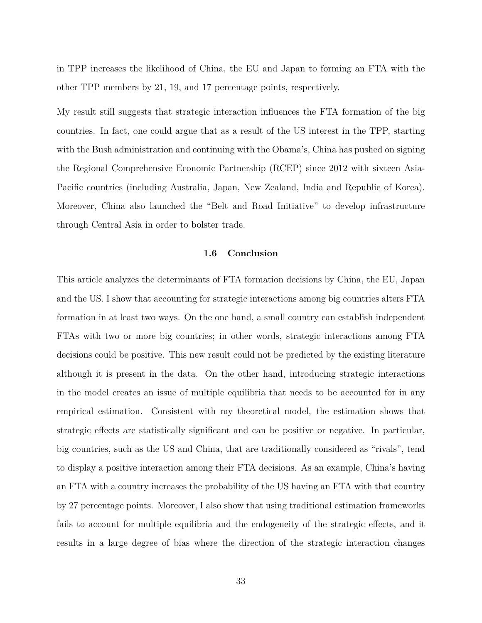in TPP increases the likelihood of China, the EU and Japan to forming an FTA with the other TPP members by 21, 19, and 17 percentage points, respectively.

My result still suggests that strategic interaction influences the FTA formation of the big countries. In fact, one could argue that as a result of the US interest in the TPP, starting with the Bush administration and continuing with the Obama's, China has pushed on signing the Regional Comprehensive Economic Partnership (RCEP) since 2012 with sixteen Asia-Pacific countries (including Australia, Japan, New Zealand, India and Republic of Korea). Moreover, China also launched the "Belt and Road Initiative" to develop infrastructure through Central Asia in order to bolster trade.

### **1.6 Conclusion**

This article analyzes the determinants of FTA formation decisions by China, the EU, Japan and the US. I show that accounting for strategic interactions among big countries alters FTA formation in at least two ways. On the one hand, a small country can establish independent FTAs with two or more big countries; in other words, strategic interactions among FTA decisions could be positive. This new result could not be predicted by the existing literature although it is present in the data. On the other hand, introducing strategic interactions in the model creates an issue of multiple equilibria that needs to be accounted for in any empirical estimation. Consistent with my theoretical model, the estimation shows that strategic effects are statistically significant and can be positive or negative. In particular, big countries, such as the US and China, that are traditionally considered as "rivals", tend to display a positive interaction among their FTA decisions. As an example, China's having an FTA with a country increases the probability of the US having an FTA with that country by 27 percentage points. Moreover, I also show that using traditional estimation frameworks fails to account for multiple equilibria and the endogeneity of the strategic effects, and it results in a large degree of bias where the direction of the strategic interaction changes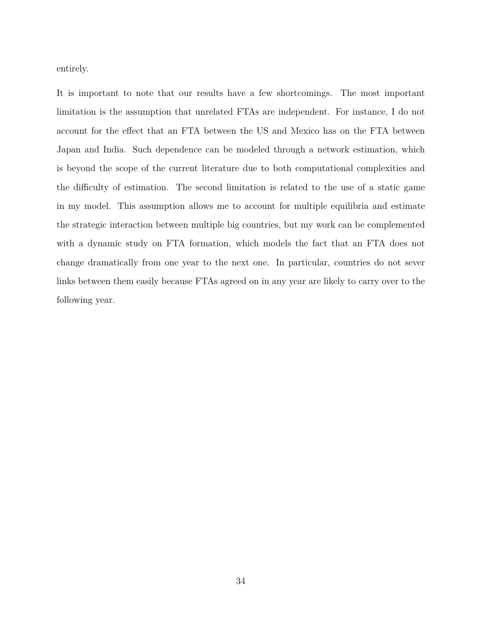entirely.

It is important to note that our results have a few shortcomings. The most important limitation is the assumption that unrelated FTAs are independent. For instance, I do not account for the effect that an FTA between the US and Mexico has on the FTA between Japan and India. Such dependence can be modeled through a network estimation, which is beyond the scope of the current literature due to both computational complexities and the difficulty of estimation. The second limitation is related to the use of a static game in my model. This assumption allows me to account for multiple equilibria and estimate the strategic interaction between multiple big countries, but my work can be complemented with a dynamic study on FTA formation, which models the fact that an FTA does not change dramatically from one year to the next one. In particular, countries do not sever links between them easily because FTAs agreed on in any year are likely to carry over to the following year.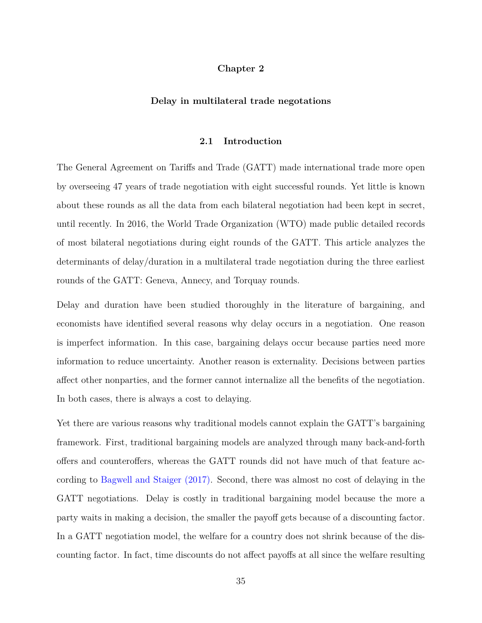## **Chapter 2**

#### **Delay in multilateral trade negotations**

#### **2.1 Introduction**

The General Agreement on Tariffs and Trade (GATT) made international trade more open by overseeing 47 years of trade negotiation with eight successful rounds. Yet little is known about these rounds as all the data from each bilateral negotiation had been kept in secret, until recently. In 2016, the World Trade Organization (WTO) made public detailed records of most bilateral negotiations during eight rounds of the GATT. This article analyzes the determinants of delay/duration in a multilateral trade negotiation during the three earliest rounds of the GATT: Geneva, Annecy, and Torquay rounds.

Delay and duration have been studied thoroughly in the literature of bargaining, and economists have identified several reasons why delay occurs in a negotiation. One reason is imperfect information. In this case, bargaining delays occur because parties need more information to reduce uncertainty. Another reason is externality. Decisions between parties affect other nonparties, and the former cannot internalize all the benefits of the negotiation. In both cases, there is always a cost to delaying.

Yet there are various reasons why traditional models cannot explain the GATT's bargaining framework. First, traditional bargaining models are analyzed through many back-and-forth offers and counteroffers, whereas the GATT rounds did not have much of that feature according to Bagwell and Staiger (2017). Second, there was almost no cost of delaying in the GATT negotiations. Delay is costly in traditional bargaining model because the more a party waits in making a decision, the smaller the payoff gets because of a discounting factor. In a GATT negotiation model, the welfare for a country does not shrink because of the discounting factor. In fact, time discounts do not affect payoffs at all since the welfare resulting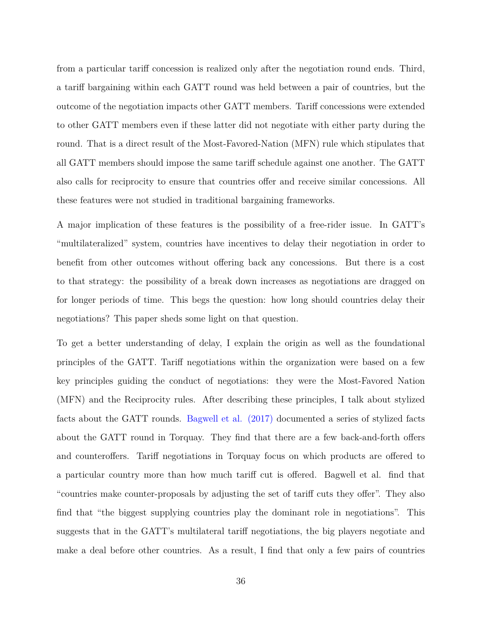from a particular tariff concession is realized only after the negotiation round ends. Third, a tariff bargaining within each GATT round was held between a pair of countries, but the outcome of the negotiation impacts other GATT members. Tariff concessions were extended to other GATT members even if these latter did not negotiate with either party during the round. That is a direct result of the Most-Favored-Nation (MFN) rule which stipulates that all GATT members should impose the same tariff schedule against one another. The GATT also calls for reciprocity to ensure that countries offer and receive similar concessions. All these features were not studied in traditional bargaining frameworks.

A major implication of these features is the possibility of a free-rider issue. In GATT's "multilateralized" system, countries have incentives to delay their negotiation in order to benefit from other outcomes without offering back any concessions. But there is a cost to that strategy: the possibility of a break down increases as negotiations are dragged on for longer periods of time. This begs the question: how long should countries delay their negotiations? This paper sheds some light on that question.

To get a better understanding of delay, I explain the origin as well as the foundational principles of the GATT. Tariff negotiations within the organization were based on a few key principles guiding the conduct of negotiations: they were the Most-Favored Nation (MFN) and the Reciprocity rules. After describing these principles, I talk about stylized facts about the GATT rounds. Bagwell et al. (2017) documented a series of stylized facts about the GATT round in Torquay. They find that there are a few back-and-forth offers and counteroffers. Tariff negotiations in Torquay focus on which products are offered to a particular country more than how much tariff cut is offered. Bagwell et al. find that "countries make counter-proposals by adjusting the set of tariff cuts they offer". They also find that "the biggest supplying countries play the dominant role in negotiations". This suggests that in the GATT's multilateral tariff negotiations, the big players negotiate and make a deal before other countries. As a result, I find that only a few pairs of countries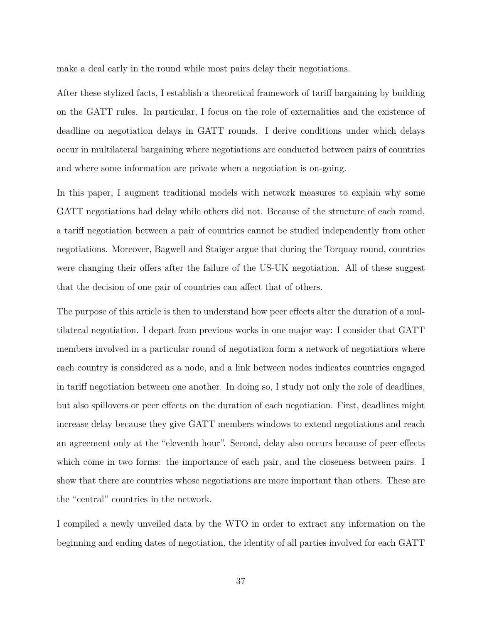make a deal early in the round while most pairs delay their negotiations.

After these stylized facts, I establish a theoretical framework of tariff bargaining by building on the GATT rules. In particular, I focus on the role of externalities and the existence of deadline on negotiation delays in GATT rounds. I derive conditions under which delays occur in multilateral bargaining where negotiations are conducted between pairs of countries and where some information are private when a negotiation is on-going.

In this paper, I augment traditional models with network measures to explain why some GATT negotiations had delay while others did not. Because of the structure of each round, a tariff negotiation between a pair of countries cannot be studied independently from other negotiations. Moreover, Bagwell and Staiger argue that during the Torquay round, countries were changing their offers after the failure of the US-UK negotiation. All of these suggest that the decision of one pair of countries can affect that of others.

The purpose of this article is then to understand how peer effects alter the duration of a multilateral negotiation. I depart from previous works in one major way: I consider that GATT members involved in a particular round of negotiation form a network of negotiatiors where each country is considered as a node, and a link between nodes indicates countries engaged in tariff negotiation between one another. In doing so, I study not only the role of deadlines, but also spillovers or peer effects on the duration of each negotiation. First, deadlines might increase delay because they give GATT members windows to extend negotiations and reach an agreement only at the "eleventh hour". Second, delay also occurs because of peer effects which come in two forms: the importance of each pair, and the closeness between pairs. I show that there are countries whose negotiations are more important than others. These are the "central" countries in the network.

I compiled a newly unveiled data by the WTO in order to extract any information on the beginning and ending dates of negotiation, the identity of all parties involved for each GATT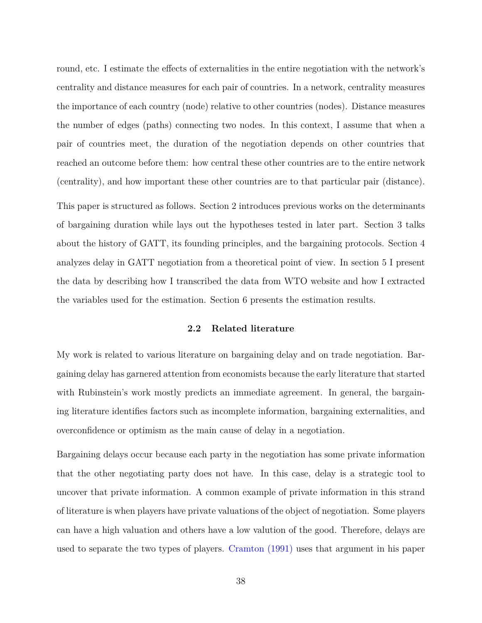round, etc. I estimate the effects of externalities in the entire negotiation with the network's centrality and distance measures for each pair of countries. In a network, centrality measures the importance of each country (node) relative to other countries (nodes). Distance measures the number of edges (paths) connecting two nodes. In this context, I assume that when a pair of countries meet, the duration of the negotiation depends on other countries that reached an outcome before them: how central these other countries are to the entire network (centrality), and how important these other countries are to that particular pair (distance).

This paper is structured as follows. Section 2 introduces previous works on the determinants of bargaining duration while lays out the hypotheses tested in later part. Section 3 talks about the history of GATT, its founding principles, and the bargaining protocols. Section 4 analyzes delay in GATT negotiation from a theoretical point of view. In section 5 I present the data by describing how I transcribed the data from WTO website and how I extracted the variables used for the estimation. Section 6 presents the estimation results.

## **2.2 Related literature**

My work is related to various literature on bargaining delay and on trade negotiation. Bargaining delay has garnered attention from economists because the early literature that started with Rubinstein's work mostly predicts an immediate agreement. In general, the bargaining literature identifies factors such as incomplete information, bargaining externalities, and overconfidence or optimism as the main cause of delay in a negotiation.

Bargaining delays occur because each party in the negotiation has some private information that the other negotiating party does not have. In this case, delay is a strategic tool to uncover that private information. A common example of private information in this strand of literature is when players have private valuations of the object of negotiation. Some players can have a high valuation and others have a low valution of the good. Therefore, delays are used to separate the two types of players. Cramton (1991) uses that argument in his paper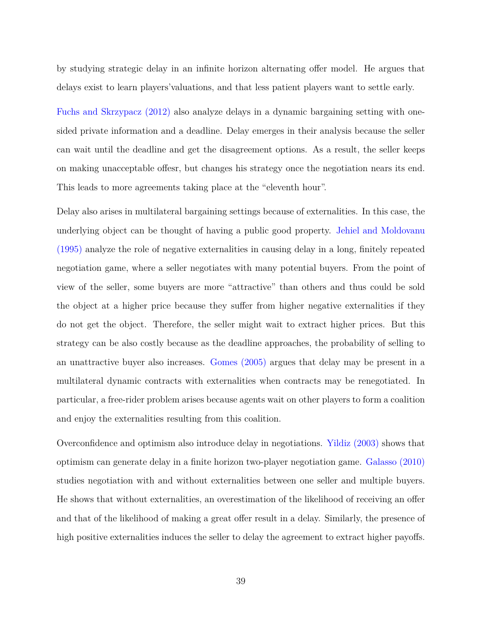by studying strategic delay in an infinite horizon alternating offer model. He argues that delays exist to learn players'valuations, and that less patient players want to settle early.

Fuchs and Skrzypacz (2012) also analyze delays in a dynamic bargaining setting with onesided private information and a deadline. Delay emerges in their analysis because the seller can wait until the deadline and get the disagreement options. As a result, the seller keeps on making unacceptable offesr, but changes his strategy once the negotiation nears its end. This leads to more agreements taking place at the "eleventh hour".

Delay also arises in multilateral bargaining settings because of externalities. In this case, the underlying object can be thought of having a public good property. Jehiel and Moldovanu (1995) analyze the role of negative externalities in causing delay in a long, finitely repeated negotiation game, where a seller negotiates with many potential buyers. From the point of view of the seller, some buyers are more "attractive" than others and thus could be sold the object at a higher price because they suffer from higher negative externalities if they do not get the object. Therefore, the seller might wait to extract higher prices. But this strategy can be also costly because as the deadline approaches, the probability of selling to an unattractive buyer also increases. Gomes (2005) argues that delay may be present in a multilateral dynamic contracts with externalities when contracts may be renegotiated. In particular, a free-rider problem arises because agents wait on other players to form a coalition and enjoy the externalities resulting from this coalition.

Overconfidence and optimism also introduce delay in negotiations. Yildiz (2003) shows that optimism can generate delay in a finite horizon two-player negotiation game. Galasso (2010) studies negotiation with and without externalities between one seller and multiple buyers. He shows that without externalities, an overestimation of the likelihood of receiving an offer and that of the likelihood of making a great offer result in a delay. Similarly, the presence of high positive externalities induces the seller to delay the agreement to extract higher payoffs.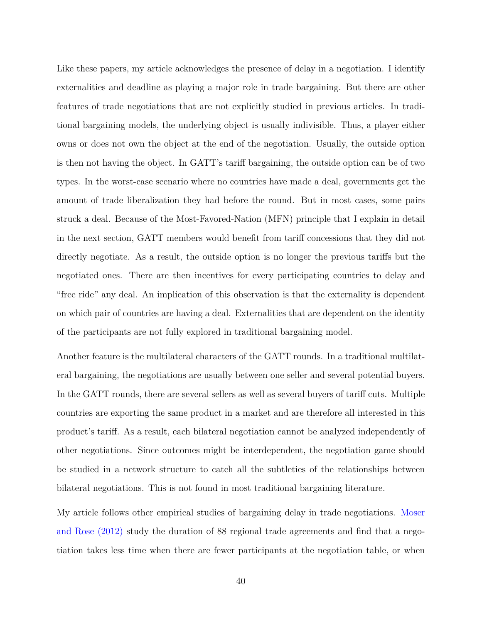Like these papers, my article acknowledges the presence of delay in a negotiation. I identify externalities and deadline as playing a major role in trade bargaining. But there are other features of trade negotiations that are not explicitly studied in previous articles. In traditional bargaining models, the underlying object is usually indivisible. Thus, a player either owns or does not own the object at the end of the negotiation. Usually, the outside option is then not having the object. In GATT's tariff bargaining, the outside option can be of two types. In the worst-case scenario where no countries have made a deal, governments get the amount of trade liberalization they had before the round. But in most cases, some pairs struck a deal. Because of the Most-Favored-Nation (MFN) principle that I explain in detail in the next section, GATT members would benefit from tariff concessions that they did not directly negotiate. As a result, the outside option is no longer the previous tariffs but the negotiated ones. There are then incentives for every participating countries to delay and "free ride" any deal. An implication of this observation is that the externality is dependent on which pair of countries are having a deal. Externalities that are dependent on the identity of the participants are not fully explored in traditional bargaining model.

Another feature is the multilateral characters of the GATT rounds. In a traditional multilateral bargaining, the negotiations are usually between one seller and several potential buyers. In the GATT rounds, there are several sellers as well as several buyers of tariff cuts. Multiple countries are exporting the same product in a market and are therefore all interested in this product's tariff. As a result, each bilateral negotiation cannot be analyzed independently of other negotiations. Since outcomes might be interdependent, the negotiation game should be studied in a network structure to catch all the subtleties of the relationships between bilateral negotiations. This is not found in most traditional bargaining literature.

My article follows other empirical studies of bargaining delay in trade negotiations. Moser and Rose (2012) study the duration of 88 regional trade agreements and find that a negotiation takes less time when there are fewer participants at the negotiation table, or when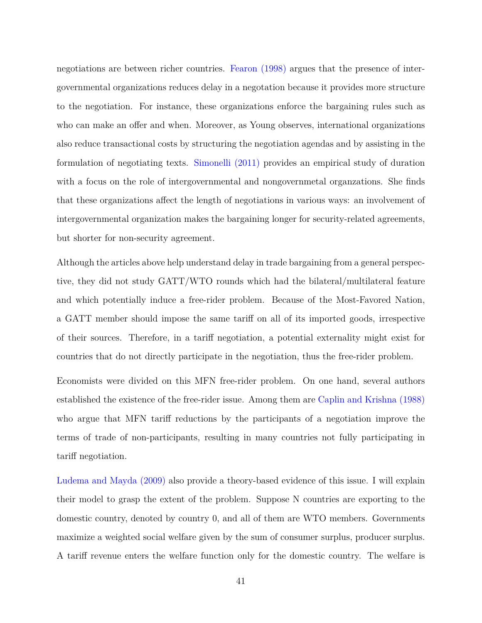negotiations are between richer countries. Fearon (1998) argues that the presence of intergovernmental organizations reduces delay in a negotation because it provides more structure to the negotiation. For instance, these organizations enforce the bargaining rules such as who can make an offer and when. Moreover, as Young observes, international organizations also reduce transactional costs by structuring the negotiation agendas and by assisting in the formulation of negotiating texts. Simonelli (2011) provides an empirical study of duration with a focus on the role of intergovernmental and nongovernmetal organzations. She finds that these organizations affect the length of negotiations in various ways: an involvement of intergovernmental organization makes the bargaining longer for security-related agreements, but shorter for non-security agreement.

Although the articles above help understand delay in trade bargaining from a general perspective, they did not study GATT/WTO rounds which had the bilateral/multilateral feature and which potentially induce a free-rider problem. Because of the Most-Favored Nation, a GATT member should impose the same tariff on all of its imported goods, irrespective of their sources. Therefore, in a tariff negotiation, a potential externality might exist for countries that do not directly participate in the negotiation, thus the free-rider problem.

Economists were divided on this MFN free-rider problem. On one hand, several authors established the existence of the free-rider issue. Among them are Caplin and Krishna (1988) who argue that MFN tariff reductions by the participants of a negotiation improve the terms of trade of non-participants, resulting in many countries not fully participating in tariff negotiation.

Ludema and Mayda (2009) also provide a theory-based evidence of this issue. I will explain their model to grasp the extent of the problem. Suppose N countries are exporting to the domestic country, denoted by country 0, and all of them are WTO members. Governments maximize a weighted social welfare given by the sum of consumer surplus, producer surplus. A tariff revenue enters the welfare function only for the domestic country. The welfare is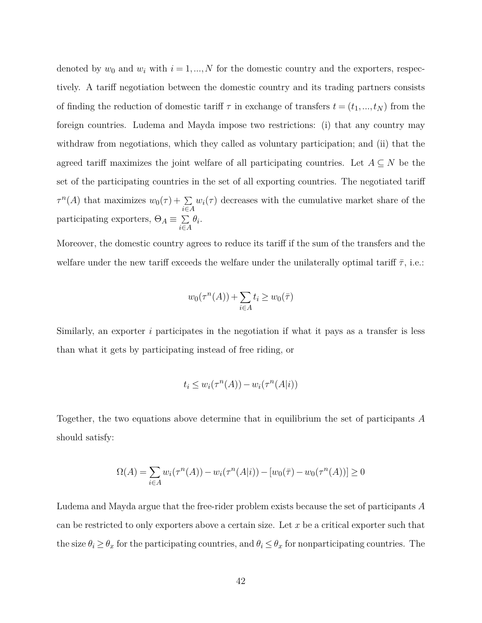denoted by  $w_0$  and  $w_i$  with  $i = 1, ..., N$  for the domestic country and the exporters, respectively. A tariff negotiation between the domestic country and its trading partners consists of finding the reduction of domestic tariff  $\tau$  in exchange of transfers  $t = (t_1, ..., t_N)$  from the foreign countries. Ludema and Mayda impose two restrictions: (i) that any country may withdraw from negotiations, which they called as voluntary participation; and (ii) that the agreed tariff maximizes the joint welfare of all participating countries. Let  $A \subseteq N$  be the set of the participating countries in the set of all exporting countries. The negotiated tariff  $\tau^{n}(A)$  that maximizes  $w_0(\tau) + \sum_{i \in A} w_i(\tau)$  decreases with the cumulative market share of the participating exporters,  $\Theta_A \equiv \ \sum$  $\sum_{i \in A} \theta_i$ .

Moreover, the domestic country agrees to reduce its tariff if the sum of the transfers and the welfare under the new tariff exceeds the welfare under the unilaterally optimal tariff  $\bar{\tau}$ , i.e.:

$$
w_0(\tau^n(A)) + \sum_{i \in A} t_i \ge w_0(\overline{\tau})
$$

Similarly, an exporter *i* participates in the negotiation if what it pays as a transfer is less than what it gets by participating instead of free riding, or

$$
t_i \le w_i(\tau^n(A)) - w_i(\tau^n(A|i))
$$

Together, the two equations above determine that in equilibrium the set of participants *A* should satisfy:

$$
\Omega(A) = \sum_{i \in A} w_i(\tau^n(A)) - w_i(\tau^n(A|i)) - [w_0(\overline{\tau}) - w_0(\tau^n(A))] \ge 0
$$

Ludema and Mayda argue that the free-rider problem exists because the set of participants *A* can be restricted to only exporters above a certain size. Let *x* be a critical exporter such that the size  $\theta_i \geq \theta_x$  for the participating countries, and  $\theta_i \leq \theta_x$  for nonparticipating countries. The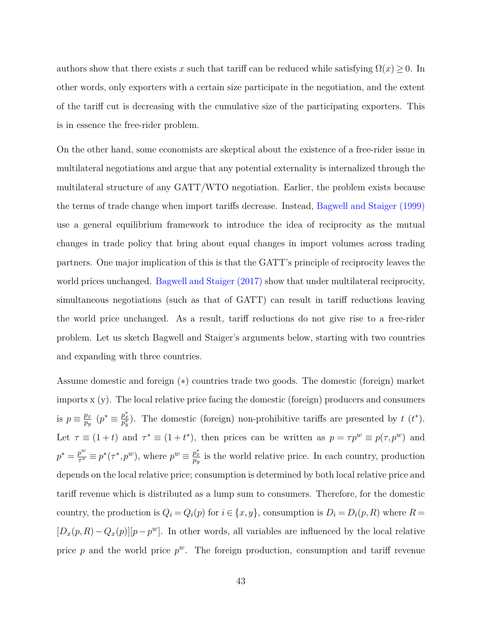authors show that there exists *x* such that tariff can be reduced while satisfying  $\Omega(x) \geq 0$ . In other words, only exporters with a certain size participate in the negotiation, and the extent of the tariff cut is decreasing with the cumulative size of the participating exporters. This is in essence the free-rider problem.

On the other hand, some economists are skeptical about the existence of a free-rider issue in multilateral negotiations and argue that any potential externality is internalized through the multilateral structure of any GATT/WTO negotiation. Earlier, the problem exists because the terms of trade change when import tariffs decrease. Instead, Bagwell and Staiger (1999) use a general equilibrium framework to introduce the idea of reciprocity as the mutual changes in trade policy that bring about equal changes in import volumes across trading partners. One major implication of this is that the GATT's principle of reciprocity leaves the world prices unchanged. Bagwell and Staiger (2017) show that under multilateral reciprocity, simultaneous negotiations (such as that of GATT) can result in tariff reductions leaving the world price unchanged. As a result, tariff reductions do not give rise to a free-rider problem. Let us sketch Bagwell and Staiger's arguments below, starting with two countries and expanding with three countries.

Assume domestic and foreign (∗) countries trade two goods. The domestic (foreign) market imports x (y). The local relative price facing the domestic (foreign) producers and consumers is  $p \equiv \frac{p_x}{p_y}$  $\frac{p_x}{p_y}$  ( $p^* \equiv \frac{p_x^*}{p_y^*}$ ). The domestic (foreign) non-prohibitive tariffs are presented by *t* (*t*<sup>\*</sup>). Let  $\tau \equiv (1+t)$  and  $\tau^* \equiv (1+t^*)$ , then prices can be written as  $p = \tau p^w \equiv p(\tau, p^w)$  and  $p^* = \frac{p^w}{\tau^*}$  $p^w = p^*(\tau^*, p^w)$ , where  $p^w \equiv \frac{p_x^*}{p_y}$  is the world relative price. In each country, production depends on the local relative price; consumption is determined by both local relative price and tariff revenue which is distributed as a lump sum to consumers. Therefore, for the domestic country, the production is  $Q_i = Q_i(p)$  for  $i \in \{x, y\}$ , consumption is  $D_i = D_i(p, R)$  where  $R =$  $[D_x(p, R) - Q_x(p)][p - p^w]$ . In other words, all variables are influenced by the local relative price  $p$  and the world price  $p^w$ . The foreign production, consumption and tariff revenue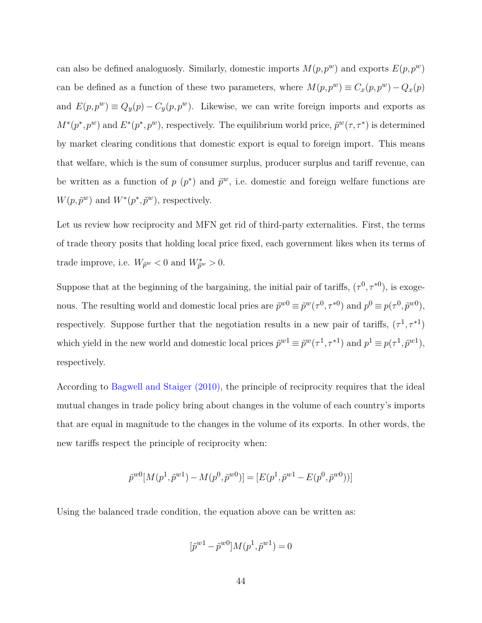can also be defined analoguosly. Similarly, domestic imports  $M(p, p^w)$  and exports  $E(p, p^w)$ can be defined as a function of these two parameters, where  $M(p,p^w) \equiv C_x(p,p^w) - Q_x(p)$ and  $E(p, p^w) \equiv Q_y(p) - C_y(p, p^w)$ . Likewise, we can write foreign imports and exports as  $M^*(p^*, p^w)$  and  $E^*(p^*, p^w)$ , respectively. The equilibrium world price,  $\tilde{p}^w(\tau, \tau^*)$  is determined by market clearing conditions that domestic export is equal to foreign import. This means that welfare, which is the sum of consumer surplus, producer surplus and tariff revenue, can be written as a function of  $p(p^*)$  and  $\tilde{p}^w$ , i.e. domestic and foreign welfare functions are  $W(p, \tilde{p}^w)$  and  $W^*(p^*, \tilde{p}^w)$ , respectively.

Let us review how reciprocity and MFN get rid of third-party externalities. First, the terms of trade theory posits that holding local price fixed, each government likes when its terms of trade improve, i.e.  $W_{\tilde{p}^w} < 0$  and  $W_{\tilde{p}^w}^* > 0$ .

Suppose that at the beginning of the bargaining, the initial pair of tariffs,  $(\tau^0, \tau^{*0})$ , is exogenous. The resulting world and domestic local pries are  $\tilde{p}^{w0} \equiv \tilde{p}^w(\tau^0, \tau^{*0})$  and  $p^0 \equiv p(\tau^0, \tilde{p}^{w0})$ , respectively. Suppose further that the negotiation results in a new pair of tariffs,  $(\tau^1, \tau^{*1})$ which yield in the new world and domestic local prices  $\tilde{p}^{w1} \equiv \tilde{p}^w(\tau^1, \tau^{*1})$  and  $p^1 \equiv p(\tau^1, \tilde{p}^{w1})$ , respectively.

According to Bagwell and Staiger (2010), the principle of reciprocity requires that the ideal mutual changes in trade policy bring about changes in the volume of each country's imports that are equal in magnitude to the changes in the volume of its exports. In other words, the new tariffs respect the principle of reciprocity when:

$$
\tilde{p}^{w0}[M(p^1, \tilde{p}^{w1}) - M(p^0, \tilde{p}^{w0})] = [E(p^1, \tilde{p}^{w1} - E(p^0, \tilde{p}^{w0}))]
$$

Using the balanced trade condition, the equation above can be written as:

$$
[\tilde{p}^{w1} - \tilde{p}^{w0}]M(p^1, \tilde{p}^{w1}) = 0
$$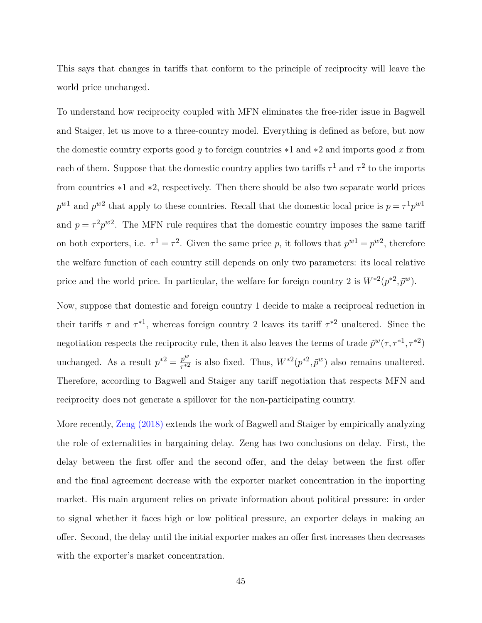This says that changes in tariffs that conform to the principle of reciprocity will leave the world price unchanged.

To understand how reciprocity coupled with MFN eliminates the free-rider issue in Bagwell and Staiger, let us move to a three-country model. Everything is defined as before, but now the domestic country exports good *y* to foreign countries ∗1 and ∗2 and imports good *x* from each of them. Suppose that the domestic country applies two tariffs  $\tau^1$  and  $\tau^2$  to the imports from countries ∗1 and ∗2, respectively. Then there should be also two separate world prices  $p^{w1}$  and  $p^{w2}$  that apply to these countries. Recall that the domestic local price is  $p = \tau^1 p^{w1}$ and  $p = \tau^2 p^{w2}$ . The MFN rule requires that the domestic country imposes the same tariff on both exporters, i.e.  $\tau^1 = \tau^2$ . Given the same price *p*, it follows that  $p^{w1} = p^{w2}$ , therefore the welfare function of each country still depends on only two parameters: its local relative price and the world price. In particular, the welfare for foreign country 2 is  $W^{*2}(p^{*2}, \bar{p}^w)$ .

Now, suppose that domestic and foreign country 1 decide to make a reciprocal reduction in their tariffs  $\tau$  and  $\tau^{*1}$ , whereas foreign country 2 leaves its tariff  $\tau^{*2}$  unaltered. Since the negotiation respects the reciprocity rule, then it also leaves the terms of trade  $\tilde{p}^w(\tau, \tau^{*1}, \tau^{*2})$ unchanged. As a result  $p^{*2} = \frac{p^w}{\tau^{*2}}$  $\frac{p^w}{\tau^{*2}}$  is also fixed. Thus,  $W^{*2}(p^{*2}, \tilde{p}^w)$  also remains unaltered. Therefore, according to Bagwell and Staiger any tariff negotiation that respects MFN and reciprocity does not generate a spillover for the non-participating country.

More recently, Zeng (2018) extends the work of Bagwell and Staiger by empirically analyzing the role of externalities in bargaining delay. Zeng has two conclusions on delay. First, the delay between the first offer and the second offer, and the delay between the first offer and the final agreement decrease with the exporter market concentration in the importing market. His main argument relies on private information about political pressure: in order to signal whether it faces high or low political pressure, an exporter delays in making an offer. Second, the delay until the initial exporter makes an offer first increases then decreases with the exporter's market concentration.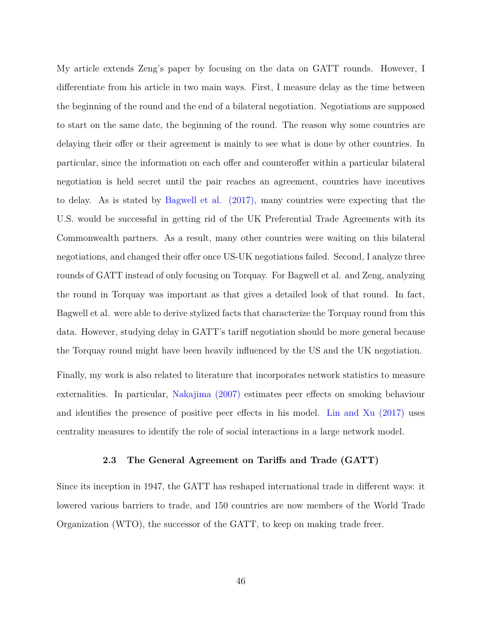My article extends Zeng's paper by focusing on the data on GATT rounds. However, I differentiate from his article in two main ways. First, I measure delay as the time between the beginning of the round and the end of a bilateral negotiation. Negotiations are supposed to start on the same date, the beginning of the round. The reason why some countries are delaying their offer or their agreement is mainly to see what is done by other countries. In particular, since the information on each offer and counteroffer within a particular bilateral negotiation is held secret until the pair reaches an agreement, countries have incentives to delay. As is stated by Bagwell et al. (2017), many countries were expecting that the U.S. would be successful in getting rid of the UK Preferential Trade Agreements with its Commonwealth partners. As a result, many other countries were waiting on this bilateral negotiations, and changed their offer once US-UK negotiations failed. Second, I analyze three rounds of GATT instead of only focusing on Torquay. For Bagwell et al. and Zeng, analyzing the round in Torquay was important as that gives a detailed look of that round. In fact, Bagwell et al. were able to derive stylized facts that characterize the Torquay round from this data. However, studying delay in GATT's tariff negotiation should be more general because the Torquay round might have been heavily influenced by the US and the UK negotiation.

Finally, my work is also related to literature that incorporates network statistics to measure externalities. In particular, Nakajima (2007) estimates peer effects on smoking behaviour and identifies the presence of positive peer effects in his model. Lin and Xu (2017) uses centrality measures to identify the role of social interactions in a large network model.

## **2.3 The General Agreement on Tariffs and Trade (GATT)**

Since its inception in 1947, the GATT has reshaped international trade in different ways: it lowered various barriers to trade, and 150 countries are now members of the World Trade Organization (WTO), the successor of the GATT, to keep on making trade freer.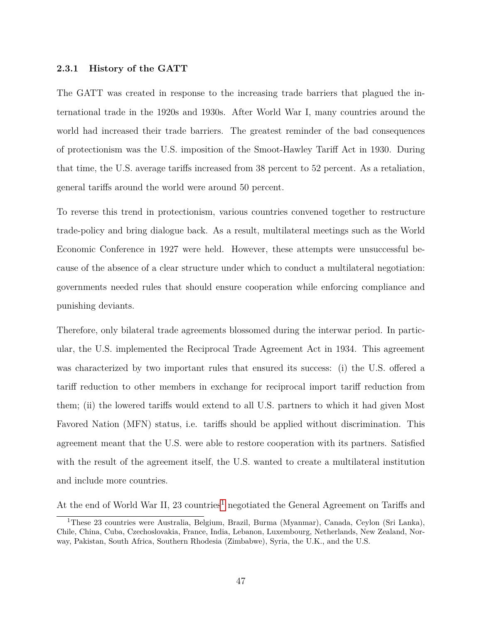## **2.3.1 History of the GATT**

The GATT was created in response to the increasing trade barriers that plagued the international trade in the 1920s and 1930s. After World War I, many countries around the world had increased their trade barriers. The greatest reminder of the bad consequences of protectionism was the U.S. imposition of the Smoot-Hawley Tariff Act in 1930. During that time, the U.S. average tariffs increased from 38 percent to 52 percent. As a retaliation, general tariffs around the world were around 50 percent.

To reverse this trend in protectionism, various countries convened together to restructure trade-policy and bring dialogue back. As a result, multilateral meetings such as the World Economic Conference in 1927 were held. However, these attempts were unsuccessful because of the absence of a clear structure under which to conduct a multilateral negotiation: governments needed rules that should ensure cooperation while enforcing compliance and punishing deviants.

Therefore, only bilateral trade agreements blossomed during the interwar period. In particular, the U.S. implemented the Reciprocal Trade Agreement Act in 1934. This agreement was characterized by two important rules that ensured its success: (i) the U.S. offered a tariff reduction to other members in exchange for reciprocal import tariff reduction from them; (ii) the lowered tariffs would extend to all U.S. partners to which it had given Most Favored Nation (MFN) status, i.e. tariffs should be applied without discrimination. This agreement meant that the U.S. were able to restore cooperation with its partners. Satisfied with the result of the agreement itself, the U.S. wanted to create a multilateral institution and include more countries.

At the end of World War II, 23 countries<sup>[1](#page-53-0)</sup> negotiated the General Agreement on Tariffs and

<span id="page-53-0"></span><sup>1</sup>These 23 countries were Australia, Belgium, Brazil, Burma (Myanmar), Canada, Ceylon (Sri Lanka), Chile, China, Cuba, Czechoslovakia, France, India, Lebanon, Luxembourg, Netherlands, New Zealand, Norway, Pakistan, South Africa, Southern Rhodesia (Zimbabwe), Syria, the U.K., and the U.S.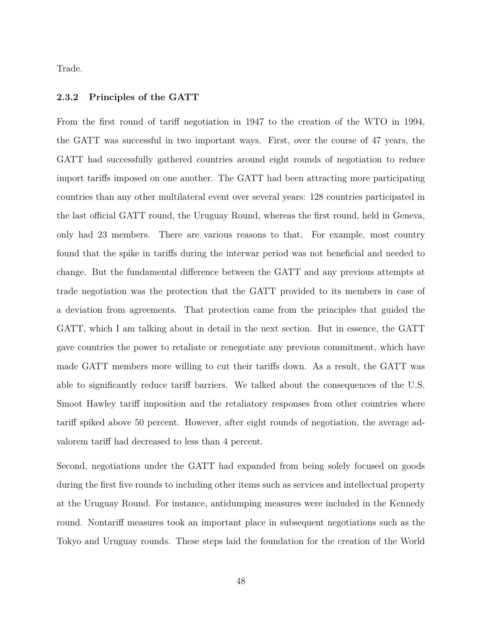Trade.

### **2.3.2 Principles of the GATT**

From the first round of tariff negotiation in 1947 to the creation of the WTO in 1994, the GATT was successful in two important ways. First, over the course of 47 years, the GATT had successfully gathered countries around eight rounds of negotiation to reduce import tariffs imposed on one another. The GATT had been attracting more participating countries than any other multilateral event over several years: 128 countries participated in the last official GATT round, the Uruguay Round, whereas the first round, held in Geneva, only had 23 members. There are various reasons to that. For example, most country found that the spike in tariffs during the interwar period was not beneficial and needed to change. But the fundamental difference between the GATT and any previous attempts at trade negotiation was the protection that the GATT provided to its members in case of a deviation from agreements. That protection came from the principles that guided the GATT, which I am talking about in detail in the next section. But in essence, the GATT gave countries the power to retaliate or renegotiate any previous commitment, which have made GATT members more willing to cut their tariffs down. As a result, the GATT was able to significantly reduce tariff barriers. We talked about the consequences of the U.S. Smoot Hawley tariff imposition and the retaliatory responses from other countries where tariff spiked above 50 percent. However, after eight rounds of negotiation, the average advalorem tariff had decreased to less than 4 percent.

Second, negotiations under the GATT had expanded from being solely focused on goods during the first five rounds to including other items such as services and intellectual property at the Uruguay Round. For instance, antidumping measures were included in the Kennedy round. Nontariff measures took an important place in subsequent negotiations such as the Tokyo and Uruguay rounds. These steps laid the foundation for the creation of the World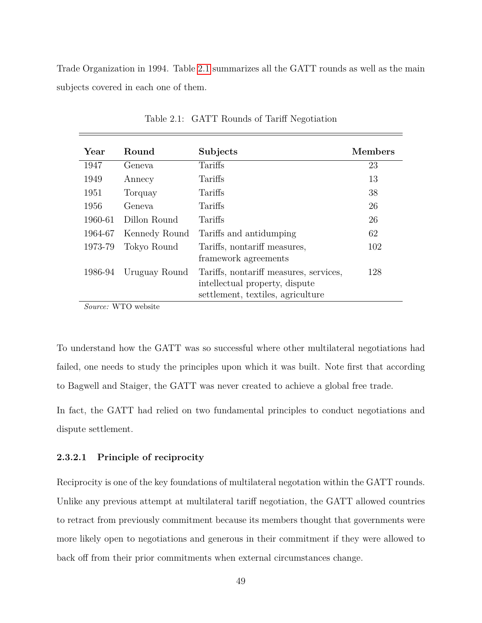Trade Organization in 1994. Table [2.1](#page-55-0) summarizes all the GATT rounds as well as the main subjects covered in each one of them.

<span id="page-55-0"></span>

| Year    | Round         | Subjects                                                                 | <b>Members</b> |
|---------|---------------|--------------------------------------------------------------------------|----------------|
| 1947    | Geneva        | Tariffs                                                                  | 23             |
| 1949    | Annecy        | Tariffs                                                                  | 13             |
| 1951    | Torquay       | Tariffs                                                                  | 38             |
| 1956    | Geneva        | Tariffs                                                                  | 26             |
| 1960-61 | Dillon Round  | Tariffs                                                                  | 26             |
| 1964-67 | Kennedy Round | Tariffs and antidumping                                                  | 62             |
| 1973-79 | Tokyo Round   | Tariffs, nontariff measures,                                             | 102            |
|         |               | framework agreements                                                     |                |
| 1986-94 | Uruguay Round | Tariffs, nontariff measures, services,<br>intellectual property, dispute | 128            |
|         |               | settlement, textiles, agriculture                                        |                |

Table 2.1: GATT Rounds of Tariff Negotiation

*Source:* WTO website

To understand how the GATT was so successful where other multilateral negotiations had failed, one needs to study the principles upon which it was built. Note first that according to Bagwell and Staiger, the GATT was never created to achieve a global free trade.

In fact, the GATT had relied on two fundamental principles to conduct negotiations and dispute settlement.

## **2.3.2.1 Principle of reciprocity**

Reciprocity is one of the key foundations of multilateral negotation within the GATT rounds. Unlike any previous attempt at multilateral tariff negotiation, the GATT allowed countries to retract from previously commitment because its members thought that governments were more likely open to negotiations and generous in their commitment if they were allowed to back off from their prior commitments when external circumstances change.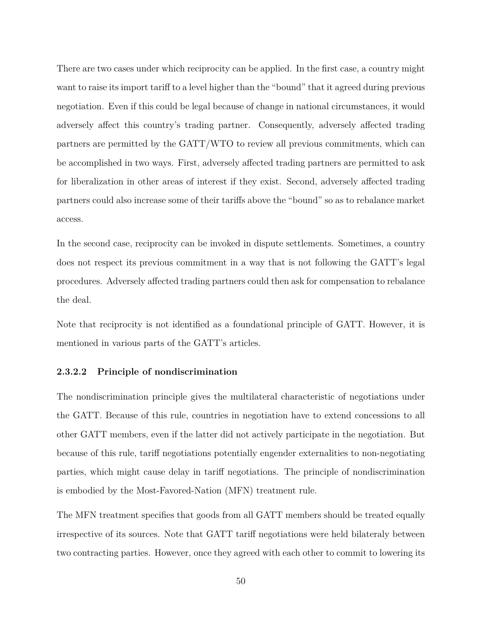There are two cases under which reciprocity can be applied. In the first case, a country might want to raise its import tariff to a level higher than the "bound" that it agreed during previous negotiation. Even if this could be legal because of change in national circumstances, it would adversely affect this country's trading partner. Consequently, adversely affected trading partners are permitted by the GATT/WTO to review all previous commitments, which can be accomplished in two ways. First, adversely affected trading partners are permitted to ask for liberalization in other areas of interest if they exist. Second, adversely affected trading partners could also increase some of their tariffs above the "bound" so as to rebalance market access.

In the second case, reciprocity can be invoked in dispute settlements. Sometimes, a country does not respect its previous commitment in a way that is not following the GATT's legal procedures. Adversely affected trading partners could then ask for compensation to rebalance the deal.

Note that reciprocity is not identified as a foundational principle of GATT. However, it is mentioned in various parts of the GATT's articles.

# **2.3.2.2 Principle of nondiscrimination**

The nondiscrimination principle gives the multilateral characteristic of negotiations under the GATT. Because of this rule, countries in negotiation have to extend concessions to all other GATT members, even if the latter did not actively participate in the negotiation. But because of this rule, tariff negotiations potentially engender externalities to non-negotiating parties, which might cause delay in tariff negotiations. The principle of nondiscrimination is embodied by the Most-Favored-Nation (MFN) treatment rule.

The MFN treatment specifies that goods from all GATT members should be treated equally irrespective of its sources. Note that GATT tariff negotiations were held bilateraly between two contracting parties. However, once they agreed with each other to commit to lowering its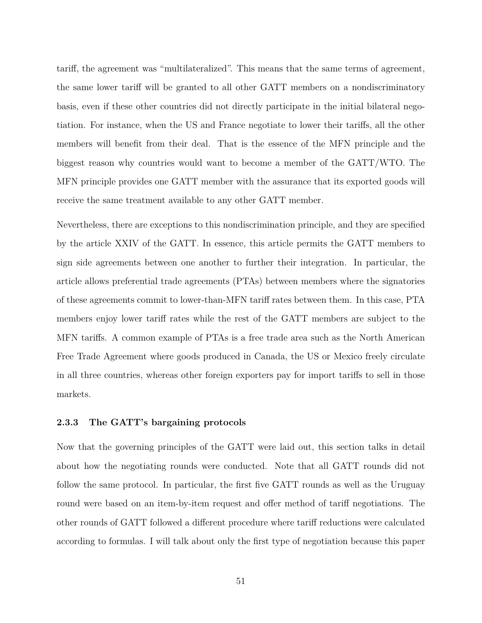tariff, the agreement was "multilateralized". This means that the same terms of agreement, the same lower tariff will be granted to all other GATT members on a nondiscriminatory basis, even if these other countries did not directly participate in the initial bilateral negotiation. For instance, when the US and France negotiate to lower their tariffs, all the other members will benefit from their deal. That is the essence of the MFN principle and the biggest reason why countries would want to become a member of the GATT/WTO. The MFN principle provides one GATT member with the assurance that its exported goods will receive the same treatment available to any other GATT member.

Nevertheless, there are exceptions to this nondiscrimination principle, and they are specified by the article XXIV of the GATT. In essence, this article permits the GATT members to sign side agreements between one another to further their integration. In particular, the article allows preferential trade agreements (PTAs) between members where the signatories of these agreements commit to lower-than-MFN tariff rates between them. In this case, PTA members enjoy lower tariff rates while the rest of the GATT members are subject to the MFN tariffs. A common example of PTAs is a free trade area such as the North American Free Trade Agreement where goods produced in Canada, the US or Mexico freely circulate in all three countries, whereas other foreign exporters pay for import tariffs to sell in those markets.

## **2.3.3 The GATT's bargaining protocols**

Now that the governing principles of the GATT were laid out, this section talks in detail about how the negotiating rounds were conducted. Note that all GATT rounds did not follow the same protocol. In particular, the first five GATT rounds as well as the Uruguay round were based on an item-by-item request and offer method of tariff negotiations. The other rounds of GATT followed a different procedure where tariff reductions were calculated according to formulas. I will talk about only the first type of negotiation because this paper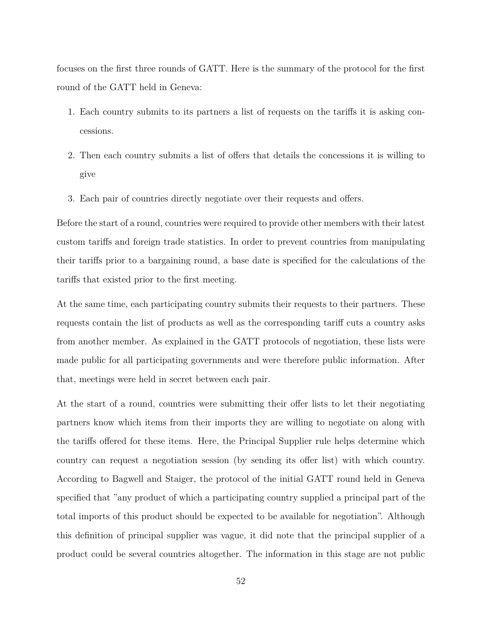focuses on the first three rounds of GATT. Here is the summary of the protocol for the first round of the GATT held in Geneva:

- 1. Each country submits to its partners a list of requests on the tariffs it is asking concessions.
- 2. Then each country submits a list of offers that details the concessions it is willing to give
- 3. Each pair of countries directly negotiate over their requests and offers.

Before the start of a round, countries were required to provide other members with their latest custom tariffs and foreign trade statistics. In order to prevent countries from manipulating their tariffs prior to a bargaining round, a base date is specified for the calculations of the tariffs that existed prior to the first meeting.

At the same time, each participating country submits their requests to their partners. These requests contain the list of products as well as the corresponding tariff cuts a country asks from another member. As explained in the GATT protocols of negotiation, these lists were made public for all participating governments and were therefore public information. After that, meetings were held in secret between each pair.

At the start of a round, countries were submitting their offer lists to let their negotiating partners know which items from their imports they are willing to negotiate on along with the tariffs offered for these items. Here, the Principal Supplier rule helps determine which country can request a negotiation session (by sending its offer list) with which country. According to Bagwell and Staiger, the protocol of the initial GATT round held in Geneva specified that "any product of which a participating country supplied a principal part of the total imports of this product should be expected to be available for negotiation". Although this definition of principal supplier was vague, it did note that the principal supplier of a product could be several countries altogether. The information in this stage are not public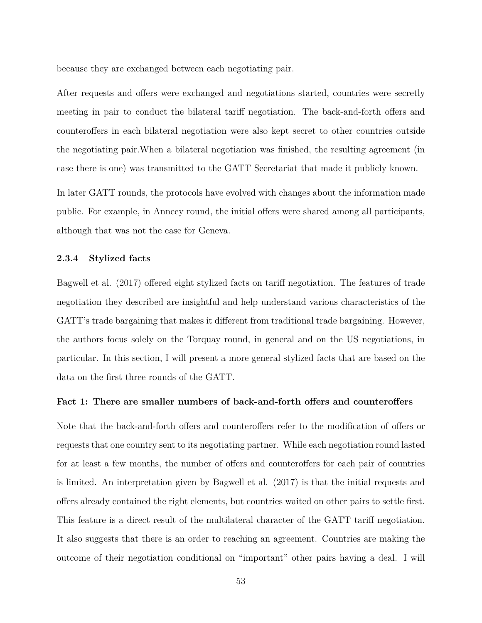because they are exchanged between each negotiating pair.

After requests and offers were exchanged and negotiations started, countries were secretly meeting in pair to conduct the bilateral tariff negotiation. The back-and-forth offers and counteroffers in each bilateral negotiation were also kept secret to other countries outside the negotiating pair.When a bilateral negotiation was finished, the resulting agreement (in case there is one) was transmitted to the GATT Secretariat that made it publicly known.

In later GATT rounds, the protocols have evolved with changes about the information made public. For example, in Annecy round, the initial offers were shared among all participants, although that was not the case for Geneva.

#### **2.3.4 Stylized facts**

Bagwell et al. (2017) offered eight stylized facts on tariff negotiation. The features of trade negotiation they described are insightful and help understand various characteristics of the GATT's trade bargaining that makes it different from traditional trade bargaining. However, the authors focus solely on the Torquay round, in general and on the US negotiations, in particular. In this section, I will present a more general stylized facts that are based on the data on the first three rounds of the GATT.

## **Fact 1: There are smaller numbers of back-and-forth offers and counteroffers**

Note that the back-and-forth offers and counteroffers refer to the modification of offers or requests that one country sent to its negotiating partner. While each negotiation round lasted for at least a few months, the number of offers and counteroffers for each pair of countries is limited. An interpretation given by Bagwell et al. (2017) is that the initial requests and offers already contained the right elements, but countries waited on other pairs to settle first. This feature is a direct result of the multilateral character of the GATT tariff negotiation. It also suggests that there is an order to reaching an agreement. Countries are making the outcome of their negotiation conditional on "important" other pairs having a deal. I will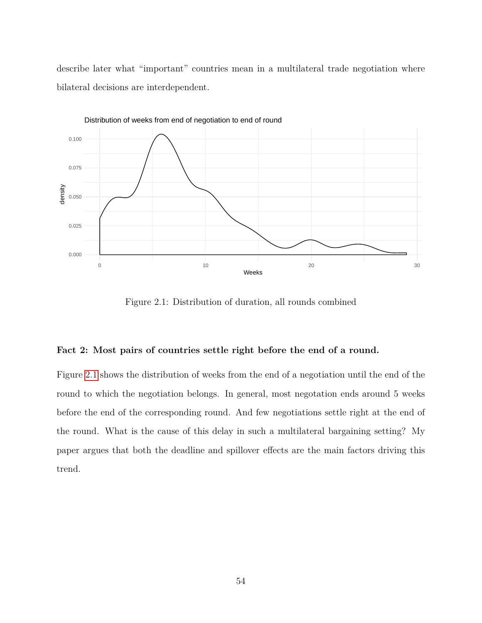describe later what "important" countries mean in a multilateral trade negotiation where bilateral decisions are interdependent.

<span id="page-60-0"></span>

Figure 2.1: Distribution of duration, all rounds combined

## **Fact 2: Most pairs of countries settle right before the end of a round.**

Figure [2.1](#page-60-0) shows the distribution of weeks from the end of a negotiation until the end of the round to which the negotiation belongs. In general, most negotation ends around 5 weeks before the end of the corresponding round. And few negotiations settle right at the end of the round. What is the cause of this delay in such a multilateral bargaining setting? My paper argues that both the deadline and spillover effects are the main factors driving this trend.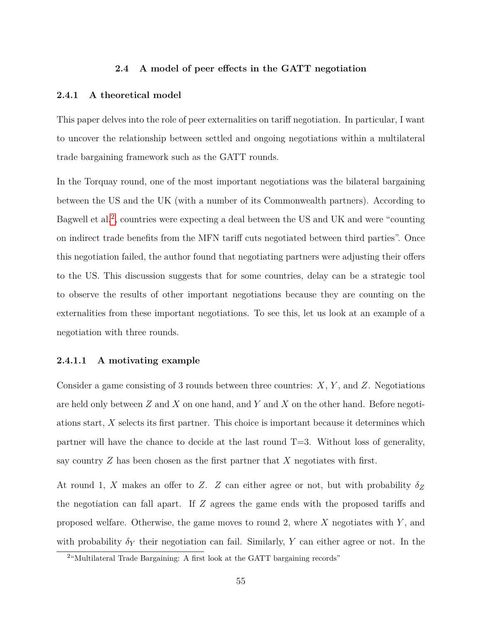# **2.4 A model of peer effects in the GATT negotiation**

#### **2.4.1 A theoretical model**

This paper delves into the role of peer externalities on tariff negotiation. In particular, I want to uncover the relationship between settled and ongoing negotiations within a multilateral trade bargaining framework such as the GATT rounds.

In the Torquay round, one of the most important negotiations was the bilateral bargaining between the US and the UK (with a number of its Commonwealth partners). According to Bagwell et al.<sup>[2](#page-61-0)</sup>, countries were expecting a deal between the US and UK and were "counting on indirect trade benefits from the MFN tariff cuts negotiated between third parties". Once this negotiation failed, the author found that negotiating partners were adjusting their offers to the US. This discussion suggests that for some countries, delay can be a strategic tool to observe the results of other important negotiations because they are counting on the externalities from these important negotiations. To see this, let us look at an example of a negotiation with three rounds.

# **2.4.1.1 A motivating example**

Consider a game consisting of 3 rounds between three countries: *X*, *Y* , and *Z*. Negotiations are held only between *Z* and *X* on one hand, and *Y* and *X* on the other hand. Before negotiations start, *X* selects its first partner. This choice is important because it determines which partner will have the chance to decide at the last round  $T=3$ . Without loss of generality, say country *Z* has been chosen as the first partner that *X* negotiates with first.

At round 1, *X* makes an offer to *Z*. *Z* can either agree or not, but with probability *δ<sup>Z</sup>* the negotiation can fall apart. If *Z* agrees the game ends with the proposed tariffs and proposed welfare. Otherwise, the game moves to round 2, where *X* negotiates with *Y* , and with probability  $\delta_Y$  their negotiation can fail. Similarly, Y can either agree or not. In the

<span id="page-61-0"></span><sup>&</sup>lt;sup>2</sup>"Multilateral Trade Bargaining: A first look at the GATT bargaining records"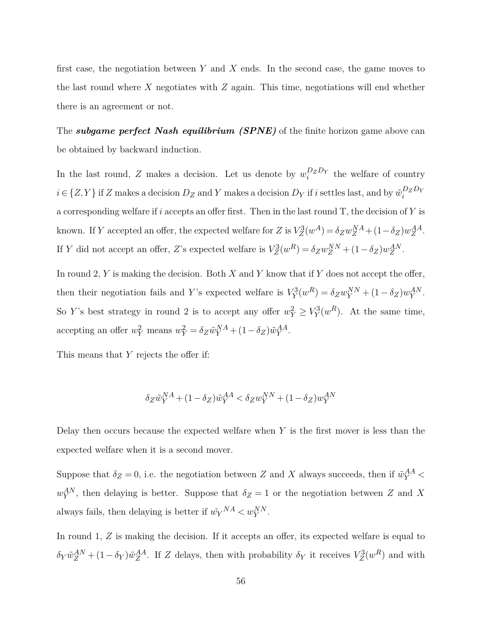first case, the negotiation between *Y* and *X* ends. In the second case, the game moves to the last round where *X* negotiates with *Z* again. This time, negotiations will end whether there is an agreement or not.

The *subgame perfect Nash equilibrium (SPNE)* of the finite horizon game above can be obtained by backward induction.

In the last round, *Z* makes a decision. Let us denote by  $w_i^{D_z D_Y}$  the welfare of country  $i \in \{Z, Y\}$  if *Z* makes a decision  $D_Z$  and *Y* makes a decision  $D_Y$  if *i* settles last, and by  $\tilde{w}_i^{D_Z D_Y}$ a corresponding welfare if *i* accepts an offer first. Then in the last round T, the decision of *Y* is known. If *Y* accepted an offer, the expected welfare for *Z* is  $V_Z^3(w^A) = \delta_Z w_Z^{NA} + (1 - \delta_Z) w_Z^{AA}$ . If *Y* did not accept an offer, *Z*'s expected welfare is  $V_Z^3(w^R) = \delta_Z w_Z^{NN} + (1 - \delta_Z) w_Z^{AN}$ .

In round 2, *Y* is making the decision. Both *X* and *Y* know that if *Y* does not accept the offer, then their negotiation fails and *Y*'s expected welfare is  $V_Y^3(w^R) = \delta_Z w_Y^{NN} + (1 - \delta_Z) w_Y^{AN}$ . So *Y*'s best strategy in round 2 is to accept any offer  $w_Y^2 \ge V_Y^3(w^R)$ . At the same time, accepting an offer  $w_Y^2$  means  $w_Y^2 = \delta_Z \tilde{w}_Y^{NA} + (1 - \delta_Z) \tilde{w}_Y^{AA}$ .

This means that *Y* rejects the offer if:

$$
\delta_Z \tilde{w}_Y^{NA} + (1-\delta_Z) \tilde{w}_Y^{AA} < \delta_Z w_Y^{NN} + (1-\delta_Z) w_Y^{AN}
$$

Delay then occurs because the expected welfare when *Y* is the first mover is less than the expected welfare when it is a second mover.

Suppose that  $\delta_Z = 0$ , i.e. the negotiation between *Z* and *X* always succeeds, then if  $\tilde{w}_Y^{AA} <$  $w_Y^{AN}$ , then delaying is better. Suppose that  $\delta_Z = 1$  or the negotiation between *Z* and *X* always fails, then delaying is better if  $\tilde{w_Y}^{NA} < w_Y^{NN}$ .

In round 1, Z is making the decision. If it accepts an offer, its expected welfare is equal to  $\delta_Y \tilde{w}^{AN}_{Z} + (1 - \delta_Y) \tilde{w}^{AA}_{Z}$ . If *Z* delays, then with probability  $\delta_Y$  it receives  $V^3_Z(w^R)$  and with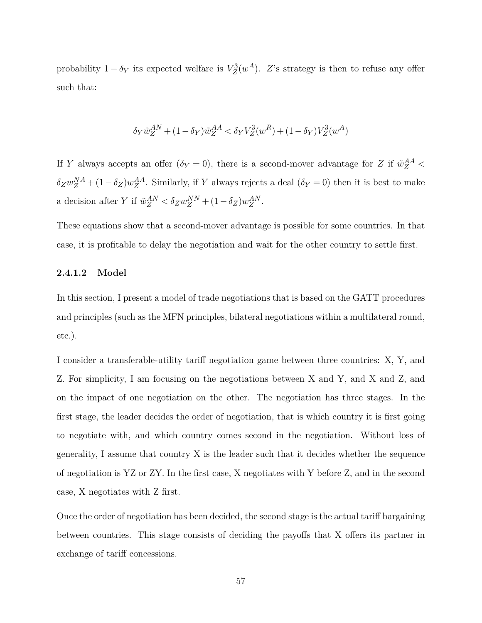probability  $1 - \delta_Y$  its expected welfare is  $V_Z^3(w^A)$ . *Z*'s strategy is then to refuse any offer such that:

$$
\delta_Y \tilde{w}_Z^{AN} + (1 - \delta_Y) \tilde{w}_Z^{AA} < \delta_Y V_Z^3(w^R) + (1 - \delta_Y) V_Z^3(w^A)
$$

If *Y* always accepts an offer  $(\delta_Y = 0)$ , there is a second-mover advantage for *Z* if  $\tilde{w}_Z^{AA}$  <  $\delta_Z w_Z^{NA} + (1 - \delta_Z) w_Z^{AA}$ . Similarly, if *Y* always rejects a deal ( $\delta_Y = 0$ ) then it is best to make a decision after *Y* if  $\tilde{w}_{Z}^{AN} < \delta_{Z}w_{Z}^{NN} + (1 - \delta_{Z})w_{Z}^{AN}$ .

These equations show that a second-mover advantage is possible for some countries. In that case, it is profitable to delay the negotiation and wait for the other country to settle first.

# **2.4.1.2 Model**

In this section, I present a model of trade negotiations that is based on the GATT procedures and principles (such as the MFN principles, bilateral negotiations within a multilateral round, etc.).

I consider a transferable-utility tariff negotiation game between three countries: X, Y, and Z. For simplicity, I am focusing on the negotiations between X and Y, and X and Z, and on the impact of one negotiation on the other. The negotiation has three stages. In the first stage, the leader decides the order of negotiation, that is which country it is first going to negotiate with, and which country comes second in the negotiation. Without loss of generality, I assume that country X is the leader such that it decides whether the sequence of negotiation is YZ or ZY. In the first case, X negotiates with Y before Z, and in the second case, X negotiates with Z first.

Once the order of negotiation has been decided, the second stage is the actual tariff bargaining between countries. This stage consists of deciding the payoffs that X offers its partner in exchange of tariff concessions.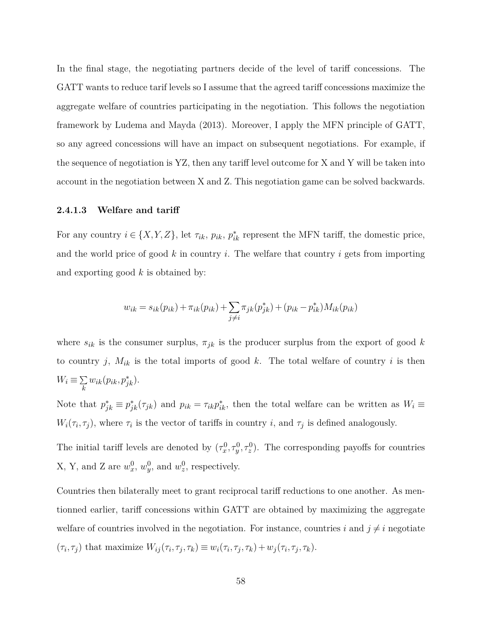In the final stage, the negotiating partners decide of the level of tariff concessions. The GATT wants to reduce tarif levels so I assume that the agreed tariff concessions maximize the aggregate welfare of countries participating in the negotiation. This follows the negotiation framework by Ludema and Mayda (2013). Moreover, I apply the MFN principle of GATT, so any agreed concessions will have an impact on subsequent negotiations. For example, if the sequence of negotiation is YZ, then any tariff level outcome for X and Y will be taken into account in the negotiation between X and Z. This negotiation game can be solved backwards.

#### **2.4.1.3 Welfare and tariff**

For any country  $i \in \{X, Y, Z\}$ , let  $\tau_{ik}, p_{ik}, p_{ik}^*$  represent the MFN tariff, the domestic price, and the world price of good *k* in country *i*. The welfare that country *i* gets from importing and exporting good *k* is obtained by:

$$
w_{ik} = s_{ik}(p_{ik}) + \pi_{ik}(p_{ik}) + \sum_{j \neq i} \pi_{jk}(p_{jk}^*) + (p_{ik} - p_{ik}^*)M_{ik}(p_{ik})
$$

where  $s_{ik}$  is the consumer surplus,  $\pi_{jk}$  is the producer surplus from the export of good k to country *j*,  $M_{ik}$  is the total imports of good *k*. The total welfare of country *i* is then  $W_i \equiv \sum$  $\sum_{k} w_{ik}(p_{ik}, p_{jk}^*)$ .

Note that  $p_{jk}^* \equiv p_{jk}^*(\tau_{jk})$  and  $p_{ik} = \tau_{ik}p_{ik}^*$ , then the total welfare can be written as  $W_i \equiv$  $W_i(\tau_i, \tau_j)$ , where  $\tau_i$  is the vector of tariffs in country *i*, and  $\tau_j$  is defined analogously.

The initial tariff levels are denoted by  $(\tau_x^0, \tau_y^0, \tau_z^0)$ . The corresponding payoffs for countries X, Y, and Z are  $w_x^0$ ,  $w_y^0$ , and  $w_z^0$ , respectively.

Countries then bilaterally meet to grant reciprocal tariff reductions to one another. As mentionned earlier, tariff concessions within GATT are obtained by maximizing the aggregate welfare of countries involved in the negotiation. For instance, countries *i* and  $j \neq i$  negotiate  $(\tau_i, \tau_j)$  that maximize  $W_{ij}(\tau_i, \tau_j, \tau_k) \equiv w_i(\tau_i, \tau_j, \tau_k) + w_j(\tau_i, \tau_j, \tau_k).$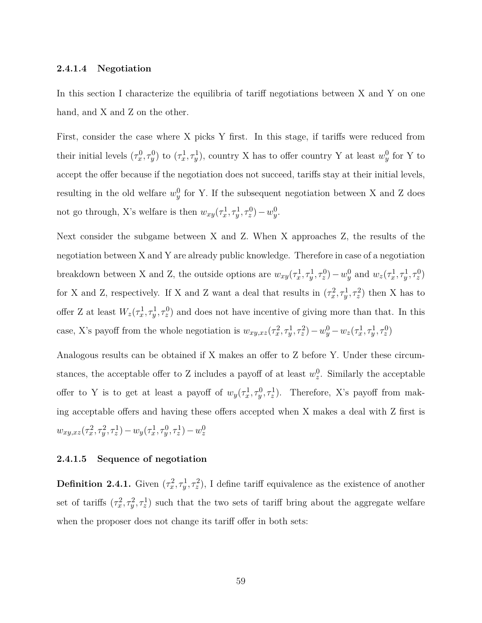#### **2.4.1.4 Negotiation**

In this section I characterize the equilibria of tariff negotiations between X and Y on one hand, and X and Z on the other.

First, consider the case where X picks Y first. In this stage, if tariffs were reduced from their initial levels  $(\tau_x^0, \tau_y^0)$  to  $(\tau_x^1, \tau_y^1)$ , country X has to offer country Y at least  $w_y^0$  for Y to accept the offer because if the negotiation does not succeed, tariffs stay at their initial levels, resulting in the old welfare  $w_y^0$  for Y. If the subsequent negotiation between X and Z does not go through, X's welfare is then  $w_{xy}(\tau_x^1, \tau_y^1, \tau_z^0) - w_y^0$ .

Next consider the subgame between X and Z. When X approaches Z, the results of the negotiation between X and Y are already public knowledge. Therefore in case of a negotiation breakdown between X and Z, the outside options are  $w_{xy}(\tau_x^1, \tau_y^1, \tau_z^0) - w_y^0$  and  $w_z(\tau_x^1, \tau_y^1, \tau_z^0)$ for X and Z, respectively. If X and Z want a deal that results in  $(\tau_x^2, \tau_y^1, \tau_z^2)$  then X has to offer Z at least  $W_z(\tau_x^1, \tau_y^1, \tau_z^0)$  and does not have incentive of giving more than that. In this case, X's payoff from the whole negotiation is  $w_{xy,xz}(\tau_x^2, \tau_y^1, \tau_z^2) - w_y^0 - w_z(\tau_x^1, \tau_y^1, \tau_z^0)$ 

Analogous results can be obtained if X makes an offer to Z before Y. Under these circumstances, the acceptable offer to Z includes a payoff of at least  $w_z^0$ . Similarly the acceptable offer to Y is to get at least a payoff of  $w_y(\tau_x^1, \tau_y^0, \tau_z^1)$ . Therefore, X's payoff from making acceptable offers and having these offers accepted when X makes a deal with Z first is  $w_{xy,xz}(\tau_x^2, \tau_y^2, \tau_z^1) - w_y(\tau_x^1, \tau_y^0, \tau_z^1) - w_z^0$ 

## **2.4.1.5 Sequence of negotiation**

**Definition 2.4.1.** Given  $(\tau_x^2, \tau_y^1, \tau_z^2)$ , I define tariff equivalence as the existence of another set of tariffs  $(\tau_x^2, \tau_y^2, \tau_z^1)$  such that the two sets of tariff bring about the aggregate welfare when the proposer does not change its tariff offer in both sets: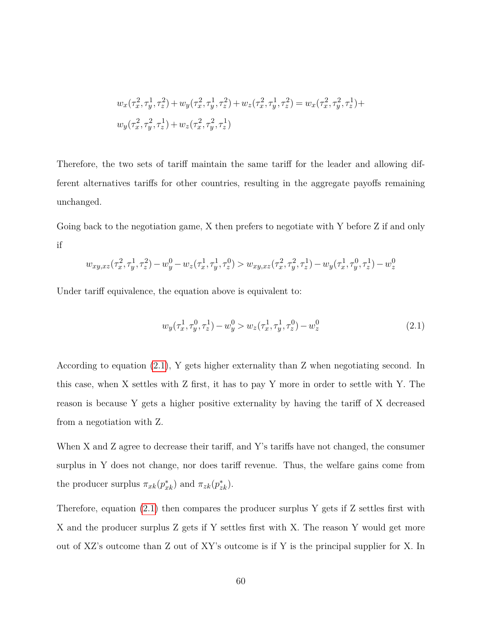$$
w_x(\tau_x^2, \tau_y^1, \tau_z^2) + w_y(\tau_x^2, \tau_y^1, \tau_z^2) + w_z(\tau_x^2, \tau_y^1, \tau_z^2) = w_x(\tau_x^2, \tau_y^2, \tau_z^1) + w_y(\tau_x^2, \tau_y^2, \tau_z^1) + w_z(\tau_x^2, \tau_y^2, \tau_z^1)
$$

Therefore, the two sets of tariff maintain the same tariff for the leader and allowing different alternatives tariffs for other countries, resulting in the aggregate payoffs remaining unchanged.

Going back to the negotiation game, X then prefers to negotiate with Y before Z if and only if

$$
w_{xy,xz}(\tau_x^2, \tau_y^1, \tau_z^2) - w_y^0 - w_z(\tau_x^1, \tau_y^1, \tau_z^0) > w_{xy,xz}(\tau_x^2, \tau_y^2, \tau_z^1) - w_y(\tau_x^1, \tau_y^0, \tau_z^1) - w_z^0
$$

Under tariff equivalence, the equation above is equivalent to:

<span id="page-66-0"></span>
$$
w_y(\tau_x^1, \tau_y^0, \tau_z^1) - w_y^0 > w_z(\tau_x^1, \tau_y^1, \tau_z^0) - w_z^0
$$
\n(2.1)

According to equation [\(2.1\)](#page-66-0), Y gets higher externality than Z when negotiating second. In this case, when X settles with Z first, it has to pay Y more in order to settle with Y. The reason is because Y gets a higher positive externality by having the tariff of X decreased from a negotiation with Z.

When X and Z agree to decrease their tariff, and Y's tariffs have not changed, the consumer surplus in Y does not change, nor does tariff revenue. Thus, the welfare gains come from the producer surplus  $\pi_{xk}(p_{xk}^*)$  and  $\pi_{zk}(p_{zk}^*)$ .

Therefore, equation [\(2.1\)](#page-66-0) then compares the producer surplus Y gets if Z settles first with X and the producer surplus Z gets if Y settles first with X. The reason Y would get more out of XZ's outcome than Z out of XY's outcome is if Y is the principal supplier for X. In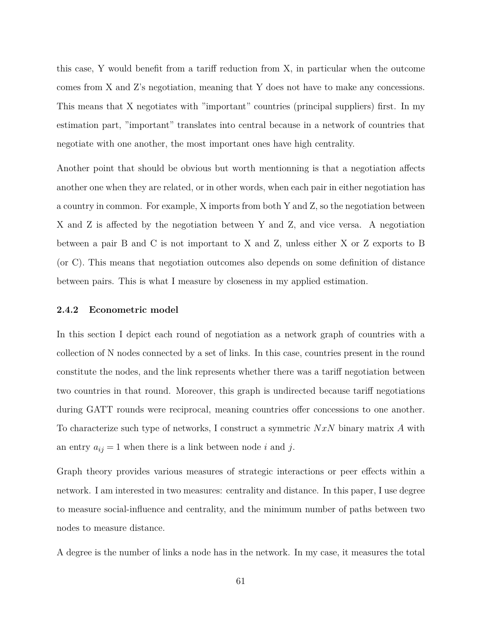this case, Y would benefit from a tariff reduction from X, in particular when the outcome comes from X and Z's negotiation, meaning that Y does not have to make any concessions. This means that X negotiates with "important" countries (principal suppliers) first. In my estimation part, "important" translates into central because in a network of countries that negotiate with one another, the most important ones have high centrality.

Another point that should be obvious but worth mentionning is that a negotiation affects another one when they are related, or in other words, when each pair in either negotiation has a country in common. For example, X imports from both Y and Z, so the negotiation between X and Z is affected by the negotiation between Y and Z, and vice versa. A negotiation between a pair B and C is not important to X and Z, unless either X or Z exports to B (or C). This means that negotiation outcomes also depends on some definition of distance between pairs. This is what I measure by closeness in my applied estimation.

#### **2.4.2 Econometric model**

In this section I depict each round of negotiation as a network graph of countries with a collection of N nodes connected by a set of links. In this case, countries present in the round constitute the nodes, and the link represents whether there was a tariff negotiation between two countries in that round. Moreover, this graph is undirected because tariff negotiations during GATT rounds were reciprocal, meaning countries offer concessions to one another. To characterize such type of networks, I construct a symmetric *NxN* binary matrix *A* with an entry  $a_{ij} = 1$  when there is a link between node *i* and *j*.

Graph theory provides various measures of strategic interactions or peer effects within a network. I am interested in two measures: centrality and distance. In this paper, I use degree to measure social-influence and centrality, and the minimum number of paths between two nodes to measure distance.

A degree is the number of links a node has in the network. In my case, it measures the total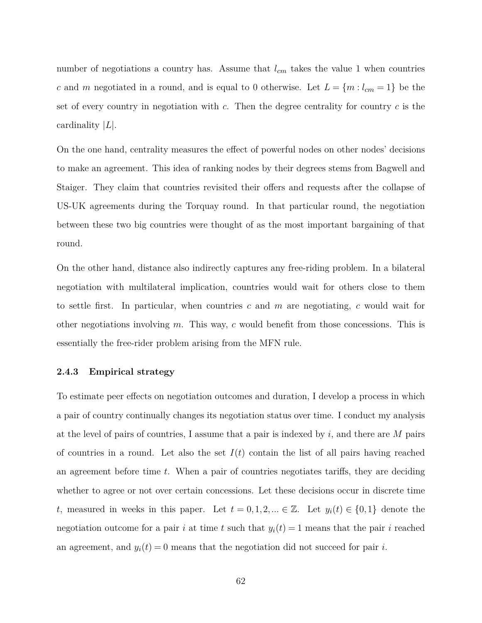number of negotiations a country has. Assume that  $l_{cm}$  takes the value 1 when countries *c* and *m* negotiated in a round, and is equal to 0 otherwise. Let  $L = \{m : l_{cm} = 1\}$  be the set of every country in negotiation with *c*. Then the degree centrality for country *c* is the cardinality |*L*|.

On the one hand, centrality measures the effect of powerful nodes on other nodes' decisions to make an agreement. This idea of ranking nodes by their degrees stems from Bagwell and Staiger. They claim that countries revisited their offers and requests after the collapse of US-UK agreements during the Torquay round. In that particular round, the negotiation between these two big countries were thought of as the most important bargaining of that round.

On the other hand, distance also indirectly captures any free-riding problem. In a bilateral negotiation with multilateral implication, countries would wait for others close to them to settle first. In particular, when countries *c* and *m* are negotiating, *c* would wait for other negotiations involving *m*. This way, *c* would benefit from those concessions. This is essentially the free-rider problem arising from the MFN rule.

## **2.4.3 Empirical strategy**

To estimate peer effects on negotiation outcomes and duration, I develop a process in which a pair of country continually changes its negotiation status over time. I conduct my analysis at the level of pairs of countries, I assume that a pair is indexed by *i*, and there are *M* pairs of countries in a round. Let also the set  $I(t)$  contain the list of all pairs having reached an agreement before time *t*. When a pair of countries negotiates tariffs, they are deciding whether to agree or not over certain concessions. Let these decisions occur in discrete time *t*, measured in weeks in this paper. Let  $t = 0, 1, 2, ... \in \mathbb{Z}$ . Let  $y_i(t) \in \{0, 1\}$  denote the negotiation outcome for a pair *i* at time *t* such that  $y_i(t) = 1$  means that the pair *i* reached an agreement, and  $y_i(t) = 0$  means that the negotiation did not succeed for pair *i*.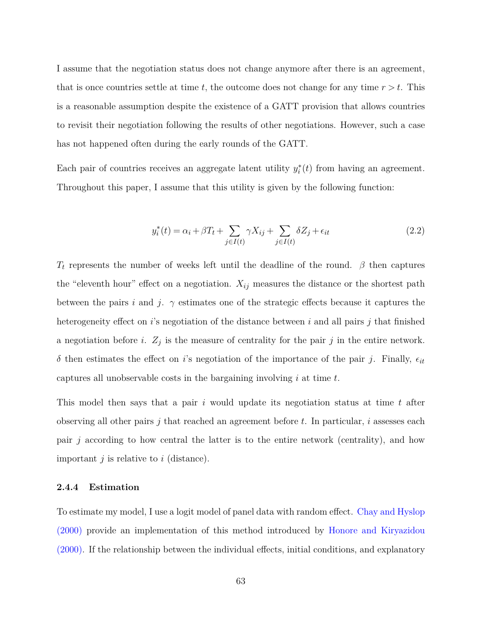I assume that the negotiation status does not change anymore after there is an agreement, that is once countries settle at time  $t$ , the outcome does not change for any time  $r > t$ . This is a reasonable assumption despite the existence of a GATT provision that allows countries to revisit their negotiation following the results of other negotiations. However, such a case has not happened often during the early rounds of the GATT.

Each pair of countries receives an aggregate latent utility  $y_i^*(t)$  from having an agreement. Throughout this paper, I assume that this utility is given by the following function:

$$
y_i^*(t) = \alpha_i + \beta T_t + \sum_{j \in I(t)} \gamma X_{ij} + \sum_{j \in I(t)} \delta Z_j + \epsilon_{it}
$$
\n(2.2)

*T<sup>t</sup>* represents the number of weeks left until the deadline of the round. *β* then captures the "eleventh hour" effect on a negotiation.  $X_{ij}$  measures the distance or the shortest path between the pairs *i* and *j*.  $\gamma$  estimates one of the strategic effects because it captures the heterogeneity effect on *i*'s negotiation of the distance between *i* and all pairs *j* that finished a negotiation before *i*.  $Z_j$  is the measure of centrality for the pair *j* in the entire network.  $\delta$  then estimates the effect on *i*'s negotiation of the importance of the pair *j*. Finally,  $\epsilon_{it}$ captures all unobservable costs in the bargaining involving *i* at time *t*.

This model then says that a pair *i* would update its negotiation status at time *t* after observing all other pairs *j* that reached an agreement before *t*. In particular, *i* assesses each pair *j* according to how central the latter is to the entire network (centrality), and how important *j* is relative to *i* (distance).

### **2.4.4 Estimation**

To estimate my model, I use a logit model of panel data with random effect. Chay and Hyslop (2000) provide an implementation of this method introduced by Honore and Kiryazidou (2000). If the relationship between the individual effects, initial conditions, and explanatory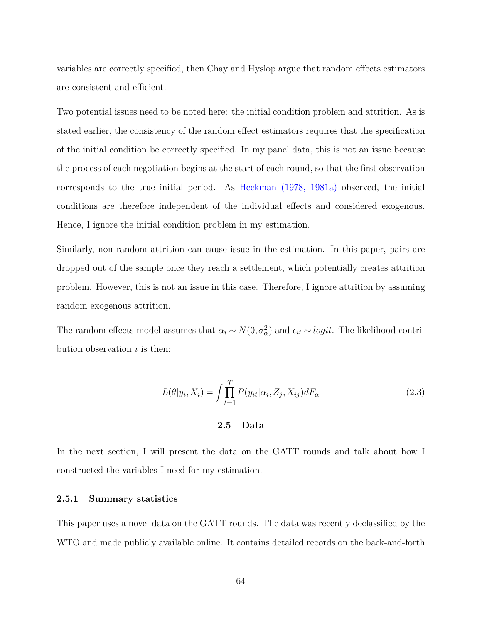variables are correctly specified, then Chay and Hyslop argue that random effects estimators are consistent and efficient.

Two potential issues need to be noted here: the initial condition problem and attrition. As is stated earlier, the consistency of the random effect estimators requires that the specification of the initial condition be correctly specified. In my panel data, this is not an issue because the process of each negotiation begins at the start of each round, so that the first observation corresponds to the true initial period. As Heckman (1978, 1981a) observed, the initial conditions are therefore independent of the individual effects and considered exogenous. Hence, I ignore the initial condition problem in my estimation.

Similarly, non random attrition can cause issue in the estimation. In this paper, pairs are dropped out of the sample once they reach a settlement, which potentially creates attrition problem. However, this is not an issue in this case. Therefore, I ignore attrition by assuming random exogenous attrition.

The random effects model assumes that  $\alpha_i \sim N(0, \sigma_{\alpha}^2)$  and  $\epsilon_{it} \sim logit$ . The likelihood contribution observation *i* is then:

$$
L(\theta|y_i, X_i) = \int \prod_{t=1}^T P(y_{it}|\alpha_i, Z_j, X_{ij}) dF_\alpha
$$
\n(2.3)

#### **2.5 Data**

In the next section, I will present the data on the GATT rounds and talk about how I constructed the variables I need for my estimation.

## **2.5.1 Summary statistics**

This paper uses a novel data on the GATT rounds. The data was recently declassified by the WTO and made publicly available online. It contains detailed records on the back-and-forth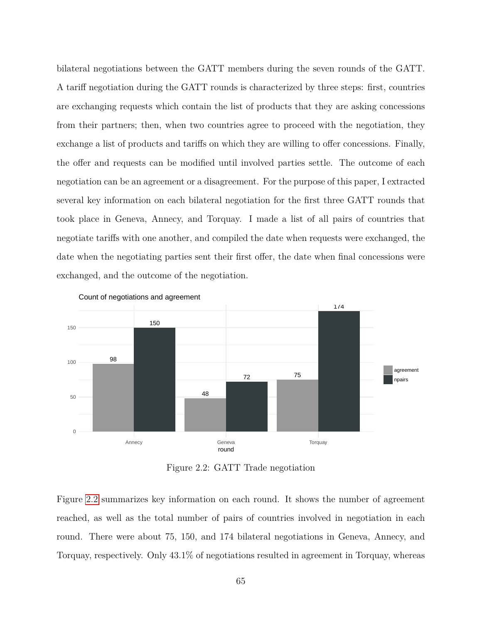bilateral negotiations between the GATT members during the seven rounds of the GATT. A tariff negotiation during the GATT rounds is characterized by three steps: first, countries are exchanging requests which contain the list of products that they are asking concessions from their partners; then, when two countries agree to proceed with the negotiation, they exchange a list of products and tariffs on which they are willing to offer concessions. Finally, the offer and requests can be modified until involved parties settle. The outcome of each negotiation can be an agreement or a disagreement. For the purpose of this paper, I extracted several key information on each bilateral negotiation for the first three GATT rounds that took place in Geneva, Annecy, and Torquay. I made a list of all pairs of countries that negotiate tariffs with one another, and compiled the date when requests were exchanged, the date when the negotiating parties sent their first offer, the date when final concessions were exchanged, and the outcome of the negotiation.

<span id="page-71-0"></span>

Count of negotiations and agreement

Figure 2.2: GATT Trade negotiation

Figure [2.2](#page-71-0) summarizes key information on each round. It shows the number of agreement reached, as well as the total number of pairs of countries involved in negotiation in each round. There were about 75, 150, and 174 bilateral negotiations in Geneva, Annecy, and Torquay, respectively. Only 43.1% of negotiations resulted in agreement in Torquay, whereas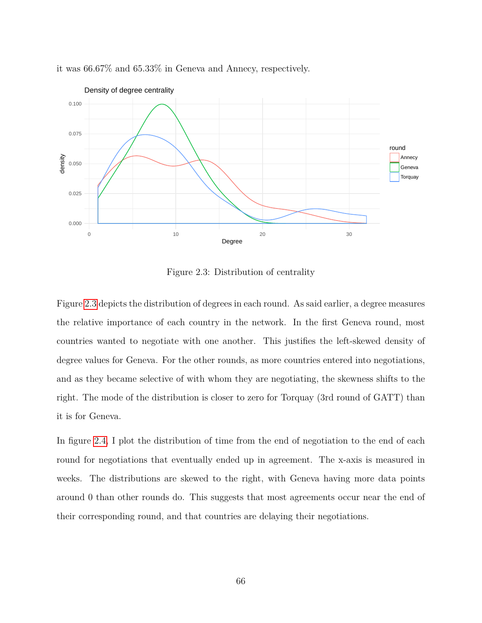<span id="page-72-0"></span>

it was 66.67% and 65.33% in Geneva and Annecy, respectively.

Figure 2.3: Distribution of centrality

Figure [2.3](#page-72-0) depicts the distribution of degrees in each round. As said earlier, a degree measures the relative importance of each country in the network. In the first Geneva round, most countries wanted to negotiate with one another. This justifies the left-skewed density of degree values for Geneva. For the other rounds, as more countries entered into negotiations, and as they became selective of with whom they are negotiating, the skewness shifts to the right. The mode of the distribution is closer to zero for Torquay (3rd round of GATT) than it is for Geneva.

In figure [2.4,](#page-73-0) I plot the distribution of time from the end of negotiation to the end of each round for negotiations that eventually ended up in agreement. The x-axis is measured in weeks. The distributions are skewed to the right, with Geneva having more data points around 0 than other rounds do. This suggests that most agreements occur near the end of their corresponding round, and that countries are delaying their negotiations.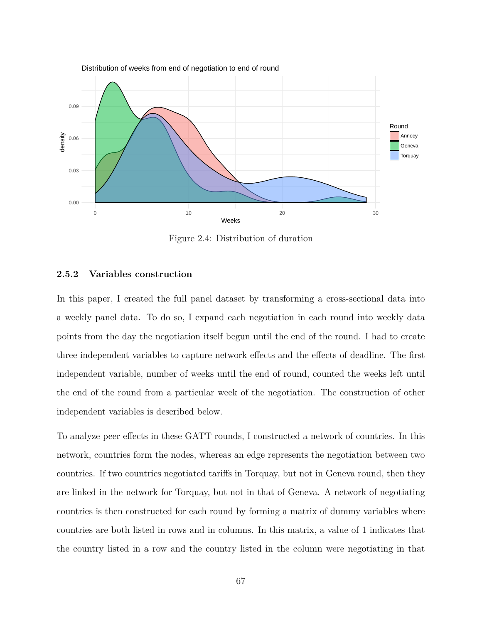<span id="page-73-0"></span>

Figure 2.4: Distribution of duration

# **2.5.2 Variables construction**

In this paper, I created the full panel dataset by transforming a cross-sectional data into a weekly panel data. To do so, I expand each negotiation in each round into weekly data points from the day the negotiation itself begun until the end of the round. I had to create three independent variables to capture network effects and the effects of deadline. The first independent variable, number of weeks until the end of round, counted the weeks left until the end of the round from a particular week of the negotiation. The construction of other independent variables is described below.

To analyze peer effects in these GATT rounds, I constructed a network of countries. In this network, countries form the nodes, whereas an edge represents the negotiation between two countries. If two countries negotiated tariffs in Torquay, but not in Geneva round, then they are linked in the network for Torquay, but not in that of Geneva. A network of negotiating countries is then constructed for each round by forming a matrix of dummy variables where countries are both listed in rows and in columns. In this matrix, a value of 1 indicates that the country listed in a row and the country listed in the column were negotiating in that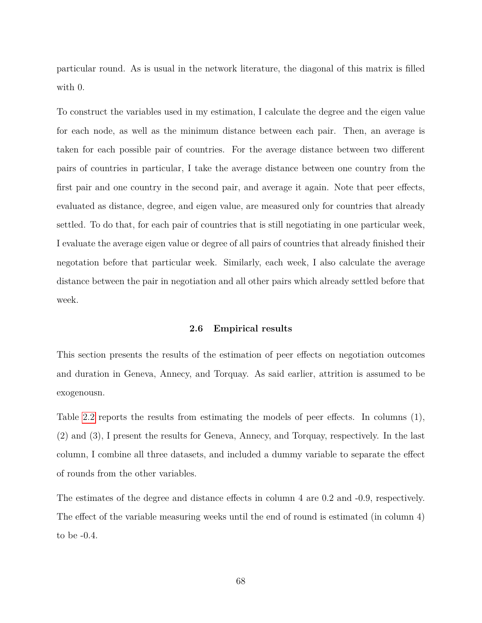particular round. As is usual in the network literature, the diagonal of this matrix is filled with 0.

To construct the variables used in my estimation, I calculate the degree and the eigen value for each node, as well as the minimum distance between each pair. Then, an average is taken for each possible pair of countries. For the average distance between two different pairs of countries in particular, I take the average distance between one country from the first pair and one country in the second pair, and average it again. Note that peer effects, evaluated as distance, degree, and eigen value, are measured only for countries that already settled. To do that, for each pair of countries that is still negotiating in one particular week, I evaluate the average eigen value or degree of all pairs of countries that already finished their negotation before that particular week. Similarly, each week, I also calculate the average distance between the pair in negotiation and all other pairs which already settled before that week.

#### **2.6 Empirical results**

This section presents the results of the estimation of peer effects on negotiation outcomes and duration in Geneva, Annecy, and Torquay. As said earlier, attrition is assumed to be exogenousn.

Table [2.2](#page-75-0) reports the results from estimating the models of peer effects. In columns (1), (2) and (3), I present the results for Geneva, Annecy, and Torquay, respectively. In the last column, I combine all three datasets, and included a dummy variable to separate the effect of rounds from the other variables.

The estimates of the degree and distance effects in column 4 are 0.2 and -0.9, respectively. The effect of the variable measuring weeks until the end of round is estimated (in column 4) to be -0.4.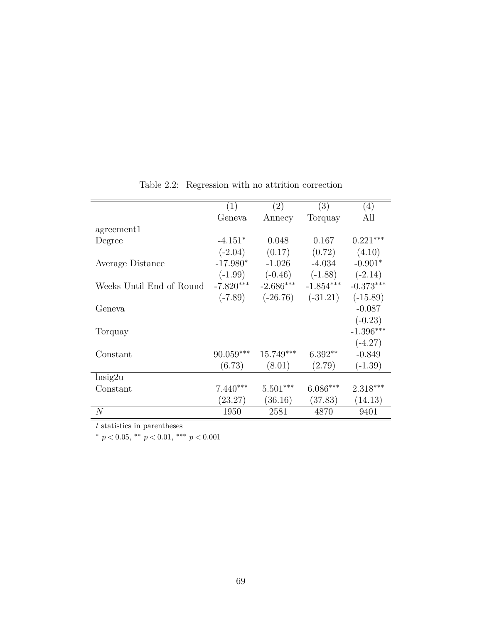<span id="page-75-0"></span>

|                          | (1)         | (2)         | (3)         | $\left( 4\right)$ |
|--------------------------|-------------|-------------|-------------|-------------------|
|                          | Geneva      | Annecy      | Torquay     | All               |
| agreement1               |             |             |             |                   |
| Degree                   | $-4.151*$   | 0.048       | 0.167       | $0.221***$        |
|                          | $(-2.04)$   | (0.17)      | (0.72)      | (4.10)            |
| Average Distance         | $-17.980*$  | $-1.026$    | $-4.034$    | $-0.901*$         |
|                          | $(-1.99)$   | $(-0.46)$   | $(-1.88)$   | $(-2.14)$         |
| Weeks Until End of Round | $-7.820***$ | $-2.686***$ | $-1.854***$ | $-0.373***$       |
|                          | $(-7.89)$   | $(-26.76)$  | $(-31.21)$  | $(-15.89)$        |
| Geneva                   |             |             |             | $-0.087$          |
|                          |             |             |             | $(-0.23)$         |
| Torquay                  |             |             |             | $-1.396***$       |
|                          |             |             |             | $(-4.27)$         |
| Constant                 | $90.059***$ | $15.749***$ | $6.392**$   | $-0.849$          |
|                          | (6.73)      | (8.01)      | (2.79)      | $(-1.39)$         |
| $\ln$ sig2u              |             |             |             |                   |
| Constant                 | $7.440***$  | $5.501***$  | $6.086***$  | $2.318***$        |
|                          | (23.27)     | (36.16)     | (37.83)     | (14.13)           |
| $\overline{N}$           | 1950        | 2581        | 4870        | 9401              |

Table 2.2: Regression with no attrition correction

*t* statistics in parentheses

<sup>∗</sup> *p <* 0*.*05, ∗∗ *p <* 0*.*01, ∗∗∗ *p <* 0*.*001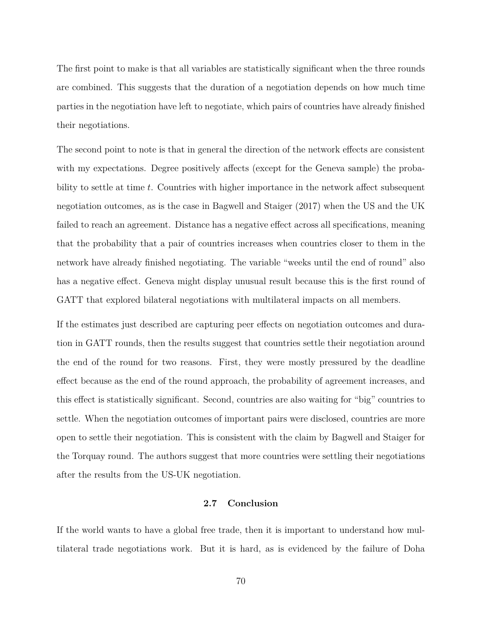The first point to make is that all variables are statistically significant when the three rounds are combined. This suggests that the duration of a negotiation depends on how much time parties in the negotiation have left to negotiate, which pairs of countries have already finished their negotiations.

The second point to note is that in general the direction of the network effects are consistent with my expectations. Degree positively affects (except for the Geneva sample) the probability to settle at time *t*. Countries with higher importance in the network affect subsequent negotiation outcomes, as is the case in Bagwell and Staiger (2017) when the US and the UK failed to reach an agreement. Distance has a negative effect across all specifications, meaning that the probability that a pair of countries increases when countries closer to them in the network have already finished negotiating. The variable "weeks until the end of round" also has a negative effect. Geneva might display unusual result because this is the first round of GATT that explored bilateral negotiations with multilateral impacts on all members.

If the estimates just described are capturing peer effects on negotiation outcomes and duration in GATT rounds, then the results suggest that countries settle their negotiation around the end of the round for two reasons. First, they were mostly pressured by the deadline effect because as the end of the round approach, the probability of agreement increases, and this effect is statistically significant. Second, countries are also waiting for "big" countries to settle. When the negotiation outcomes of important pairs were disclosed, countries are more open to settle their negotiation. This is consistent with the claim by Bagwell and Staiger for the Torquay round. The authors suggest that more countries were settling their negotiations after the results from the US-UK negotiation.

### **2.7 Conclusion**

If the world wants to have a global free trade, then it is important to understand how multilateral trade negotiations work. But it is hard, as is evidenced by the failure of Doha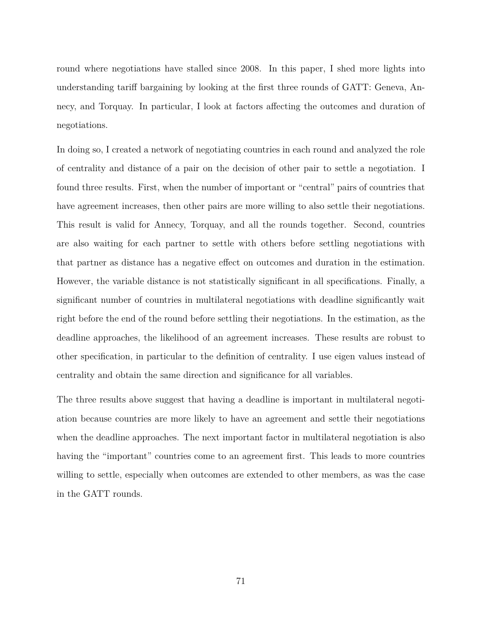round where negotiations have stalled since 2008. In this paper, I shed more lights into understanding tariff bargaining by looking at the first three rounds of GATT: Geneva, Annecy, and Torquay. In particular, I look at factors affecting the outcomes and duration of negotiations.

In doing so, I created a network of negotiating countries in each round and analyzed the role of centrality and distance of a pair on the decision of other pair to settle a negotiation. I found three results. First, when the number of important or "central" pairs of countries that have agreement increases, then other pairs are more willing to also settle their negotiations. This result is valid for Annecy, Torquay, and all the rounds together. Second, countries are also waiting for each partner to settle with others before settling negotiations with that partner as distance has a negative effect on outcomes and duration in the estimation. However, the variable distance is not statistically significant in all specifications. Finally, a significant number of countries in multilateral negotiations with deadline significantly wait right before the end of the round before settling their negotiations. In the estimation, as the deadline approaches, the likelihood of an agreement increases. These results are robust to other specification, in particular to the definition of centrality. I use eigen values instead of centrality and obtain the same direction and significance for all variables.

The three results above suggest that having a deadline is important in multilateral negotiation because countries are more likely to have an agreement and settle their negotiations when the deadline approaches. The next important factor in multilateral negotiation is also having the "important" countries come to an agreement first. This leads to more countries willing to settle, especially when outcomes are extended to other members, as was the case in the GATT rounds.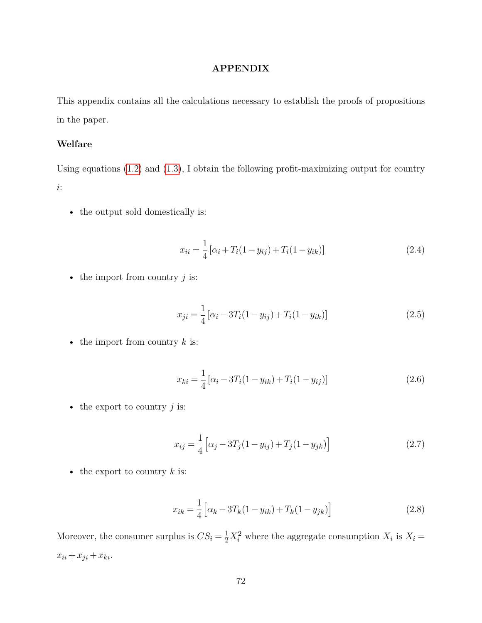# **APPENDIX**

This appendix contains all the calculations necessary to establish the proofs of propositions in the paper.

# **Welfare**

Using equations [\(1.2\)](#page-17-0) and [\(1.3\)](#page-17-1), I obtain the following profit-maximizing output for country *i*:

• the output sold domestically is:

$$
x_{ii} = \frac{1}{4} \left[ \alpha_i + T_i (1 - y_{ij}) + T_i (1 - y_{ik}) \right]
$$
 (2.4)

• the import from country *j* is:

$$
x_{ji} = \frac{1}{4} [\alpha_i - 3T_i(1 - y_{ij}) + T_i(1 - y_{ik})]
$$
\n(2.5)

• the import from country *k* is:

$$
x_{ki} = \frac{1}{4} \left[ \alpha_i - 3T_i(1 - y_{ik}) + T_i(1 - y_{ij}) \right]
$$
 (2.6)

• the export to country *j* is:

$$
x_{ij} = \frac{1}{4} \left[ \alpha_j - 3T_j (1 - y_{ij}) + T_j (1 - y_{jk}) \right]
$$
 (2.7)

• the export to country  $k$  is:

$$
x_{ik} = \frac{1}{4} \left[ \alpha_k - 3T_k(1 - y_{ik}) + T_k(1 - y_{jk}) \right]
$$
 (2.8)

Moreover, the consumer surplus is  $CS_i = \frac{1}{2}X_i^2$  where the aggregate consumption  $X_i$  is  $X_i =$  $x_{ii} + x_{ji} + x_{ki}$ .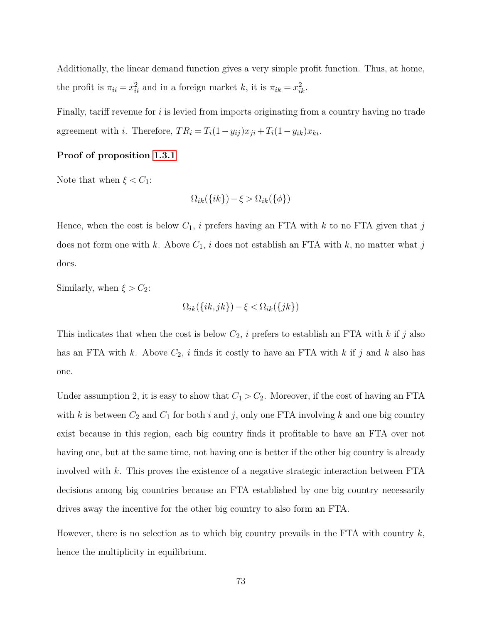Additionally, the linear demand function gives a very simple profit function. Thus, at home, the profit is  $\pi_{ii} = x_{ii}^2$  and in a foreign market *k*, it is  $\pi_{ik} = x_{ik}^2$ .

Finally, tariff revenue for *i* is levied from imports originating from a country having no trade agreement with *i*. Therefore,  $TR_i = T_i(1 - y_{ij})x_{ji} + T_i(1 - y_{ik})x_{ki}$ .

# **Proof of proposition [1.3.1](#page-18-0)**

Note that when  $\xi < C_1$ :

$$
\Omega_{ik}(\{ik\}) - \xi > \Omega_{ik}(\{\phi\})
$$

Hence, when the cost is below  $C_1$ , *i* prefers having an FTA with *k* to no FTA given that *j* does not form one with *k*. Above  $C_1$ , *i* does not establish an FTA with *k*, no matter what *j* does.

Similarly, when  $\xi > C_2$ :

$$
\Omega_{ik}(\{ik,jk\}) - \xi < \Omega_{ik}(\{jk\})
$$

This indicates that when the cost is below *C*2, *i* prefers to establish an FTA with *k* if *j* also has an FTA with *k*. Above *C*2, *i* finds it costly to have an FTA with *k* if *j* and *k* also has one.

Under assumption 2, it is easy to show that  $C_1 > C_2$ . Moreover, if the cost of having an FTA with  $k$  is between  $C_2$  and  $C_1$  for both  $i$  and  $j$ , only one FTA involving  $k$  and one big country exist because in this region, each big country finds it profitable to have an FTA over not having one, but at the same time, not having one is better if the other big country is already involved with *k*. This proves the existence of a negative strategic interaction between FTA decisions among big countries because an FTA established by one big country necessarily drives away the incentive for the other big country to also form an FTA.

However, there is no selection as to which big country prevails in the FTA with country *k*, hence the multiplicity in equilibrium.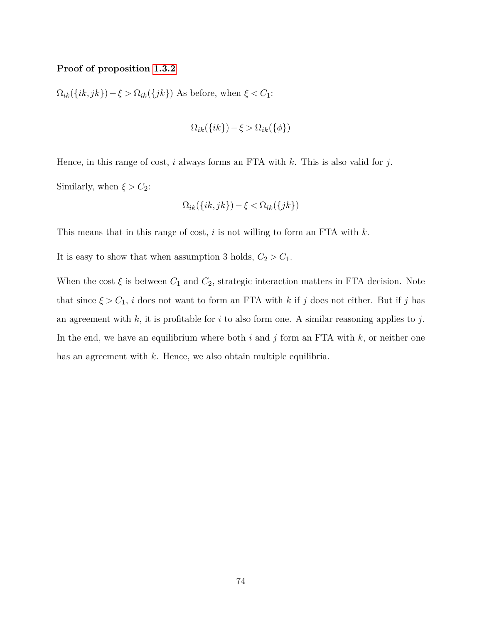### **Proof of proposition [1.3.2](#page-20-0)**

Ω*ik*({*ik, jk*})−*ξ >* Ω*ik*({*jk*}) As before, when *ξ < C*1:

$$
\Omega_{ik}(\{ik\}) - \xi > \Omega_{ik}(\{\phi\})
$$

Hence, in this range of cost, *i* always forms an FTA with *k*. This is also valid for *j*. Similarly, when  $\xi > C_2$ :

$$
\Omega_{ik}(\{ik,jk\}) - \xi < \Omega_{ik}(\{jk\})
$$

This means that in this range of cost, *i* is not willing to form an FTA with *k*.

It is easy to show that when assumption 3 holds,  $C_2 > C_1$ .

When the cost  $\xi$  is between  $C_1$  and  $C_2$ , strategic interaction matters in FTA decision. Note that since  $\xi > C_1$ , *i* does not want to form an FTA with *k* if *j* does not either. But if *j* has an agreement with *k*, it is profitable for *i* to also form one. A similar reasoning applies to *j*. In the end, we have an equilibrium where both *i* and *j* form an FTA with *k*, or neither one has an agreement with *k*. Hence, we also obtain multiple equilibria.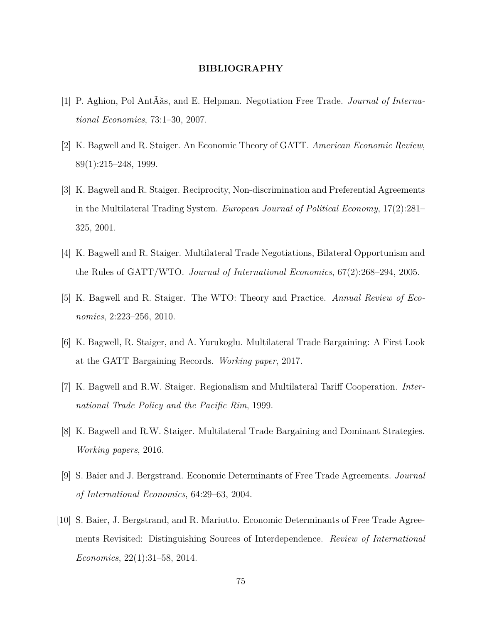# **BIBLIOGRAPHY**

- [1] P. Aghion, Pol AntÃăs, and E. Helpman. Negotiation Free Trade. *Journal of International Economics*, 73:1–30, 2007.
- [2] K. Bagwell and R. Staiger. An Economic Theory of GATT. *American Economic Review*, 89(1):215–248, 1999.
- [3] K. Bagwell and R. Staiger. Reciprocity, Non-discrimination and Preferential Agreements in the Multilateral Trading System. *European Journal of Political Economy*, 17(2):281– 325, 2001.
- [4] K. Bagwell and R. Staiger. Multilateral Trade Negotiations, Bilateral Opportunism and the Rules of GATT/WTO. *Journal of International Economics*, 67(2):268–294, 2005.
- [5] K. Bagwell and R. Staiger. The WTO: Theory and Practice. *Annual Review of Economics*, 2:223–256, 2010.
- [6] K. Bagwell, R. Staiger, and A. Yurukoglu. Multilateral Trade Bargaining: A First Look at the GATT Bargaining Records. *Working paper*, 2017.
- [7] K. Bagwell and R.W. Staiger. Regionalism and Multilateral Tariff Cooperation. *International Trade Policy and the Pacific Rim*, 1999.
- [8] K. Bagwell and R.W. Staiger. Multilateral Trade Bargaining and Dominant Strategies. *Working papers*, 2016.
- [9] S. Baier and J. Bergstrand. Economic Determinants of Free Trade Agreements. *Journal of International Economics*, 64:29–63, 2004.
- [10] S. Baier, J. Bergstrand, and R. Mariutto. Economic Determinants of Free Trade Agreements Revisited: Distinguishing Sources of Interdependence. *Review of International Economics*, 22(1):31–58, 2014.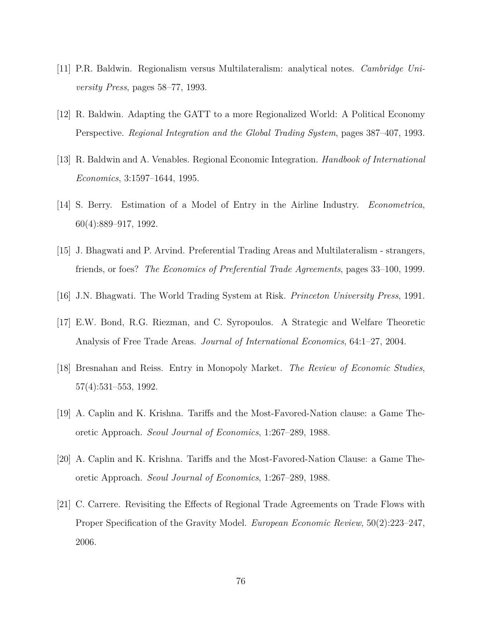- [11] P.R. Baldwin. Regionalism versus Multilateralism: analytical notes. *Cambridge University Press*, pages 58–77, 1993.
- [12] R. Baldwin. Adapting the GATT to a more Regionalized World: A Political Economy Perspective. *Regional Integration and the Global Trading System*, pages 387–407, 1993.
- [13] R. Baldwin and A. Venables. Regional Economic Integration. *Handbook of International Economics*, 3:1597–1644, 1995.
- [14] S. Berry. Estimation of a Model of Entry in the Airline Industry. *Econometrica*, 60(4):889–917, 1992.
- [15] J. Bhagwati and P. Arvind. Preferential Trading Areas and Multilateralism strangers, friends, or foes? *The Economics of Preferential Trade Agreements*, pages 33–100, 1999.
- [16] J.N. Bhagwati. The World Trading System at Risk. *Princeton University Press*, 1991.
- [17] E.W. Bond, R.G. Riezman, and C. Syropoulos. A Strategic and Welfare Theoretic Analysis of Free Trade Areas. *Journal of International Economics*, 64:1–27, 2004.
- [18] Bresnahan and Reiss. Entry in Monopoly Market. *The Review of Economic Studies*, 57(4):531–553, 1992.
- [19] A. Caplin and K. Krishna. Tariffs and the Most-Favored-Nation clause: a Game Theoretic Approach. *Seoul Journal of Economics*, 1:267–289, 1988.
- [20] A. Caplin and K. Krishna. Tariffs and the Most-Favored-Nation Clause: a Game Theoretic Approach. *Seoul Journal of Economics*, 1:267–289, 1988.
- [21] C. Carrere. Revisiting the Effects of Regional Trade Agreements on Trade Flows with Proper Specification of the Gravity Model. *European Economic Review*, 50(2):223–247, 2006.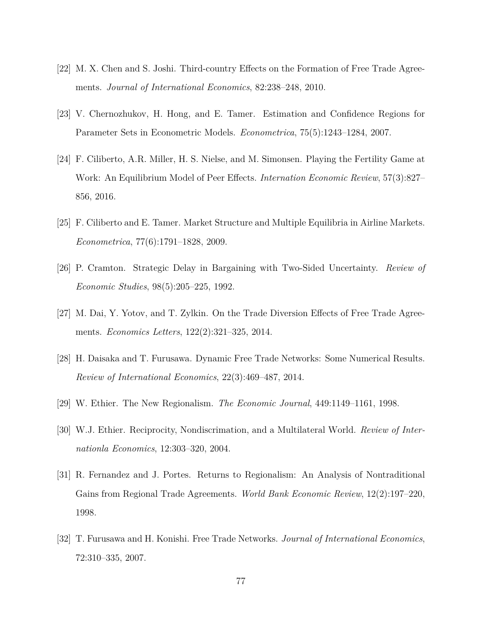- [22] M. X. Chen and S. Joshi. Third-country Effects on the Formation of Free Trade Agreements. *Journal of International Economics*, 82:238–248, 2010.
- [23] V. Chernozhukov, H. Hong, and E. Tamer. Estimation and Confidence Regions for Parameter Sets in Econometric Models. *Econometrica*, 75(5):1243–1284, 2007.
- [24] F. Ciliberto, A.R. Miller, H. S. Nielse, and M. Simonsen. Playing the Fertility Game at Work: An Equilibrium Model of Peer Effects. *Internation Economic Review*, 57(3):827– 856, 2016.
- [25] F. Ciliberto and E. Tamer. Market Structure and Multiple Equilibria in Airline Markets. *Econometrica*, 77(6):1791–1828, 2009.
- [26] P. Cramton. Strategic Delay in Bargaining with Two-Sided Uncertainty. *Review of Economic Studies*, 98(5):205–225, 1992.
- [27] M. Dai, Y. Yotov, and T. Zylkin. On the Trade Diversion Effects of Free Trade Agreements. *Economics Letters*, 122(2):321–325, 2014.
- [28] H. Daisaka and T. Furusawa. Dynamic Free Trade Networks: Some Numerical Results. *Review of International Economics*, 22(3):469–487, 2014.
- [29] W. Ethier. The New Regionalism. *The Economic Journal*, 449:1149–1161, 1998.
- [30] W.J. Ethier. Reciprocity, Nondiscrimation, and a Multilateral World. *Review of Internationla Economics*, 12:303–320, 2004.
- [31] R. Fernandez and J. Portes. Returns to Regionalism: An Analysis of Nontraditional Gains from Regional Trade Agreements. *World Bank Economic Review*, 12(2):197–220, 1998.
- [32] T. Furusawa and H. Konishi. Free Trade Networks. *Journal of International Economics*, 72:310–335, 2007.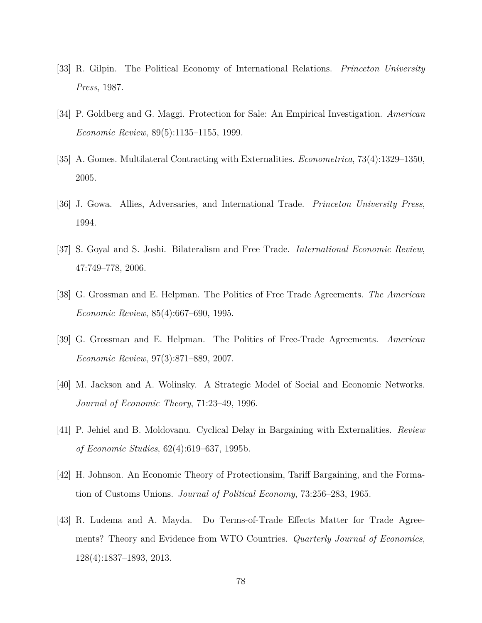- [33] R. Gilpin. The Political Economy of International Relations. *Princeton University Press*, 1987.
- [34] P. Goldberg and G. Maggi. Protection for Sale: An Empirical Investigation. *American Economic Review*, 89(5):1135–1155, 1999.
- [35] A. Gomes. Multilateral Contracting with Externalities. *Econometrica*, 73(4):1329–1350, 2005.
- [36] J. Gowa. Allies, Adversaries, and International Trade. *Princeton University Press*, 1994.
- [37] S. Goyal and S. Joshi. Bilateralism and Free Trade. *International Economic Review*, 47:749–778, 2006.
- [38] G. Grossman and E. Helpman. The Politics of Free Trade Agreements. *The American Economic Review*, 85(4):667–690, 1995.
- [39] G. Grossman and E. Helpman. The Politics of Free-Trade Agreements. *American Economic Review*, 97(3):871–889, 2007.
- [40] M. Jackson and A. Wolinsky. A Strategic Model of Social and Economic Networks. *Journal of Economic Theory*, 71:23–49, 1996.
- [41] P. Jehiel and B. Moldovanu. Cyclical Delay in Bargaining with Externalities. *Review of Economic Studies*, 62(4):619–637, 1995b.
- [42] H. Johnson. An Economic Theory of Protectionsim, Tariff Bargaining, and the Formation of Customs Unions. *Journal of Political Economy*, 73:256–283, 1965.
- [43] R. Ludema and A. Mayda. Do Terms-of-Trade Effects Matter for Trade Agreements? Theory and Evidence from WTO Countries. *Quarterly Journal of Economics*, 128(4):1837–1893, 2013.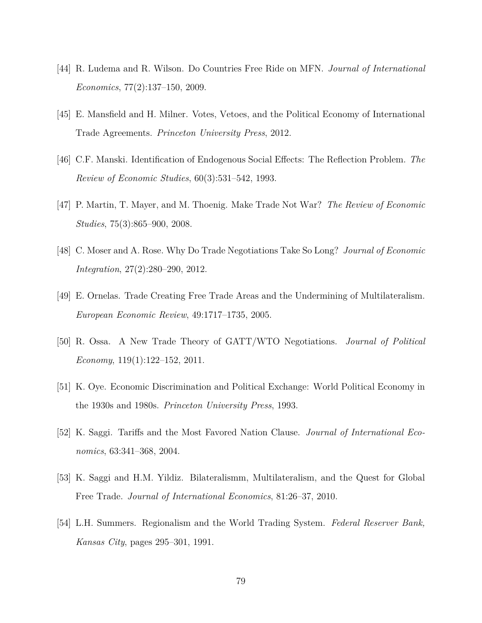- [44] R. Ludema and R. Wilson. Do Countries Free Ride on MFN. *Journal of International Economics*, 77(2):137–150, 2009.
- [45] E. Mansfield and H. Milner. Votes, Vetoes, and the Political Economy of International Trade Agreements. *Princeton University Press*, 2012.
- [46] C.F. Manski. Identification of Endogenous Social Effects: The Reflection Problem. *The Review of Economic Studies*, 60(3):531–542, 1993.
- [47] P. Martin, T. Mayer, and M. Thoenig. Make Trade Not War? *The Review of Economic Studies*, 75(3):865–900, 2008.
- [48] C. Moser and A. Rose. Why Do Trade Negotiations Take So Long? *Journal of Economic Integration*, 27(2):280–290, 2012.
- [49] E. Ornelas. Trade Creating Free Trade Areas and the Undermining of Multilateralism. *European Economic Review*, 49:1717–1735, 2005.
- [50] R. Ossa. A New Trade Theory of GATT/WTO Negotiations. *Journal of Political Economy*, 119(1):122–152, 2011.
- [51] K. Oye. Economic Discrimination and Political Exchange: World Political Economy in the 1930s and 1980s. *Princeton University Press*, 1993.
- [52] K. Saggi. Tariffs and the Most Favored Nation Clause. *Journal of International Economics*, 63:341–368, 2004.
- [53] K. Saggi and H.M. Yildiz. Bilateralismm, Multilateralism, and the Quest for Global Free Trade. *Journal of International Economics*, 81:26–37, 2010.
- [54] L.H. Summers. Regionalism and the World Trading System. *Federal Reserver Bank, Kansas City*, pages 295–301, 1991.